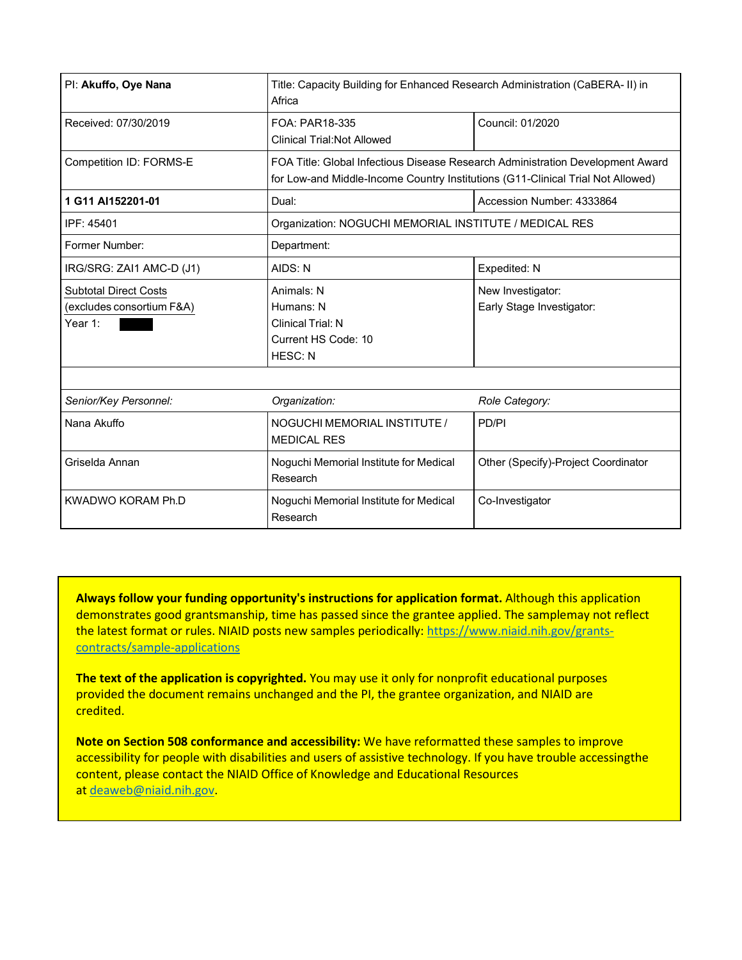| Pl: Akuffo, Oye Nana                                                 | Title: Capacity Building for Enhanced Research Administration (CaBERA- II) in<br>Africa                                                                           |                                                |  |  |  |
|----------------------------------------------------------------------|-------------------------------------------------------------------------------------------------------------------------------------------------------------------|------------------------------------------------|--|--|--|
| Received: 07/30/2019                                                 | Council: 01/2020<br>FOA: PAR18-335<br><b>Clinical Trial: Not Allowed</b>                                                                                          |                                                |  |  |  |
| <b>Competition ID: FORMS-E</b>                                       | FOA Title: Global Infectious Disease Research Administration Development Award<br>for Low-and Middle-Income Country Institutions (G11-Clinical Trial Not Allowed) |                                                |  |  |  |
| 1 G11 AI152201-01                                                    | Dual:                                                                                                                                                             | Accession Number: 4333864                      |  |  |  |
| IPF: 45401                                                           | Organization: NOGUCHI MEMORIAL INSTITUTE / MEDICAL RES                                                                                                            |                                                |  |  |  |
| Former Number:                                                       | Department:                                                                                                                                                       |                                                |  |  |  |
| IRG/SRG: ZAI1 AMC-D (J1)                                             | AIDS: N<br>Expedited: N                                                                                                                                           |                                                |  |  |  |
| <b>Subtotal Direct Costs</b><br>(excludes consortium F&A)<br>Year 1: | Animals: N<br>Humans: N<br>Clinical Trial: N<br>Current HS Code: 10<br><b>HESC: N</b>                                                                             | New Investigator:<br>Early Stage Investigator: |  |  |  |
|                                                                      |                                                                                                                                                                   |                                                |  |  |  |
| Senior/Key Personnel:                                                | Organization:                                                                                                                                                     | Role Category:                                 |  |  |  |
| Nana Akuffo                                                          | NOGUCHI MEMORIAL INSTITUTE /<br><b>MEDICAL RES</b>                                                                                                                | PD/PI                                          |  |  |  |
| Griselda Annan                                                       | Noguchi Memorial Institute for Medical<br>Other (Specify)-Project Coordinator<br>Research                                                                         |                                                |  |  |  |
| KWADWO KORAM Ph.D                                                    | Noquchi Memorial Institute for Medical<br>Research                                                                                                                | Co-Investigator                                |  |  |  |

**Always follow your funding opportunity's instructions for application format.** Although this application demonstrates good grantsmanship, time has passed since the grantee applied. The samplemay not reflect the latest format or rules. NIAID posts new samples periodically: [https://www.niaid.nih.gov/](https://www.niaid.nih.gov/grants-contracts/sample-applications) [grants-contracts/sample-applic](https://www.niaid.nih.gov/grants-contracts/sample-applications)ations

**The text of the application is copyrighted.** You may use it only for nonprofit educational purposes provided the document remains unchanged and the PI, the grantee organization, and NIAID are credited.

**Note on Section 508 conformance and accessibility:** We have reformatted these samples to improve accessibility for people with disabilities and users of assistive technology. If you have trouble accessingthe content, please contact the NIAID Office of Knowledge and Educational Resources at [deaweb@niaid.nih.gov.](mailto:deaweb@niaid.nih.gov)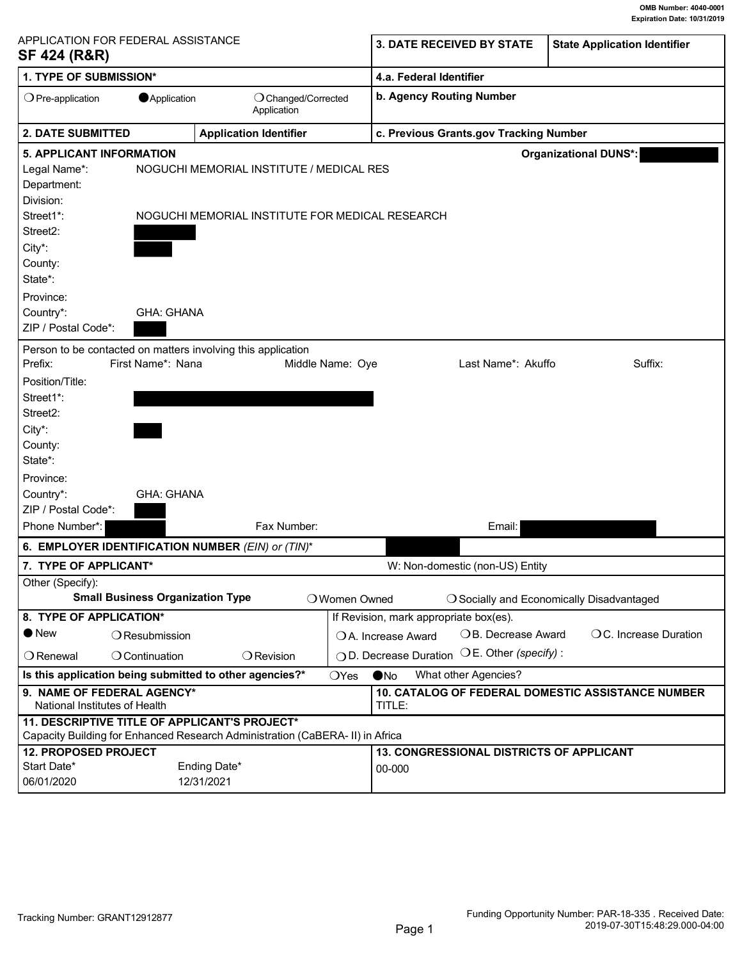<span id="page-1-0"></span>

| <b>SF 424 (R&amp;R)</b>                                   | APPLICATION FOR FEDERAL ASSISTANCE      |                                                                                             |                  | 3. DATE RECEIVED BY STATE                                          | <b>State Application Identifier</b>       |  |
|-----------------------------------------------------------|-----------------------------------------|---------------------------------------------------------------------------------------------|------------------|--------------------------------------------------------------------|-------------------------------------------|--|
| 1. TYPE OF SUBMISSION*                                    |                                         |                                                                                             |                  | 4.a. Federal Identifier                                            |                                           |  |
| $\bigcirc$ Pre-application                                | Application                             | O Changed/Corrected<br>Application                                                          |                  | b. Agency Routing Number                                           |                                           |  |
| <b>2. DATE SUBMITTED</b><br><b>Application Identifier</b> |                                         |                                                                                             |                  | c. Previous Grants.gov Tracking Number                             |                                           |  |
| <b>5. APPLICANT INFORMATION</b>                           |                                         |                                                                                             |                  |                                                                    | <b>Organizational DUNS*:</b>              |  |
| Legal Name*:<br>Department:<br>Division:<br>Street1*:     |                                         | NOGUCHI MEMORIAL INSTITUTE / MEDICAL RES<br>NOGUCHI MEMORIAL INSTITUTE FOR MEDICAL RESEARCH |                  |                                                                    |                                           |  |
| Street <sub>2</sub> :                                     |                                         |                                                                                             |                  |                                                                    |                                           |  |
| City*:                                                    |                                         |                                                                                             |                  |                                                                    |                                           |  |
| County:                                                   |                                         |                                                                                             |                  |                                                                    |                                           |  |
| State*:                                                   |                                         |                                                                                             |                  |                                                                    |                                           |  |
| Province:                                                 |                                         |                                                                                             |                  |                                                                    |                                           |  |
| Country*:                                                 | <b>GHA: GHANA</b>                       |                                                                                             |                  |                                                                    |                                           |  |
| ZIP / Postal Code*:                                       |                                         |                                                                                             |                  |                                                                    |                                           |  |
|                                                           |                                         |                                                                                             |                  |                                                                    |                                           |  |
|                                                           |                                         | Person to be contacted on matters involving this application                                |                  |                                                                    |                                           |  |
| Prefix:                                                   | First Name*: Nana                       |                                                                                             | Middle Name: Oye | Last Name*: Akuffo                                                 | Suffix:                                   |  |
| Position/Title:                                           |                                         |                                                                                             |                  |                                                                    |                                           |  |
| Street1*:                                                 |                                         |                                                                                             |                  |                                                                    |                                           |  |
| Street2:                                                  |                                         |                                                                                             |                  |                                                                    |                                           |  |
| City*:                                                    |                                         |                                                                                             |                  |                                                                    |                                           |  |
| County:                                                   |                                         |                                                                                             |                  |                                                                    |                                           |  |
| State*:                                                   |                                         |                                                                                             |                  |                                                                    |                                           |  |
| Province:                                                 |                                         |                                                                                             |                  |                                                                    |                                           |  |
| Country*:                                                 | <b>GHA: GHANA</b>                       |                                                                                             |                  |                                                                    |                                           |  |
| ZIP / Postal Code*:                                       |                                         |                                                                                             |                  |                                                                    |                                           |  |
| Phone Number*:                                            |                                         | Fax Number:                                                                                 |                  | Email:                                                             |                                           |  |
|                                                           |                                         | 6. EMPLOYER IDENTIFICATION NUMBER (EIN) or (TIN)*                                           |                  |                                                                    |                                           |  |
| 7. TYPE OF APPLICANT*                                     |                                         |                                                                                             |                  | W: Non-domestic (non-US) Entity                                    |                                           |  |
| Other (Specify):                                          |                                         |                                                                                             |                  |                                                                    |                                           |  |
|                                                           | <b>Small Business Organization Type</b> |                                                                                             | O Women Owned    |                                                                    | O Socially and Economically Disadvantaged |  |
| 8. TYPE OF APPLICATION*                                   |                                         |                                                                                             |                  | If Revision, mark appropriate box(es).                             |                                           |  |
| $\bullet$ New                                             | $\bigcirc$ Resubmission                 |                                                                                             |                  | OB. Decrease Award<br>OA. Increase Award                           | OC. Increase Duration                     |  |
| $\bigcirc$ Renewal                                        | $\bigcirc$ Continuation                 | $\bigcirc$ Revision                                                                         |                  | $\bigcirc$ E. Other (specify) :<br>◯ D. Decrease Duration          |                                           |  |
|                                                           |                                         | Is this application being submitted to other agencies?*                                     | OYes             | What other Agencies?<br>$\bullet$ No                               |                                           |  |
| National Institutes of Health                             | 9. NAME OF FEDERAL AGENCY*              |                                                                                             |                  | <b>10. CATALOG OF FEDERAL DOMESTIC ASSISTANCE NUMBER</b><br>TITLE: |                                           |  |
|                                                           |                                         | 11. DESCRIPTIVE TITLE OF APPLICANT'S PROJECT*                                               |                  |                                                                    |                                           |  |
|                                                           |                                         | Capacity Building for Enhanced Research Administration (CaBERA- II) in Africa               |                  |                                                                    |                                           |  |
| <b>12. PROPOSED PROJECT</b>                               |                                         |                                                                                             |                  | <b>13. CONGRESSIONAL DISTRICTS OF APPLICANT</b>                    |                                           |  |
| Start Date*                                               |                                         | Ending Date*                                                                                |                  | 00-000                                                             |                                           |  |
| 06/01/2020                                                |                                         | 12/31/2021                                                                                  |                  |                                                                    |                                           |  |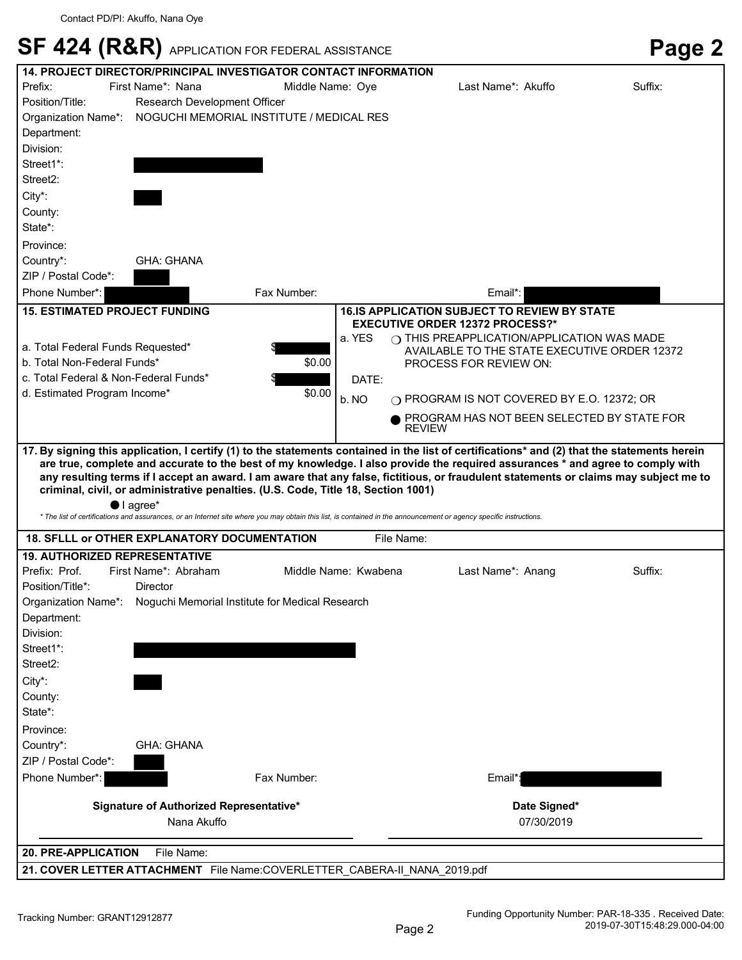|  | SF 424 (R&R) APPLICATION FOR FEDERAL ASSISTANCE | Page 2 |
|--|-------------------------------------------------|--------|
|--|-------------------------------------------------|--------|

| <b>14. PROJECT DIRECTOR/PRINCIPAL INVESTIGATOR CONTACT INFORMATION</b> |                                                                                   |                  |                      |                                                                                                                                                                                                                                                                                                             |         |
|------------------------------------------------------------------------|-----------------------------------------------------------------------------------|------------------|----------------------|-------------------------------------------------------------------------------------------------------------------------------------------------------------------------------------------------------------------------------------------------------------------------------------------------------------|---------|
| Prefix:                                                                | First Name*: Nana                                                                 | Middle Name: Ove |                      | Last Name*: Akuffo                                                                                                                                                                                                                                                                                          | Suffix: |
| Position/Title:                                                        | Research Development Officer                                                      |                  |                      |                                                                                                                                                                                                                                                                                                             |         |
| Organization Name*:                                                    | NOGUCHI MEMORIAL INSTITUTE / MEDICAL RES                                          |                  |                      |                                                                                                                                                                                                                                                                                                             |         |
| Department:                                                            |                                                                                   |                  |                      |                                                                                                                                                                                                                                                                                                             |         |
| Division:                                                              |                                                                                   |                  |                      |                                                                                                                                                                                                                                                                                                             |         |
| Street1*:                                                              |                                                                                   |                  |                      |                                                                                                                                                                                                                                                                                                             |         |
| Street2:                                                               |                                                                                   |                  |                      |                                                                                                                                                                                                                                                                                                             |         |
| City*:                                                                 |                                                                                   |                  |                      |                                                                                                                                                                                                                                                                                                             |         |
| County:                                                                |                                                                                   |                  |                      |                                                                                                                                                                                                                                                                                                             |         |
| State*:                                                                |                                                                                   |                  |                      |                                                                                                                                                                                                                                                                                                             |         |
| Province:                                                              |                                                                                   |                  |                      |                                                                                                                                                                                                                                                                                                             |         |
| Country*:                                                              | <b>GHA: GHANA</b>                                                                 |                  |                      |                                                                                                                                                                                                                                                                                                             |         |
| ZIP / Postal Code*:                                                    |                                                                                   |                  |                      |                                                                                                                                                                                                                                                                                                             |         |
| Phone Number*:                                                         |                                                                                   | Fax Number:      |                      | Email*:                                                                                                                                                                                                                                                                                                     |         |
|                                                                        |                                                                                   |                  |                      |                                                                                                                                                                                                                                                                                                             |         |
| <b>15. ESTIMATED PROJECT FUNDING</b>                                   |                                                                                   |                  |                      | <b>16.IS APPLICATION SUBJECT TO REVIEW BY STATE</b><br><b>EXECUTIVE ORDER 12372 PROCESS?*</b>                                                                                                                                                                                                               |         |
|                                                                        |                                                                                   |                  | a. YES               | $\bigcirc$ THIS PREAPPLICATION/APPLICATION WAS MADE                                                                                                                                                                                                                                                         |         |
| a. Total Federal Funds Requested*                                      |                                                                                   |                  |                      | AVAILABLE TO THE STATE EXECUTIVE ORDER 12372                                                                                                                                                                                                                                                                |         |
| b. Total Non-Federal Funds*                                            |                                                                                   | \$0.00           |                      | PROCESS FOR REVIEW ON:                                                                                                                                                                                                                                                                                      |         |
| c. Total Federal & Non-Federal Funds*                                  |                                                                                   |                  | DATE:                |                                                                                                                                                                                                                                                                                                             |         |
| d. Estimated Program Income*                                           |                                                                                   | \$0.00           | b. NO                | ○ PROGRAM IS NOT COVERED BY E.O. 12372; OR                                                                                                                                                                                                                                                                  |         |
|                                                                        |                                                                                   |                  |                      | PROGRAM HAS NOT BEEN SELECTED BY STATE FOR                                                                                                                                                                                                                                                                  |         |
|                                                                        |                                                                                   |                  |                      | <b>REVIEW</b>                                                                                                                                                                                                                                                                                               |         |
| $\bullet$ I agree*                                                     | criminal, civil, or administrative penalties. (U.S. Code, Title 18, Section 1001) |                  |                      | any resulting terms if I accept an award. I am aware that any false, fictitious, or fraudulent statements or claims may subject me to<br>* The list of certifications and assurances, or an Internet site where you may obtain this list, is contained in the announcement or agency specific instructions. |         |
| <b>18. SFLLL or OTHER EXPLANATORY DOCUMENTATION</b>                    |                                                                                   |                  | File Name:           |                                                                                                                                                                                                                                                                                                             |         |
|                                                                        |                                                                                   |                  |                      |                                                                                                                                                                                                                                                                                                             |         |
| <b>19. AUTHORIZED REPRESENTATIVE</b><br>Prefix: Prof.                  | First Name*: Abraham                                                              |                  | Middle Name: Kwabena |                                                                                                                                                                                                                                                                                                             | Suffix: |
| Position/Title*:                                                       |                                                                                   |                  |                      | Last Name*: Anang                                                                                                                                                                                                                                                                                           |         |
| Organization Name*:                                                    | <b>Director</b><br>Noquchi Memorial Institute for Medical Research                |                  |                      |                                                                                                                                                                                                                                                                                                             |         |
| Department:                                                            |                                                                                   |                  |                      |                                                                                                                                                                                                                                                                                                             |         |
| Division:                                                              |                                                                                   |                  |                      |                                                                                                                                                                                                                                                                                                             |         |
| Street1*:                                                              |                                                                                   |                  |                      |                                                                                                                                                                                                                                                                                                             |         |
| Street2:                                                               |                                                                                   |                  |                      |                                                                                                                                                                                                                                                                                                             |         |
|                                                                        |                                                                                   |                  |                      |                                                                                                                                                                                                                                                                                                             |         |
| City*:<br>County:                                                      |                                                                                   |                  |                      |                                                                                                                                                                                                                                                                                                             |         |
| State*:                                                                |                                                                                   |                  |                      |                                                                                                                                                                                                                                                                                                             |         |
|                                                                        |                                                                                   |                  |                      |                                                                                                                                                                                                                                                                                                             |         |
|                                                                        |                                                                                   |                  |                      |                                                                                                                                                                                                                                                                                                             |         |
| Province:                                                              |                                                                                   |                  |                      |                                                                                                                                                                                                                                                                                                             |         |
| Country*:                                                              | <b>GHA: GHANA</b>                                                                 |                  |                      |                                                                                                                                                                                                                                                                                                             |         |
| ZIP / Postal Code*:                                                    |                                                                                   |                  |                      |                                                                                                                                                                                                                                                                                                             |         |
| Phone Number*:                                                         |                                                                                   | Fax Number:      |                      | Email*:                                                                                                                                                                                                                                                                                                     |         |
|                                                                        | Signature of Authorized Representative*                                           |                  |                      | Date Signed*                                                                                                                                                                                                                                                                                                |         |
|                                                                        | Nana Akuffo                                                                       |                  |                      | 07/30/2019                                                                                                                                                                                                                                                                                                  |         |
| <b>20. PRE-APPLICATION</b>                                             | File Name:                                                                        |                  |                      |                                                                                                                                                                                                                                                                                                             |         |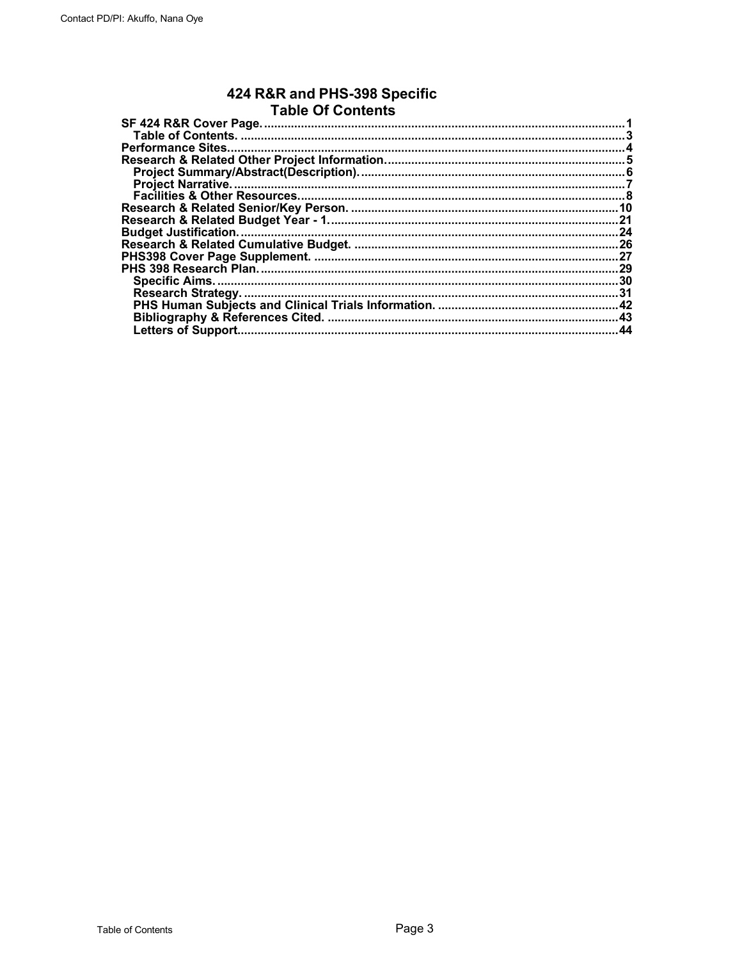# 424 R&R and PHS-398 Specific<br>Table Of Contents

| SF 424 R&R Cover Page.       |      |
|------------------------------|------|
|                              |      |
|                              |      |
|                              |      |
|                              |      |
|                              |      |
|                              |      |
|                              | 10   |
|                              | .21  |
| <b>Budget Justification.</b> | 24   |
|                              |      |
|                              | .27  |
|                              | . 29 |
|                              | .30  |
|                              | .31  |
|                              | .42  |
|                              | .43  |
| <b>Letters of Support.</b>   | 44   |
|                              |      |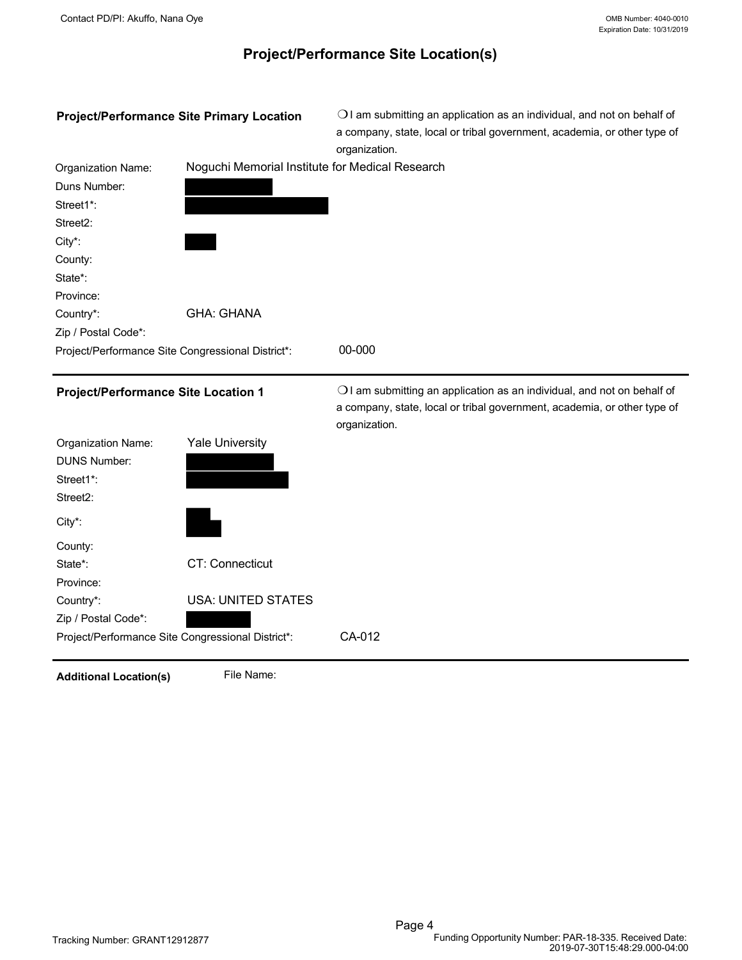# **Project/Performance Site Location(s)**

<span id="page-4-0"></span>

| Noguchi Memorial Institute for Medical Research<br>Organization Name:<br>Duns Number:<br>Street1*:<br>Street <sub>2</sub> :<br>City*:<br>County:<br>State*:<br>Province:<br><b>GHA: GHANA</b><br>Country*:<br>Zip / Postal Code*:<br>00-000<br>Project/Performance Site Congressional District*:<br>OI am submitting an application as an individual, and not on behalf of<br><b>Project/Performance Site Location 1</b><br>a company, state, local or tribal government, academia, or other type of<br>organization.<br><b>Yale University</b><br><b>Organization Name:</b><br><b>DUNS Number:</b><br>Street1*:<br>Street2:<br>City*:<br>County:<br>CT: Connecticut<br>State*:<br>Province:<br><b>USA: UNITED STATES</b><br>Country*:<br>Zip / Postal Code*:<br>CA-012<br>Project/Performance Site Congressional District*: | <b>Project/Performance Site Primary Location</b> | OI am submitting an application as an individual, and not on behalf of<br>a company, state, local or tribal government, academia, or other type of<br>organization. |
|------------------------------------------------------------------------------------------------------------------------------------------------------------------------------------------------------------------------------------------------------------------------------------------------------------------------------------------------------------------------------------------------------------------------------------------------------------------------------------------------------------------------------------------------------------------------------------------------------------------------------------------------------------------------------------------------------------------------------------------------------------------------------------------------------------------------------|--------------------------------------------------|---------------------------------------------------------------------------------------------------------------------------------------------------------------------|
|                                                                                                                                                                                                                                                                                                                                                                                                                                                                                                                                                                                                                                                                                                                                                                                                                              |                                                  |                                                                                                                                                                     |
|                                                                                                                                                                                                                                                                                                                                                                                                                                                                                                                                                                                                                                                                                                                                                                                                                              |                                                  |                                                                                                                                                                     |
|                                                                                                                                                                                                                                                                                                                                                                                                                                                                                                                                                                                                                                                                                                                                                                                                                              |                                                  |                                                                                                                                                                     |
|                                                                                                                                                                                                                                                                                                                                                                                                                                                                                                                                                                                                                                                                                                                                                                                                                              |                                                  |                                                                                                                                                                     |
|                                                                                                                                                                                                                                                                                                                                                                                                                                                                                                                                                                                                                                                                                                                                                                                                                              |                                                  |                                                                                                                                                                     |
|                                                                                                                                                                                                                                                                                                                                                                                                                                                                                                                                                                                                                                                                                                                                                                                                                              |                                                  |                                                                                                                                                                     |
|                                                                                                                                                                                                                                                                                                                                                                                                                                                                                                                                                                                                                                                                                                                                                                                                                              |                                                  |                                                                                                                                                                     |
|                                                                                                                                                                                                                                                                                                                                                                                                                                                                                                                                                                                                                                                                                                                                                                                                                              |                                                  |                                                                                                                                                                     |
|                                                                                                                                                                                                                                                                                                                                                                                                                                                                                                                                                                                                                                                                                                                                                                                                                              |                                                  |                                                                                                                                                                     |
|                                                                                                                                                                                                                                                                                                                                                                                                                                                                                                                                                                                                                                                                                                                                                                                                                              |                                                  |                                                                                                                                                                     |
|                                                                                                                                                                                                                                                                                                                                                                                                                                                                                                                                                                                                                                                                                                                                                                                                                              |                                                  |                                                                                                                                                                     |
|                                                                                                                                                                                                                                                                                                                                                                                                                                                                                                                                                                                                                                                                                                                                                                                                                              |                                                  |                                                                                                                                                                     |
|                                                                                                                                                                                                                                                                                                                                                                                                                                                                                                                                                                                                                                                                                                                                                                                                                              |                                                  |                                                                                                                                                                     |
|                                                                                                                                                                                                                                                                                                                                                                                                                                                                                                                                                                                                                                                                                                                                                                                                                              |                                                  |                                                                                                                                                                     |
|                                                                                                                                                                                                                                                                                                                                                                                                                                                                                                                                                                                                                                                                                                                                                                                                                              |                                                  |                                                                                                                                                                     |
|                                                                                                                                                                                                                                                                                                                                                                                                                                                                                                                                                                                                                                                                                                                                                                                                                              |                                                  |                                                                                                                                                                     |
|                                                                                                                                                                                                                                                                                                                                                                                                                                                                                                                                                                                                                                                                                                                                                                                                                              |                                                  |                                                                                                                                                                     |
|                                                                                                                                                                                                                                                                                                                                                                                                                                                                                                                                                                                                                                                                                                                                                                                                                              |                                                  |                                                                                                                                                                     |
|                                                                                                                                                                                                                                                                                                                                                                                                                                                                                                                                                                                                                                                                                                                                                                                                                              |                                                  |                                                                                                                                                                     |
|                                                                                                                                                                                                                                                                                                                                                                                                                                                                                                                                                                                                                                                                                                                                                                                                                              |                                                  |                                                                                                                                                                     |
|                                                                                                                                                                                                                                                                                                                                                                                                                                                                                                                                                                                                                                                                                                                                                                                                                              |                                                  |                                                                                                                                                                     |
|                                                                                                                                                                                                                                                                                                                                                                                                                                                                                                                                                                                                                                                                                                                                                                                                                              |                                                  |                                                                                                                                                                     |
|                                                                                                                                                                                                                                                                                                                                                                                                                                                                                                                                                                                                                                                                                                                                                                                                                              |                                                  |                                                                                                                                                                     |
|                                                                                                                                                                                                                                                                                                                                                                                                                                                                                                                                                                                                                                                                                                                                                                                                                              |                                                  |                                                                                                                                                                     |

Additional Location(s) File Name: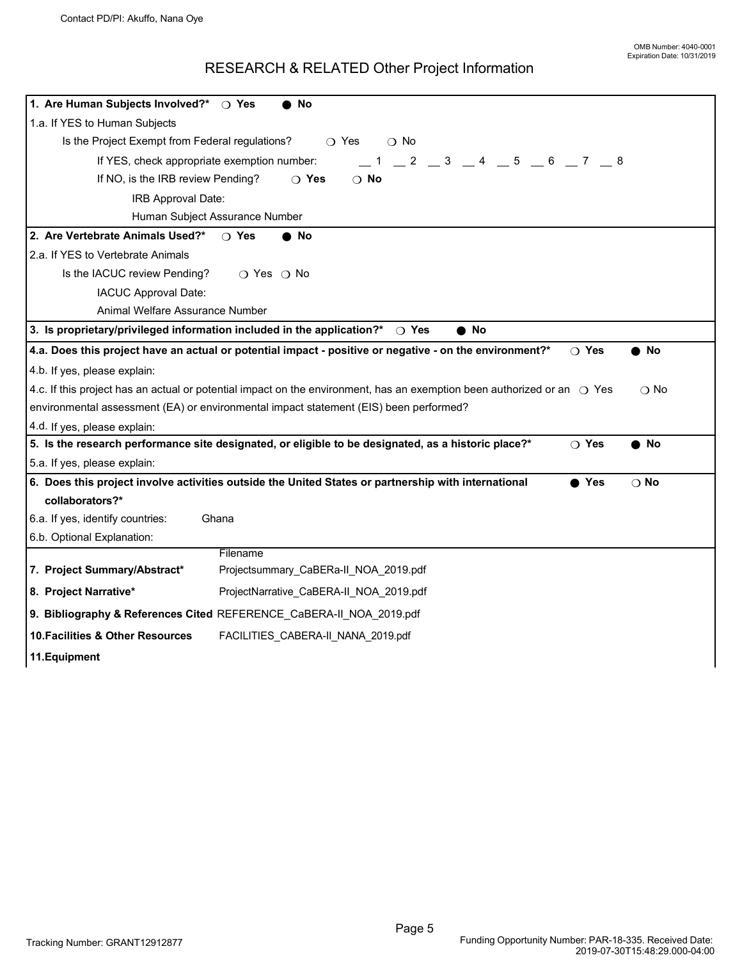## RESEARCH & RELATED Other Project Information

<span id="page-5-0"></span>

| 1. Are Human Subjects Involved?*   O Yes<br>No                                                                                                    |  |  |  |
|---------------------------------------------------------------------------------------------------------------------------------------------------|--|--|--|
| 1.a. If YES to Human Subjects                                                                                                                     |  |  |  |
| Is the Project Exempt from Federal regulations?<br>$\bigcirc$ Yes<br>$\bigcirc$ No                                                                |  |  |  |
| 2 3 4 5 6 7 8<br>If YES, check appropriate exemption number:                                                                                      |  |  |  |
| If NO, is the IRB review Pending?<br>$\bigcirc$ No<br>$\bigcirc$ Yes                                                                              |  |  |  |
| IRB Approval Date:                                                                                                                                |  |  |  |
| Human Subject Assurance Number                                                                                                                    |  |  |  |
| 2. Are Vertebrate Animals Used?*<br>$\bigcirc$ Yes<br>No                                                                                          |  |  |  |
| 2.a. If YES to Vertebrate Animals                                                                                                                 |  |  |  |
| Is the IACUC review Pending?<br>○ Yes ○ No                                                                                                        |  |  |  |
| IACUC Approval Date:                                                                                                                              |  |  |  |
| Animal Welfare Assurance Number                                                                                                                   |  |  |  |
| 3. Is proprietary/privileged information included in the application?*<br>$\bullet$ No<br>$\bigcirc$ Yes                                          |  |  |  |
| 4.a. Does this project have an actual or potential impact - positive or negative - on the environment?*<br>$\bigcirc$ Yes<br>$\bullet$ No         |  |  |  |
| 4.b. If yes, please explain:                                                                                                                      |  |  |  |
| 4.c. If this project has an actual or potential impact on the environment, has an exemption been authorized or an $\bigcirc$ Yes<br>$\bigcirc$ No |  |  |  |
|                                                                                                                                                   |  |  |  |
| environmental assessment (EA) or environmental impact statement (EIS) been performed?                                                             |  |  |  |
| 4.d. If yes, please explain:                                                                                                                      |  |  |  |
| 5. Is the research performance site designated, or eligible to be designated, as a historic place?*<br>$\bigcirc$ Yes<br>$\bullet$ No             |  |  |  |
| 5.a. If yes, please explain:                                                                                                                      |  |  |  |
| 6. Does this project involve activities outside the United States or partnership with international<br>● Yes<br>$\bigcirc$ No                     |  |  |  |
| collaborators?*                                                                                                                                   |  |  |  |
| 6.a. If yes, identify countries:<br>Ghana                                                                                                         |  |  |  |
| 6.b. Optional Explanation:                                                                                                                        |  |  |  |
| Filename                                                                                                                                          |  |  |  |
| 7. Project Summary/Abstract*<br>Projectsummary_CaBERa-II_NOA_2019.pdf                                                                             |  |  |  |
| 8. Project Narrative*<br>ProjectNarrative_CaBERA-II_NOA_2019.pdf                                                                                  |  |  |  |
| 9. Bibliography & References Cited REFERENCE_CaBERA-II_NOA_2019.pdf                                                                               |  |  |  |
| 10. Facilities & Other Resources<br>FACILITIES_CABERA-II_NANA_2019.pdf                                                                            |  |  |  |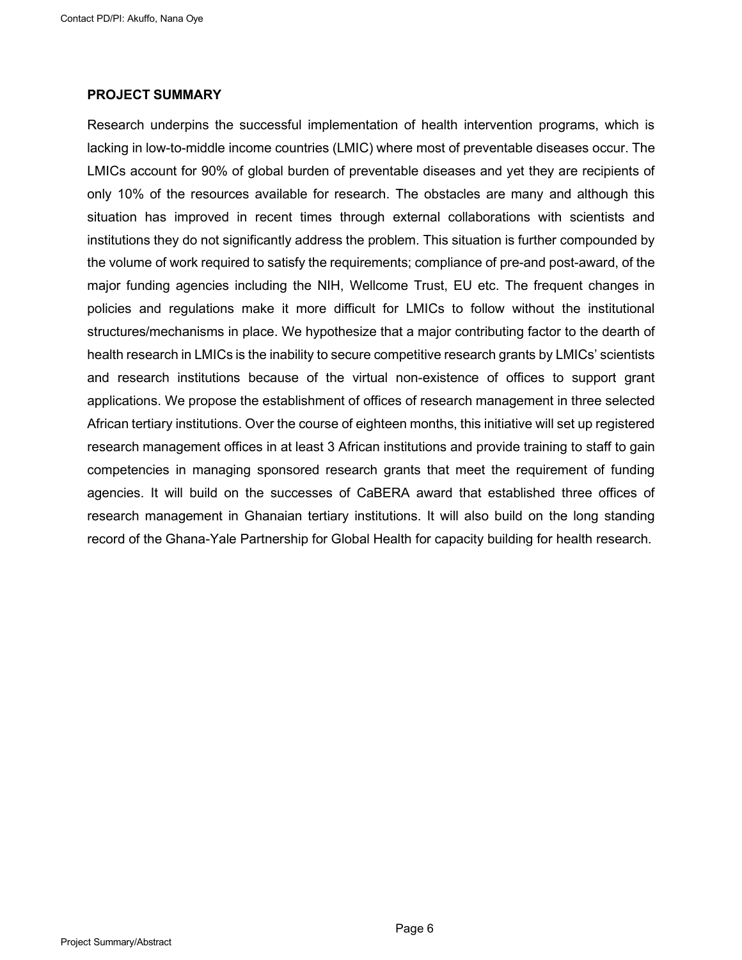#### <span id="page-6-0"></span>**PROJECT SUMMARY**

Research underpins the successful implementation of health intervention programs, which is lacking in low-to-middle income countries (LMIC) where most of preventable diseases occur. The LMICs account for 90% of global burden of preventable diseases and yet they are recipients of only 10% of the resources available for research. The obstacles are many and although this situation has improved in recent times through external collaborations with scientists and institutions they do not significantly address the problem. This situation is further compounded by the volume of work required to satisfy the requirements; compliance of pre-and post-award, of the major funding agencies including the NIH, Wellcome Trust, EU etc. The frequent changes in policies and regulations make it more difficult for LMICs to follow without the institutional structures/mechanisms in place. We hypothesize that a major contributing factor to the dearth of health research in LMICs is the inability to secure competitive research grants by LMICs' scientists and research institutions because of the virtual non-existence of offices to support grant applications. We propose the establishment of offices of research management in three selected African tertiary institutions. Over the course of eighteen months, this initiative will set up registered research management offices in at least 3 African institutions and provide training to staff to gain competencies in managing sponsored research grants that meet the requirement of funding agencies. It will build on the successes of CaBERA award that established three offices of research management in Ghanaian tertiary institutions. It will also build on the long standing record of the Ghana-Yale Partnership for Global Health for capacity building for health research.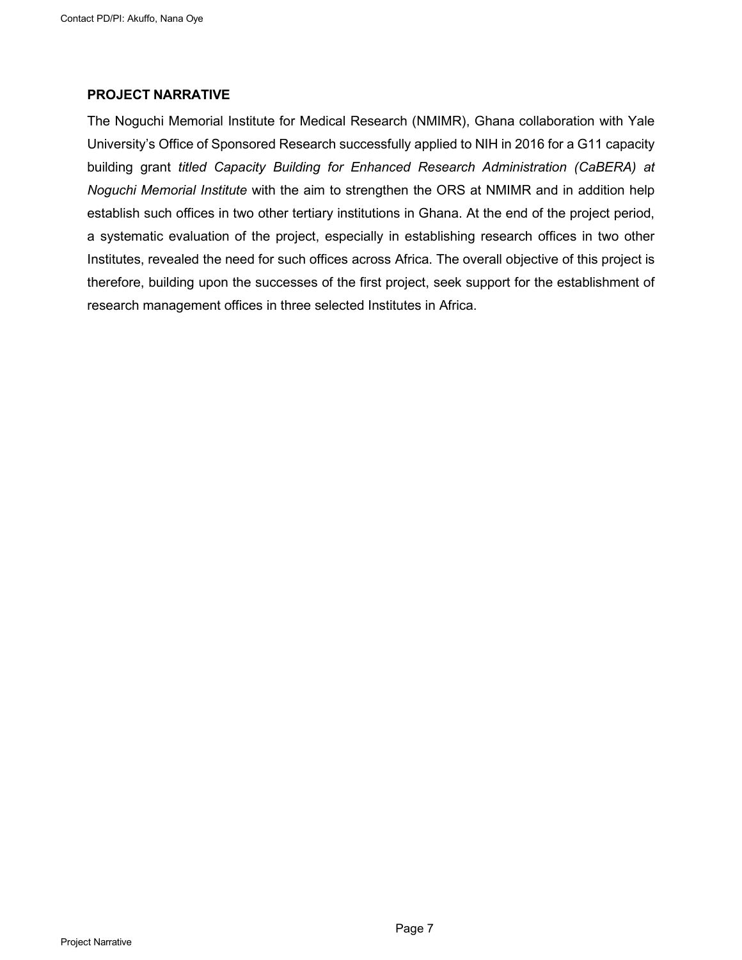#### <span id="page-7-0"></span>**PROJECT NARRATIVE**

The Noguchi Memorial Institute for Medical Research (NMIMR), Ghana collaboration with Yale University's Office of Sponsored Research successfully applied to NIH in 2016 for a G11 capacity building grant *titled Capacity Building for Enhanced Research Administration (CaBERA) at Noguchi Memorial Institute* with the aim to strengthen the ORS at NMIMR and in addition help establish such offices in two other tertiary institutions in Ghana. At the end of the project period, a systematic evaluation of the project, especially in establishing research offices in two other Institutes, revealed the need for such offices across Africa. The overall objective of this project is therefore, building upon the successes of the first project, seek support for the establishment of research management offices in three selected Institutes in Africa.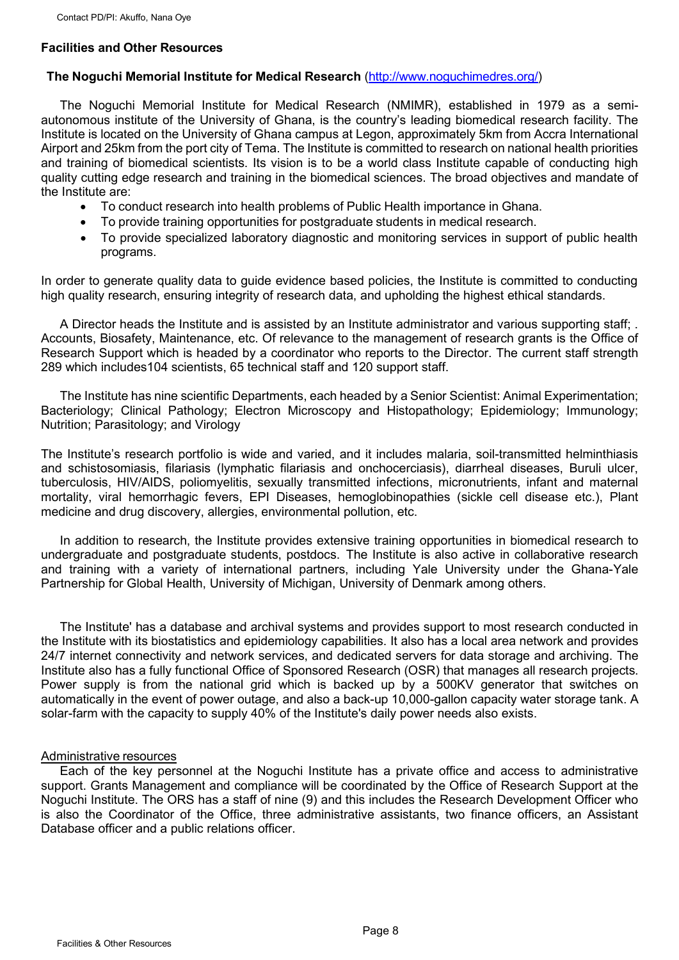## <span id="page-8-0"></span>**Facilities and Other Resources**

#### **The Noguchi Memorial Institute for Medical Research** [\(http://www.noguchimedres.org/\)](http://www.noguchimedres.org/)

The Noguchi Memorial Institute for Medical Research (NMIMR), established in 1979 as a semiautonomous institute of the University of Ghana, is the country's leading biomedical research facility. The Institute is located on the University of Ghana campus at Legon, approximately 5km from Accra International Airport and 25km from the port city of Tema. The Institute is committed to research on national health priorities and training of biomedical scientists. Its vision is to be a world class Institute capable of conducting high quality cutting edge research and training in the biomedical sciences. The broad objectives and mandate of the Institute are:

- To conduct research into health problems of Public Health importance in Ghana.
- To provide training opportunities for postgraduate students in medical research.
- To provide specialized laboratory diagnostic and monitoring services in support of public health programs.

In order to generate quality data to guide evidence based policies, the Institute is committed to conducting high quality research, ensuring integrity of research data, and upholding the highest ethical standards.

A Director heads the Institute and is assisted by an Institute administrator and various supporting staff; . Accounts, Biosafety, Maintenance, etc. Of relevance to the management of research grants is the Office of Research Support which is headed by a coordinator who reports to the Director. The current staff strength 289 which includes104 scientists, 65 technical staff and 120 support staff.

The Institute has nine scientific Departments, each headed by a Senior Scientist: Animal Experimentation; Bacteriology; Clinical Pathology; Electron Microscopy and Histopathology; Epidemiology; Immunology; Nutrition; Parasitology; and Virology

The Institute's research portfolio is wide and varied, and it includes malaria, soil-transmitted helminthiasis and schistosomiasis, filariasis (lymphatic filariasis and onchocerciasis), diarrheal diseases, Buruli ulcer, tuberculosis, HIV/AIDS, poliomyelitis, sexually transmitted infections, micronutrients, infant and maternal mortality, viral hemorrhagic fevers, EPI Diseases, hemoglobinopathies (sickle cell disease etc.), Plant medicine and drug discovery, allergies, environmental pollution, etc.

In addition to research, the Institute provides extensive training opportunities in biomedical research to undergraduate and postgraduate students, postdocs. The Institute is also active in collaborative research and training with a variety of international partners, including Yale University under the Ghana-Yale Partnership for Global Health, University of Michigan, University of Denmark among others.

The Institute' has a database and archival systems and provides support to most research conducted in the Institute with its biostatistics and epidemiology capabilities. It also has a local area network and provides 24/7 internet connectivity and network services, and dedicated servers for data storage and archiving. The Institute also has a fully functional Office of Sponsored Research (OSR) that manages all research projects. Power supply is from the national grid which is backed up by a 500KV generator that switches on automatically in the event of power outage, and also a back-up 10,000-gallon capacity water storage tank. A solar-farm with the capacity to supply 40% of the Institute's daily power needs also exists.

#### Administrative resources

Each of the key personnel at the Noguchi Institute has a private office and access to administrative support. Grants Management and compliance will be coordinated by the Office of Research Support at the Noguchi Institute. The ORS has a staff of nine (9) and this includes the Research Development Officer who is also the Coordinator of the Office, three administrative assistants, two finance officers, an Assistant Database officer and a public relations officer.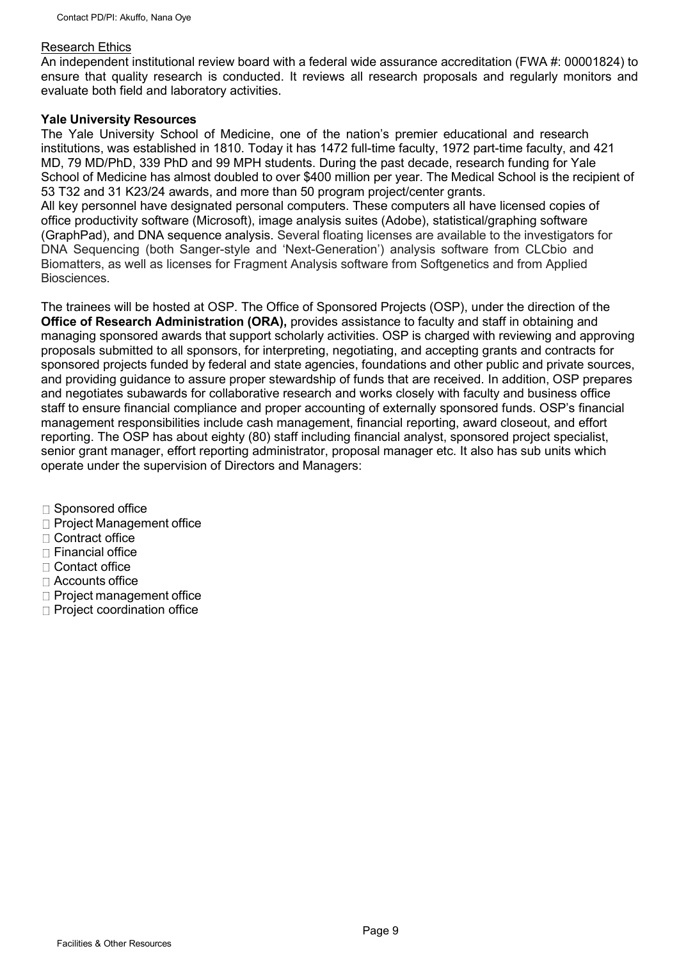#### Research Ethics

An independent institutional review board with a federal wide assurance accreditation (FWA #: 00001824) to ensure that quality research is conducted. It reviews all research proposals and regularly monitors and evaluate both field and laboratory activities.

#### **Yale University Resources**

The Yale University School of Medicine, one of the nation's premier educational and research institutions, was established in 1810. Today it has 1472 full-time faculty, 1972 part-time faculty, and 421 MD, 79 MD/PhD, 339 PhD and 99 MPH students. During the past decade, research funding for Yale School of Medicine has almost doubled to over \$400 million per year. The Medical School is the recipient of 53 T32 and 31 K23/24 awards, and more than 50 program project/center grants. All key personnel have designated personal computers. These computers all have licensed copies of office productivity software (Microsoft), image analysis suites (Adobe), statistical/graphing software (GraphPad), and DNA sequence analysis. Several floating licenses are available to the investigators for

DNA Sequencing (both Sanger-style and 'Next-Generation') analysis software from CLCbio and Biomatters, as well as licenses for Fragment Analysis software from Softgenetics and from Applied Biosciences.

The trainees will be hosted at OSP. The Office of Sponsored Projects (OSP), under the direction of the **Office of Research Administration (ORA),** provides assistance to faculty and staff in obtaining and managing sponsored awards that support scholarly activities. OSP is charged with reviewing and approving proposals submitted to all sponsors, for interpreting, negotiating, and accepting grants and contracts for sponsored projects funded by federal and state agencies, foundations and other public and private sources, and providing guidance to assure proper stewardship of funds that are received. In addition, OSP prepares and negotiates subawards for collaborative research and works closely with faculty and business office staff to ensure financial compliance and proper accounting of externally sponsored funds. OSP's financial management responsibilities include cash management, financial reporting, award closeout, and effort reporting. The OSP has about eighty (80) staff including financial analyst, sponsored project specialist, senior grant manager, effort reporting administrator, proposal manager etc. It also has sub units which operate under the supervision of Directors and Managers:

- $\Box$  Sponsored office
- □ Project Management office
- $\Box$  Contract office
- $\Box$  Financial office
- □ Contact office
- $\Box$  Accounts office
- $\Box$  Project management office
- $\Box$  Project coordination office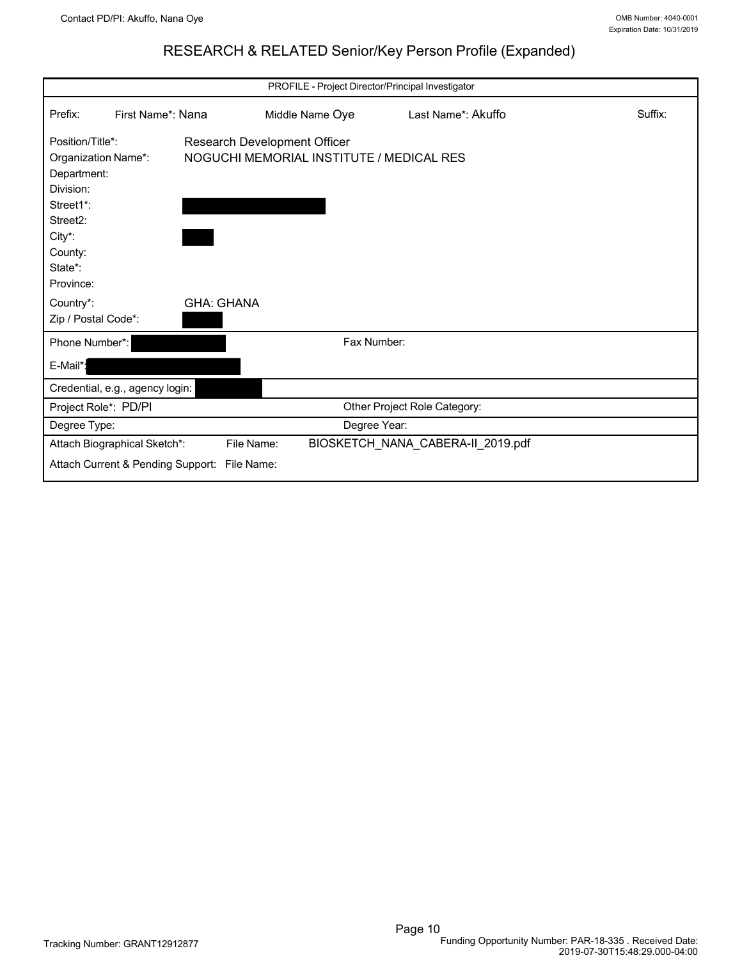## RESEARCH & RELATED Senior/Key Person Profile (Expanded)

<span id="page-10-0"></span>

| PROFILE - Project Director/Principal Investigator                                                                                                                                                                                                       |                                                                   |                          |              |                                   |         |
|---------------------------------------------------------------------------------------------------------------------------------------------------------------------------------------------------------------------------------------------------------|-------------------------------------------------------------------|--------------------------|--------------|-----------------------------------|---------|
| Prefix:                                                                                                                                                                                                                                                 | First Name*: Nana                                                 | Middle Name Oye          |              | Last Name*: Akuffo                | Suffix: |
| Position/Title*:<br>Research Development Officer<br>NOGUCHI MEMORIAL INSTITUTE / MEDICAL RES<br>Organization Name*:<br>Department:<br>Division:<br>Street1*:<br>Street2:<br>City*:<br>County:<br>State*:<br>Province:<br><b>GHA: GHANA</b><br>Country*: |                                                                   |                          |              |                                   |         |
| Phone Number*:                                                                                                                                                                                                                                          |                                                                   |                          | Fax Number:  |                                   |         |
| E-Mail*:                                                                                                                                                                                                                                                |                                                                   |                          |              |                                   |         |
|                                                                                                                                                                                                                                                         | Credential, e.g., agency login:                                   |                          |              |                                   |         |
| Project Role*: PD/PI                                                                                                                                                                                                                                    |                                                                   |                          |              | Other Project Role Category:      |         |
| Degree Type:                                                                                                                                                                                                                                            |                                                                   |                          | Degree Year: |                                   |         |
|                                                                                                                                                                                                                                                         | Attach Biographical Sketch*:<br>Attach Current & Pending Support: | File Name:<br>File Name: |              | BIOSKETCH_NANA_CABERA-II_2019.pdf |         |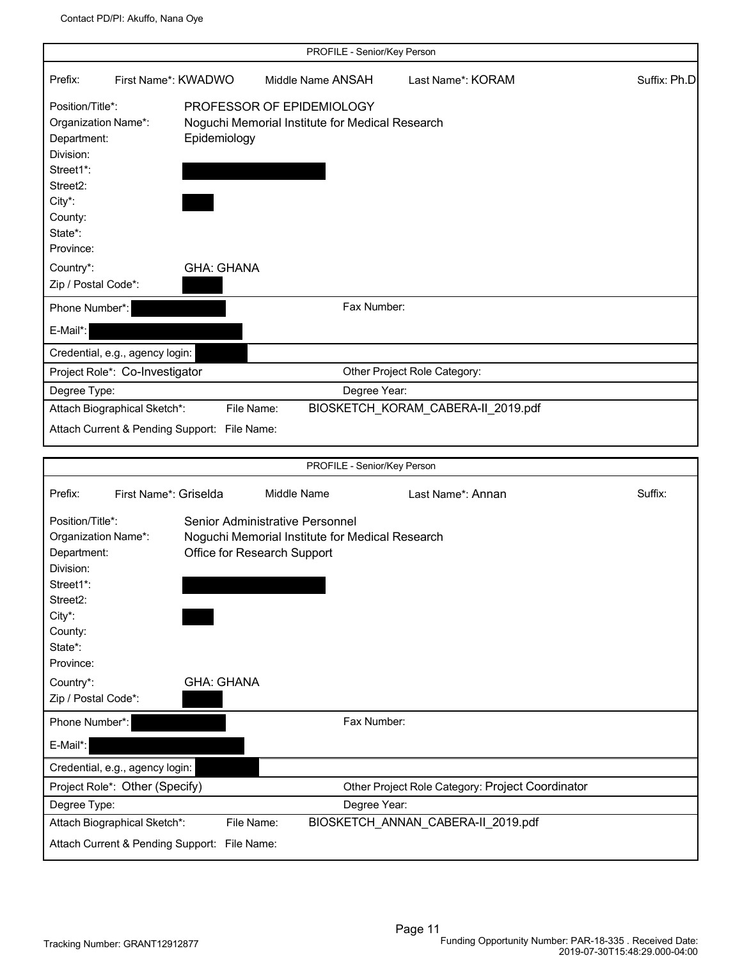|                                                                                                                                                                                            |                                                                                                                                                       | PROFILE - Senior/Key Person |                                                  |              |
|--------------------------------------------------------------------------------------------------------------------------------------------------------------------------------------------|-------------------------------------------------------------------------------------------------------------------------------------------------------|-----------------------------|--------------------------------------------------|--------------|
| Prefix:<br>First Name*: KWADWO                                                                                                                                                             |                                                                                                                                                       | Middle Name ANSAH           | Last Name*: KORAM                                | Suffix: Ph.D |
| Position/Title*:<br>Organization Name*:<br>Department:<br>Division:<br>Street1*:<br>Street <sub>2</sub> :<br>City*:<br>County:<br>State*:<br>Province:                                     | PROFESSOR OF EPIDEMIOLOGY<br>Noguchi Memorial Institute for Medical Research<br>Epidemiology                                                          |                             |                                                  |              |
| Country*:                                                                                                                                                                                  | <b>GHA: GHANA</b>                                                                                                                                     |                             |                                                  |              |
| Zip / Postal Code*:                                                                                                                                                                        |                                                                                                                                                       |                             |                                                  |              |
| Phone Number*:                                                                                                                                                                             |                                                                                                                                                       | Fax Number:                 |                                                  |              |
| E-Mail*:                                                                                                                                                                                   |                                                                                                                                                       |                             |                                                  |              |
| Credential, e.g., agency login:                                                                                                                                                            |                                                                                                                                                       |                             |                                                  |              |
| Project Role*: Co-Investigator                                                                                                                                                             |                                                                                                                                                       |                             | Other Project Role Category:                     |              |
| Degree Type:                                                                                                                                                                               |                                                                                                                                                       | Degree Year:                |                                                  |              |
| Attach Biographical Sketch*:                                                                                                                                                               | File Name:                                                                                                                                            |                             | BIOSKETCH_KORAM_CABERA-II_2019.pdf               |              |
| Attach Current & Pending Support: File Name:                                                                                                                                               |                                                                                                                                                       |                             |                                                  |              |
|                                                                                                                                                                                            |                                                                                                                                                       | PROFILE - Senior/Key Person |                                                  |              |
|                                                                                                                                                                                            |                                                                                                                                                       |                             |                                                  |              |
| First Name*: Griselda<br>Prefix:<br>Position/Title*:<br>Organization Name*:<br>Department:<br>Division:<br>Street1*:<br>Street2:<br>City*:<br>County:<br>State*:<br>Province:<br>Country*: | Middle Name<br>Senior Administrative Personnel<br>Noguchi Memorial Institute for Medical Research<br>Office for Research Support<br><b>GHA: GHANA</b> |                             | Last Name*: Annan                                | Suffix:      |
| Zip / Postal Code*:                                                                                                                                                                        |                                                                                                                                                       |                             |                                                  |              |
| Phone Number*:<br>E-Mail*:                                                                                                                                                                 |                                                                                                                                                       | Fax Number:                 |                                                  |              |
| Credential, e.g., agency login:                                                                                                                                                            |                                                                                                                                                       |                             |                                                  |              |
| Project Role*: Other (Specify)<br>Degree Type:                                                                                                                                             |                                                                                                                                                       | Degree Year:                | Other Project Role Category: Project Coordinator |              |
|                                                                                                                                                                                            |                                                                                                                                                       |                             |                                                  |              |
| Attach Biographical Sketch*:                                                                                                                                                               | File Name:                                                                                                                                            |                             | BIOSKETCH_ANNAN_CABERA-II_2019.pdf               |              |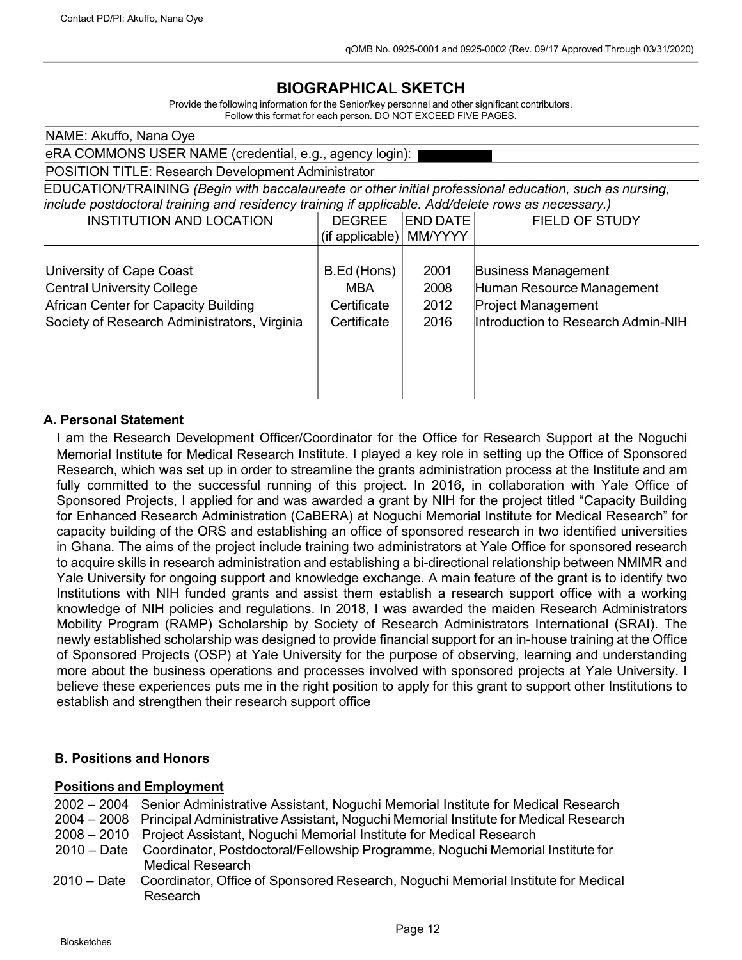# **BIOGRAPHICAL SKETCH**

Provide the following information for the Senior/key personnel and other significant contributors. Follow this format for each person. DO NOT EXCEED FIVE PAGES.

| NAME: Akuffo, Nana Oye                                                                                 |                    |                 |                                    |  |  |
|--------------------------------------------------------------------------------------------------------|--------------------|-----------------|------------------------------------|--|--|
| eRA COMMONS USER NAME (credential, e.g., agency login):                                                |                    |                 |                                    |  |  |
| POSITION TITLE: Research Development Administrator                                                     |                    |                 |                                    |  |  |
| EDUCATION/TRAINING (Begin with baccalaureate or other initial professional education, such as nursing, |                    |                 |                                    |  |  |
| include postdoctoral training and residency training if applicable. Add/delete rows as necessary.)     |                    |                 |                                    |  |  |
| <b>INSTITUTION AND LOCATION</b>                                                                        | <b>DEGREE</b>      | <b>END DATE</b> | <b>FIELD OF STUDY</b>              |  |  |
|                                                                                                        | $(i$ f applicable) | MM/YYYY         |                                    |  |  |
|                                                                                                        |                    |                 |                                    |  |  |
| University of Cape Coast                                                                               | B.Ed (Hons)        | 2001            | <b>Business Management</b>         |  |  |
| <b>Central University College</b>                                                                      | MBA                | 2008            | Human Resource Management          |  |  |
| <b>African Center for Capacity Building</b><br><b>Project Management</b><br>Certificate<br>2012        |                    |                 |                                    |  |  |
| Society of Research Administrators, Virginia                                                           | Certificate        | 2016            | Introduction to Research Admin-NIH |  |  |
|                                                                                                        |                    |                 |                                    |  |  |
|                                                                                                        |                    |                 |                                    |  |  |
|                                                                                                        |                    |                 |                                    |  |  |
|                                                                                                        |                    |                 |                                    |  |  |
|                                                                                                        |                    |                 |                                    |  |  |

#### **A. Personal Statement**

I am the Research Development Officer/Coordinator for the Office for Research Support at the Noguchi Memorial Institute for Medical Research Institute. I played a key role in setting up the Office of Sponsored Research, which was set up in order to streamline the grants administration process at the Institute and am fully committed to the successful running of this project. In 2016, in collaboration with Yale Office of Sponsored Projects, I applied for and was awarded a grant by NIH for the project titled "Capacity Building for Enhanced Research Administration (CaBERA) at Noguchi Memorial Institute for Medical Research" for capacity building of the ORS and establishing an office of sponsored research in two identified universities in Ghana. The aims of the project include training two administrators at Yale Office for sponsored research to acquire skills in research administration and establishing a bi-directional relationship between NMIMR and Yale University for ongoing support and knowledge exchange. A main feature of the grant is to identify two Institutions with NIH funded grants and assist them establish a research support office with a working knowledge of NIH policies and regulations. In 2018, I was awarded the maiden Research Administrators Mobility Program (RAMP) Scholarship by Society of Research Administrators International (SRAI). The newly established scholarship was designed to provide financial support for an in-house training at the Office of Sponsored Projects (OSP) at Yale University for the purpose of observing, learning and understanding more about the business operations and processes involved with sponsored projects at Yale University. I believe these experiences puts me in the right position to apply for this grant to support other Institutions to establish and strengthen their research support office

#### **B. Positions and Honors**

#### **Positions and Employment**

- 2002 2004 Senior Administrative Assistant, Noguchi Memorial Institute for Medical Research
- 2004 2008 Principal Administrative Assistant, Noguchi Memorial Institute for Medical Research
- 2008 2010 Project Assistant, Noguchi Memorial Institute for Medical Research
- 2010 Date Coordinator, Postdoctoral/Fellowship Programme, Noguchi Memorial Institute for Medical Research
- 2010 Date Coordinator, Office of Sponsored Research, Noguchi Memorial Institute for Medical Research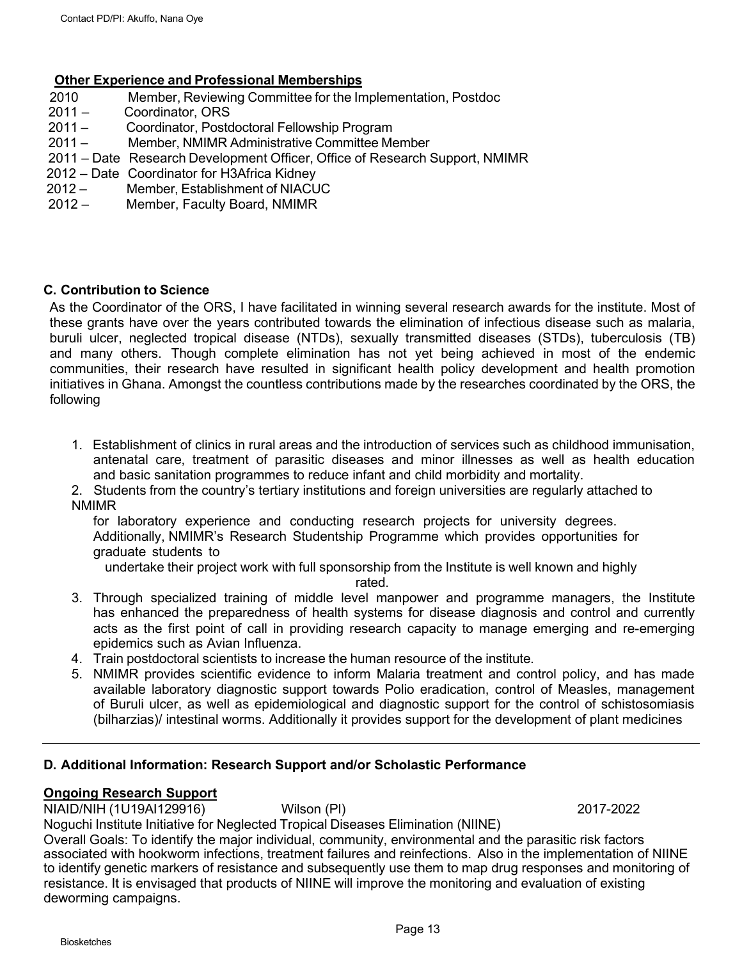#### **Other Experience and Professional Memberships**

- 2010 Member, Reviewing Committee for the Implementation, Postdoc
- 2011 Coordinator, ORS<br>2011 Coordinator, Posto
- Coordinator, Postdoctoral Fellowship Program
- 2011 Member, NMIMR Administrative Committee Member
- 2011 Date Research Development Officer, Office of Research Support, NMIMR
- 2012 Date Coordinator for H3Africa Kidney
- 2012 Member, Establishment of NIACUC
- 2012 Member, Faculty Board, NMIMR

#### **C. Contribution to Science**

As the Coordinator of the ORS, I have facilitated in winning several research awards for the institute. Most of these grants have over the years contributed towards the elimination of infectious disease such as malaria, buruli ulcer, neglected tropical disease (NTDs), sexually transmitted diseases (STDs), tuberculosis (TB) and many others. Though complete elimination has not yet being achieved in most of the endemic communities, their research have resulted in significant health policy development and health promotion initiatives in Ghana. Amongst the countless contributions made by the researches coordinated by the ORS, the following

- 1. Establishment of clinics in rural areas and the introduction of services such as childhood immunisation, antenatal care, treatment of parasitic diseases and minor illnesses as well as health education and basic sanitation programmes to reduce infant and child morbidity and mortality.
- 2. Students from the country's tertiary institutions and foreign universities are regularly attached to NMIMR

for laboratory experience and conducting research projects for university degrees.

Additionally, NMIMR's Research Studentship Programme which provides opportunities for graduate students to

undertake their project work with full sponsorship from the Institute is well known and highly

rated.

- 3. Through specialized training of middle level manpower and programme managers, the Institute has enhanced the preparedness of health systems for disease diagnosis and control and currently acts as the first point of call in providing research capacity to manage emerging and re-emerging epidemics such as Avian Influenza.
- 4. Train postdoctoral scientists to increase the human resource of the institute.
- 5. NMIMR provides scientific evidence to inform Malaria treatment and control policy, and has made available laboratory diagnostic support towards Polio eradication, control of Measles, management of Buruli ulcer, as well as epidemiological and diagnostic support for the control of schistosomiasis (bilharzias)/ intestinal worms. Additionally it provides support for the development of plant medicines

#### **D. Additional Information: Research Support and/or Scholastic Performance**

#### **Ongoing Research Support**

NIAID/NIH (1U19AI129916) Wilson (PI) 2017-2022 Noguchi Institute Initiative for Neglected Tropical Diseases Elimination (NIINE)

Overall Goals: To identify the major individual, community, environmental and the parasitic risk factors associated with hookworm infections, treatment failures and reinfections. Also in the implementation of NIINE to identify genetic markers of resistance and subsequently use them to map drug responses and monitoring of resistance. It is envisaged that products of NIINE will improve the monitoring and evaluation of existing deworming campaigns.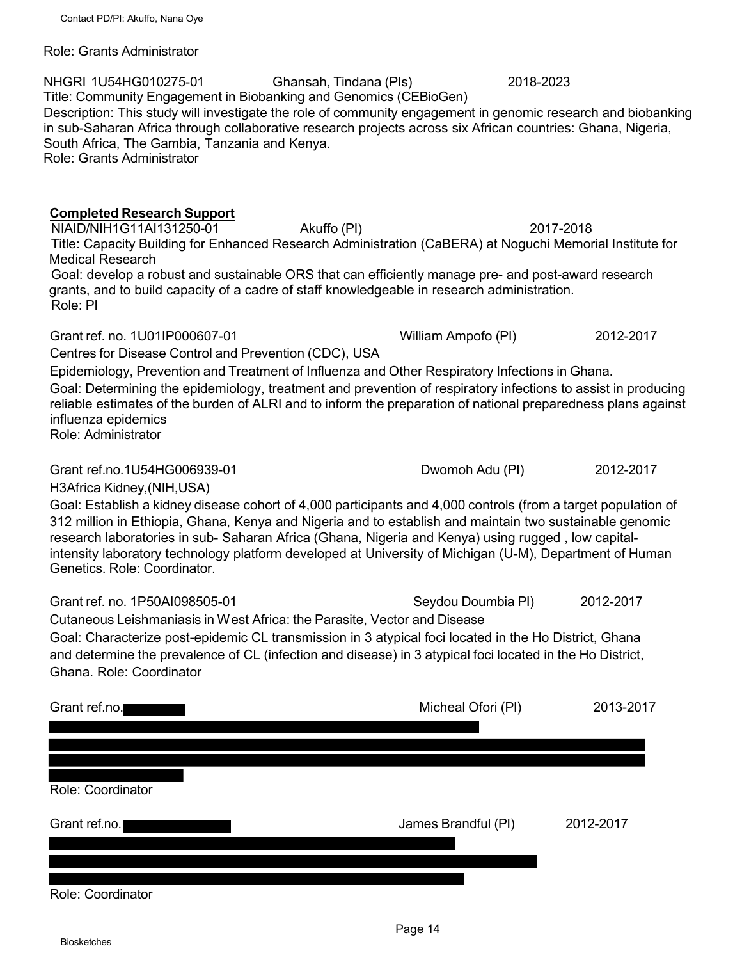Role: Grants Administrator

## NHGRI 1U54HG010275-01 Ghansah, Tindana (PIs) 2018-2023 Title: Community Engagement in Biobanking and Genomics (CEBioGen) Description: This study will investigate the role of community engagement in genomic research and biobanking in sub-Saharan Africa through collaborative research projects across six African countries: Ghana, Nigeria, South Africa, The Gambia, Tanzania and Kenya. Role: Grants Administrator

## **Completed Research Support**

NIAID/NIH1G11AI131250-01 Akuffo (PI) 2017-2018 Title: Capacity Building for Enhanced Research Administration (CaBERA) at Noguchi Memorial Institute for Medical Research Goal: develop a robust and sustainable ORS that can efficiently manage pre- and post-award research grants, and to build capacity of a cadre of staff knowledgeable in research administration. Role: PI

Grant ref. no. 1U01IP000607-01 William Ampofo (PI) 2012-2017

Centres for Disease Control and Prevention (CDC), USA

Epidemiology, Prevention and Treatment of Influenza and Other Respiratory Infections in Ghana.

Goal: Determining the epidemiology, treatment and prevention of respiratory infections to assist in producing reliable estimates of the burden of ALRI and to inform the preparation of national preparedness plans against influenza epidemics Role: Administrator

Grant ref.no.1U54HG006939-01 Dwomoh Adu (PI) 2012-2017

H3Africa Kidney,(NIH,USA)

Goal: Establish a kidney disease cohort of 4,000 participants and 4,000 controls (from a target population of 312 million in Ethiopia, Ghana, Kenya and Nigeria and to establish and maintain two sustainable genomic research laboratories in sub- Saharan Africa (Ghana, Nigeria and Kenya) using rugged , low capitalintensity laboratory technology platform developed at University of Michigan (U-M), Department of Human Genetics. Role: Coordinator.

Grant ref. no. 1P50AI098505-01 Seydou Doumbia PI) 2012-2017 Cutaneous Leishmaniasis in W est Africa: the Parasite, Vector and Disease Goal: Characterize post-epidemic CL transmission in 3 atypical foci located in the Ho District, Ghana and determine the prevalence of CL (infection and disease) in 3 atypical foci located in the Ho District, Ghana. Role: Coordinator

| Grant ref.no.     | Micheal Ofori (PI)  | 2013-2017 |
|-------------------|---------------------|-----------|
|                   |                     |           |
| Role: Coordinator |                     |           |
| Grant ref.no.     | James Brandful (PI) | 2012-2017 |
|                   |                     |           |

Role: Coordinator

Biosketches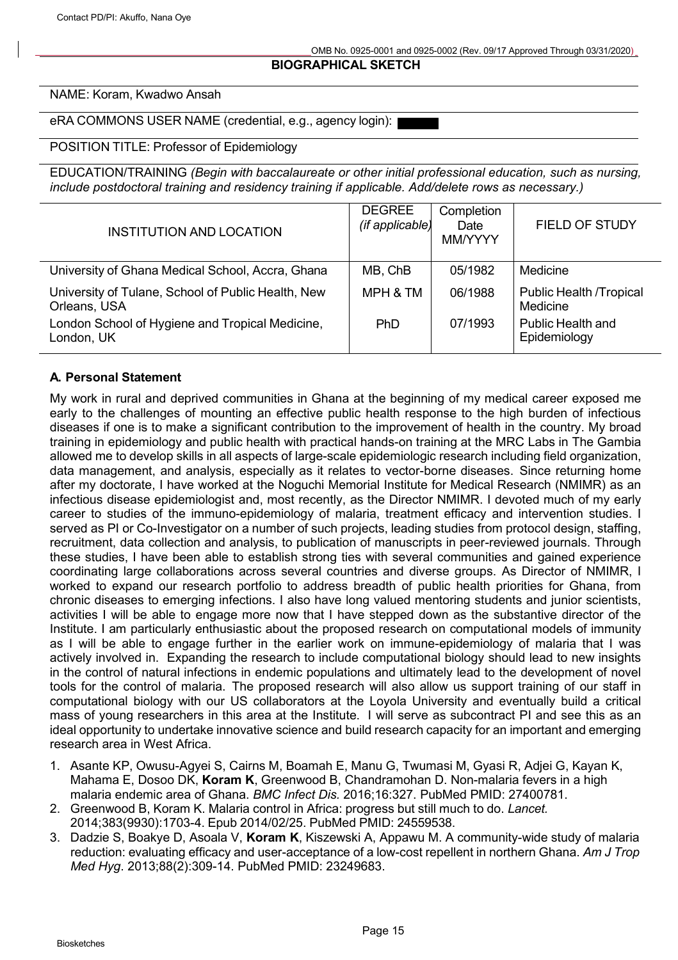#### **BIOGRAPHICAL SKETCH**

#### NAME: Koram, Kwadwo Ansah

eRA COMMONS USER NAME (credential, e.g., agency login):

#### POSITION TITLE: Professor of Epidemiology

EDUCATION/TRAINING *(Begin with baccalaureate or other initial professional education, such as nursing, include postdoctoral training and residency training if applicable. Add/delete rows as necessary.)*

| <b>INSTITUTION AND LOCATION</b>                                    | <b>DEGREE</b><br>(if applicable) | Completion<br>Date<br><b>MM/YYYY</b> | <b>FIELD OF STUDY</b>                      |
|--------------------------------------------------------------------|----------------------------------|--------------------------------------|--------------------------------------------|
| University of Ghana Medical School, Accra, Ghana                   | MB, ChB                          | 05/1982                              | Medicine                                   |
| University of Tulane, School of Public Health, New<br>Orleans, USA | MPH & TM                         | 06/1988                              | <b>Public Health /Tropical</b><br>Medicine |
| London School of Hygiene and Tropical Medicine,<br>London, UK      | <b>PhD</b>                       | 07/1993                              | <b>Public Health and</b><br>Epidemiology   |

#### **A. Personal Statement**

My work in rural and deprived communities in Ghana at the beginning of my medical career exposed me early to the challenges of mounting an effective public health response to the high burden of infectious diseases if one is to make a significant contribution to the improvement of health in the country. My broad training in epidemiology and public health with practical hands-on training at the MRC Labs in The Gambia allowed me to develop skills in all aspects of large-scale epidemiologic research including field organization, data management, and analysis, especially as it relates to vector-borne diseases. Since returning home after my doctorate, I have worked at the Noguchi Memorial Institute for Medical Research (NMIMR) as an infectious disease epidemiologist and, most recently, as the Director NMIMR. I devoted much of my early career to studies of the immuno-epidemiology of malaria, treatment efficacy and intervention studies. I served as PI or Co-Investigator on a number of such projects, leading studies from protocol design, staffing, recruitment, data collection and analysis, to publication of manuscripts in peer-reviewed journals. Through these studies, I have been able to establish strong ties with several communities and gained experience coordinating large collaborations across several countries and diverse groups. As Director of NMIMR, I worked to expand our research portfolio to address breadth of public health priorities for Ghana, from chronic diseases to emerging infections. I also have long valued mentoring students and junior scientists, activities I will be able to engage more now that I have stepped down as the substantive director of the Institute. I am particularly enthusiastic about the proposed research on computational models of immunity as I will be able to engage further in the earlier work on immune-epidemiology of malaria that I was actively involved in. Expanding the research to include computational biology should lead to new insights in the control of natural infections in endemic populations and ultimately lead to the development of novel tools for the control of malaria. The proposed research will also allow us support training of our staff in computational biology with our US collaborators at the Loyola University and eventually build a critical mass of young researchers in this area at the Institute. I will serve as subcontract PI and see this as an ideal opportunity to undertake innovative science and build research capacity for an important and emerging research area in West Africa.

- 1. Asante KP, Owusu-Agyei S, Cairns M, Boamah E, Manu G, Twumasi M, Gyasi R, Adjei G, Kayan K, Mahama E, Dosoo DK, **Koram K**, Greenwood B, Chandramohan D. Non-malaria fevers in a high malaria endemic area of Ghana. *BMC Infect Dis.* 2016;16:327. PubMed PMID: 27400781.
- 2. Greenwood B, Koram K. Malaria control in Africa: progress but still much to do. *Lancet.* 2014;383(9930):1703-4. Epub 2014/02/25. PubMed PMID: 24559538.
- 3. Dadzie S, Boakye D, Asoala V, **Koram K**, Kiszewski A, Appawu M. A community-wide study of malaria reduction: evaluating efficacy and user-acceptance of a low-cost repellent in northern Ghana. *Am J Trop Med Hyg*. 2013;88(2):309-14. PubMed PMID: 23249683.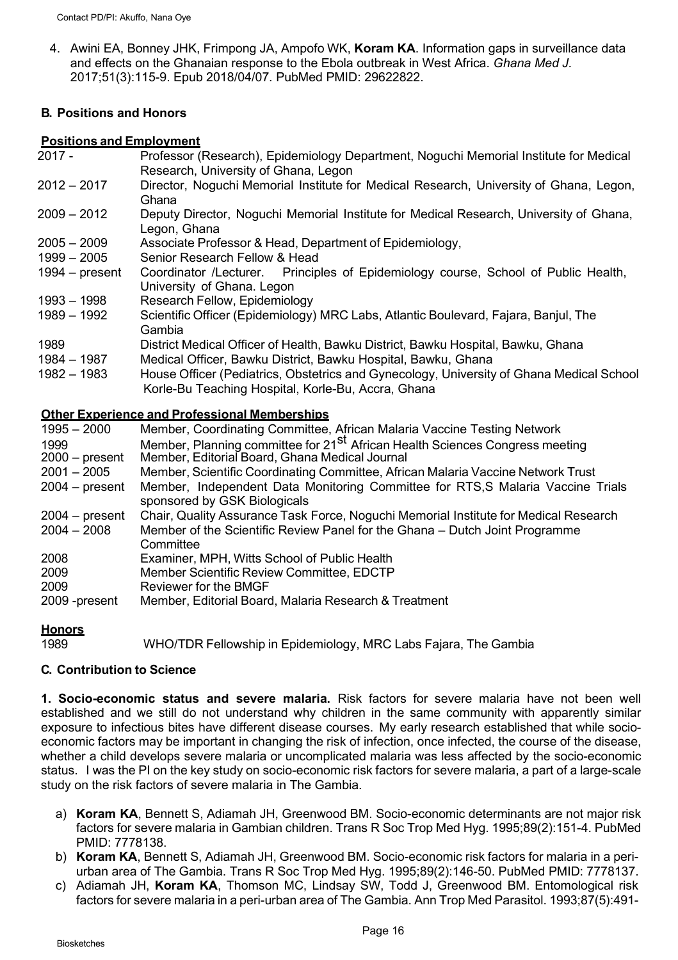4. Awini EA, Bonney JHK, Frimpong JA, Ampofo WK, **Koram KA**. Information gaps in surveillance data and effects on the Ghanaian response to the Ebola outbreak in West Africa. *Ghana Med J.*  2017;51(3):115-9. Epub 2018/04/07. PubMed PMID: 29622822.

## **B. Positions and Honors**

#### **Positions and Employment**

- 2017 Professor (Research), Epidemiology Department, Noguchi Memorial Institute for Medical Research, University of Ghana, Legon
- 2012 2017 Director, Noguchi Memorial Institute for Medical Research, University of Ghana, Legon, Ghana
- 2009 2012 Deputy Director, Noguchi Memorial Institute for Medical Research, University of Ghana, Legon, Ghana
- 2005 2009 Associate Professor & Head, Department of Epidemiology,
- 1999 2005 Senior Research Fellow & Head
- 1994 present Coordinator /Lecturer. Principles of Epidemiology course, School of Public Health, University of Ghana. Legon
- 1993 1998 Research Fellow, Epidemiology
- 1989 1992 Scientific Officer (Epidemiology) MRC Labs, Atlantic Boulevard, Fajara, Banjul, The Gambia
- 1989 District Medical Officer of Health, Bawku District, Bawku Hospital, Bawku, Ghana 1984 – 1987 Medical Officer, Bawku District, Bawku Hospital, Bawku, Ghana
- 1982 1983 House Officer (Pediatrics, Obstetrics and Gynecology, University of Ghana Medical School Korle-Bu Teaching Hospital, Korle-Bu, Accra, Ghana

## **Other Experience and Professional Memberships**

| $1995 - 2000$    | Member, Coordinating Committee, African Malaria Vaccine Testing Network                                         |
|------------------|-----------------------------------------------------------------------------------------------------------------|
| 1999             | Member, Planning committee for 21 <sup>St</sup> African Health Sciences Congress meeting                        |
| $2000 - present$ | Member, Editorial Board, Ghana Medical Journal                                                                  |
| $2001 - 2005$    | Member, Scientific Coordinating Committee, African Malaria Vaccine Network Trust                                |
| $2004 - present$ | Member, Independent Data Monitoring Committee for RTS, S Malaria Vaccine Trials<br>sponsored by GSK Biologicals |
| $2004 - present$ | Chair, Quality Assurance Task Force, Noguchi Memorial Institute for Medical Research                            |
| $2004 - 2008$    | Member of the Scientific Review Panel for the Ghana – Dutch Joint Programme<br>Committee                        |
| 2008             | Examiner, MPH, Witts School of Public Health                                                                    |
| 2009             | Member Scientific Review Committee, EDCTP                                                                       |
| 2009             | Reviewer for the BMGF                                                                                           |
| 2009 - present   | Member, Editorial Board, Malaria Research & Treatment                                                           |

## **Honors**

1989 WHO/TDR Fellowship in Epidemiology, MRC Labs Fajara, The Gambia

## **C. Contribution to Science**

**1. Socio-economic status and severe malaria.** Risk factors for severe malaria have not been well established and we still do not understand why children in the same community with apparently similar exposure to infectious bites have different disease courses. My early research established that while socioeconomic factors may be important in changing the risk of infection, once infected, the course of the disease, whether a child develops severe malaria or uncomplicated malaria was less affected by the socio-economic status. I was the PI on the key study on socio-economic risk factors for severe malaria, a part of a large-scale study on the risk factors of severe malaria in The Gambia.

- a) **Koram KA**, Bennett S, Adiamah JH, Greenwood BM. Socio-economic determinants are not major risk factors for severe malaria in Gambian children. Trans R Soc Trop Med Hyg. 1995;89(2):151-4. PubMed PMID: 7778138.
- b) **Koram KA**, Bennett S, Adiamah JH, Greenwood BM. Socio-economic risk factors for malaria in a periurban area of The Gambia. Trans R Soc Trop Med Hyg. 1995;89(2):146-50. PubMed PMID: 7778137.
- c) Adiamah JH, **Koram KA**, Thomson MC, Lindsay SW, Todd J, Greenwood BM. Entomological risk factors for severe malaria in a peri-urban area of The Gambia. Ann Trop Med Parasitol. 1993;87(5):491-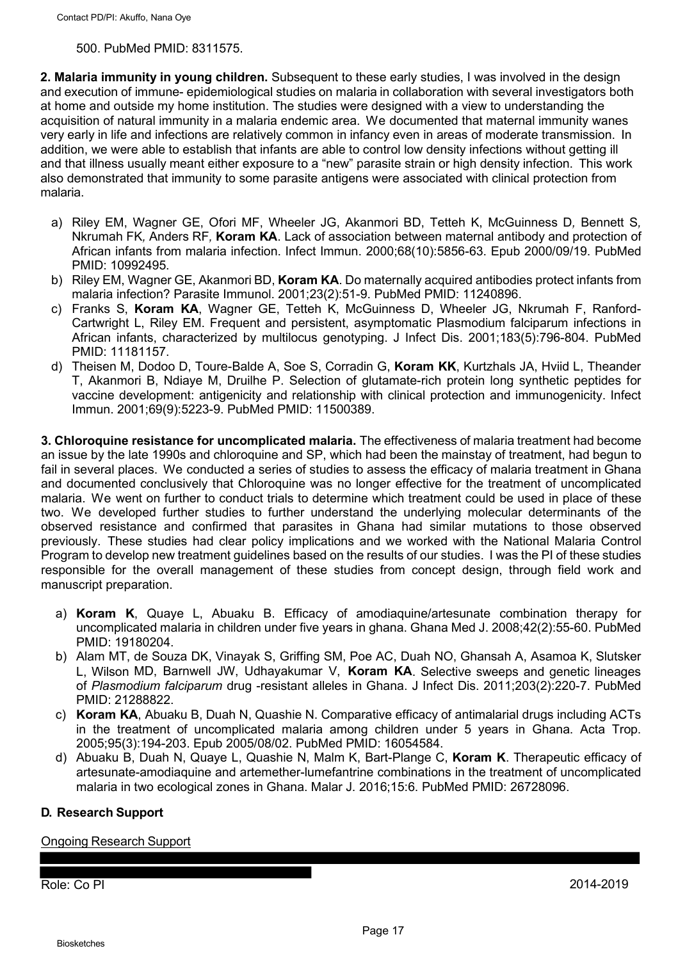#### 500. PubMed PMID: 8311575.

**2. Malaria immunity in young children.** Subsequent to these early studies, I was involved in the design and execution of immune- epidemiological studies on malaria in collaboration with several investigators both at home and outside my home institution. The studies were designed with a view to understanding the acquisition of natural immunity in a malaria endemic area. We documented that maternal immunity wanes very early in life and infections are relatively common in infancy even in areas of moderate transmission. In addition, we were able to establish that infants are able to control low density infections without getting ill and that illness usually meant either exposure to a "new" parasite strain or high density infection. This work also demonstrated that immunity to some parasite antigens were associated with clinical protection from malaria.

- a) Riley EM, Wagner GE, Ofori MF, Wheeler JG, Akanmori BD, Tetteh K, McGuinness D*,* Bennett S*,*  Nkrumah FK*,* Anders RF*,* **Koram KA**. Lack of association between maternal antibody and protection of African infants from malaria infection. Infect Immun. 2000;68(10):5856-63. Epub 2000/09/19. PubMed PMID: 10992495.
- b) Riley EM, Wagner GE, Akanmori BD, **Koram KA**. Do maternally acquired antibodies protect infants from malaria infection? Parasite Immunol. 2001;23(2):51-9. PubMed PMID: 11240896.
- c) Franks S, **Koram KA**, Wagner GE, Tetteh K, McGuinness D, Wheeler JG, Nkrumah F, Ranford-Cartwright L, Riley EM. Frequent and persistent, asymptomatic Plasmodium falciparum infections in African infants, characterized by multilocus genotyping. J Infect Dis. 2001;183(5):796-804. PubMed PMID: 11181157.
- d) Theisen M, Dodoo D, Toure-Balde A, Soe S, Corradin G, **Koram KK**, Kurtzhals JA, Hviid L, Theander T, Akanmori B, Ndiaye M, Druilhe P. Selection of glutamate-rich protein long synthetic peptides for vaccine development: antigenicity and relationship with clinical protection and immunogenicity. Infect Immun. 2001;69(9):5223-9. PubMed PMID: 11500389.

**3. Chloroquine resistance for uncomplicated malaria.** The effectiveness of malaria treatment had become an issue by the late 1990s and chloroquine and SP, which had been the mainstay of treatment, had begun to fail in several places. We conducted a series of studies to assess the efficacy of malaria treatment in Ghana and documented conclusively that Chloroquine was no longer effective for the treatment of uncomplicated malaria. We went on further to conduct trials to determine which treatment could be used in place of these two. We developed further studies to further understand the underlying molecular determinants of the observed resistance and confirmed that parasites in Ghana had similar mutations to those observed previously. These studies had clear policy implications and we worked with the National Malaria Control Program to develop new treatment guidelines based on the results of our studies. I was the PI of these studies responsible for the overall management of these studies from concept design, through field work and manuscript preparation.

- a) **Koram K**, Quaye L, Abuaku B. Efficacy of amodiaquine/artesunate combination therapy for uncomplicated malaria in children under five years in ghana. Ghana Med J. 2008;42(2):55-60. PubMed PMID: 19180204.
- b) Alam MT, de Souza DK, Vinayak S, Griffing SM, Poe AC, Duah NO, Ghansah A, Asamoa K, Slutsker L, Wilson MD, Barnwell JW, Udhayakumar V, **Koram KA**. Selective sweeps and genetic lineages of *Plasmodium falciparum* drug -resistant alleles in Ghana. J Infect Dis. 2011;203(2):220-7. PubMed PMID: 21288822.
- c) **Koram KA**, Abuaku B, Duah N, Quashie N. Comparative efficacy of antimalarial drugs including ACTs in the treatment of uncomplicated malaria among children under 5 years in Ghana. Acta Trop. 2005;95(3):194-203. Epub 2005/08/02. PubMed PMID: 16054584.
- d) Abuaku B, Duah N, Quaye L, Quashie N, Malm K, Bart-Plange C, **Koram K**. Therapeutic efficacy of artesunate-amodiaquine and artemether-lumefantrine combinations in the treatment of uncomplicated malaria in two ecological zones in Ghana. Malar J. 2016;15:6. PubMed PMID: 26728096.

## **D. Research Support**

Ongoing Research Support

Role: Co PI 2014-2019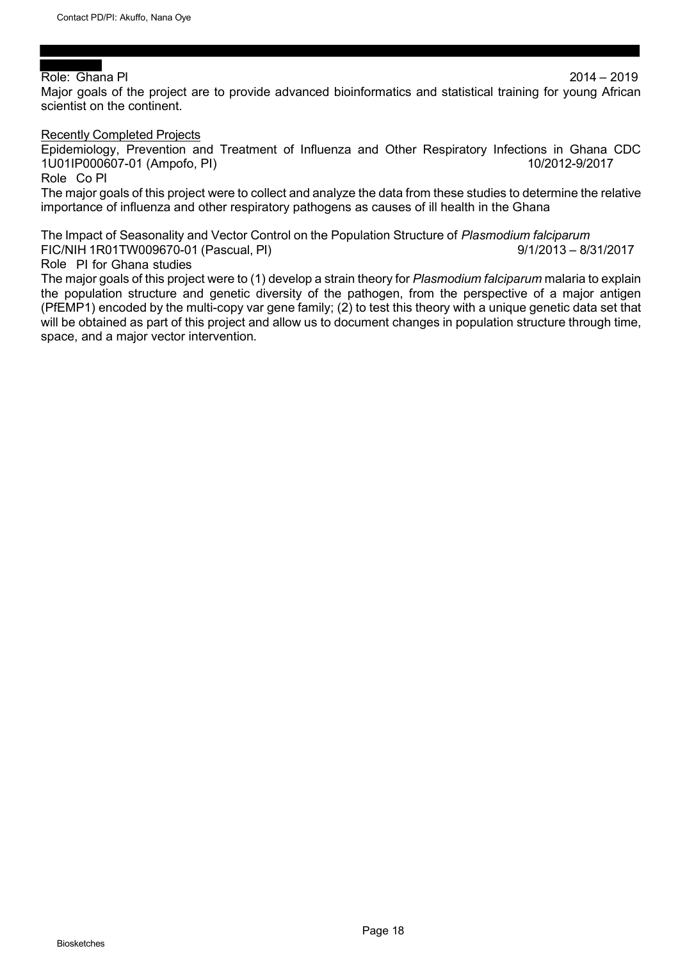#### Role: Ghana PI 2014 – 2019

Major goals of the project are to provide advanced bioinformatics and statistical training for young African scientist on the continent.

#### Recently Completed Projects

Epidemiology, Prevention and Treatment of Influenza and Other Respiratory Infections in Ghana CDC 1U01IP000607-01 (Ampofo, PI) 10/2012-9/2017

Role Co PI

The major goals of this project were to collect and analyze the data from these studies to determine the relative importance of influenza and other respiratory pathogens as causes of ill health in the Ghana

The Impact of Seasonality and Vector Control on the Population Structure of *Plasmodium falciparum* FIC/NIH 1R01TW009670-01 (Pascual, PI) 9/1/2013 – 8/31/2017

#### Role PI for Ghana studies

The major goals of this project were to (1) develop a strain theory for *Plasmodium falciparum* malaria to explain the population structure and genetic diversity of the pathogen, from the perspective of a major antigen (PfEMP1) encoded by the multi-copy var gene family; (2) to test this theory with a unique genetic data set that will be obtained as part of this project and allow us to document changes in population structure through time, space, and a major vector intervention.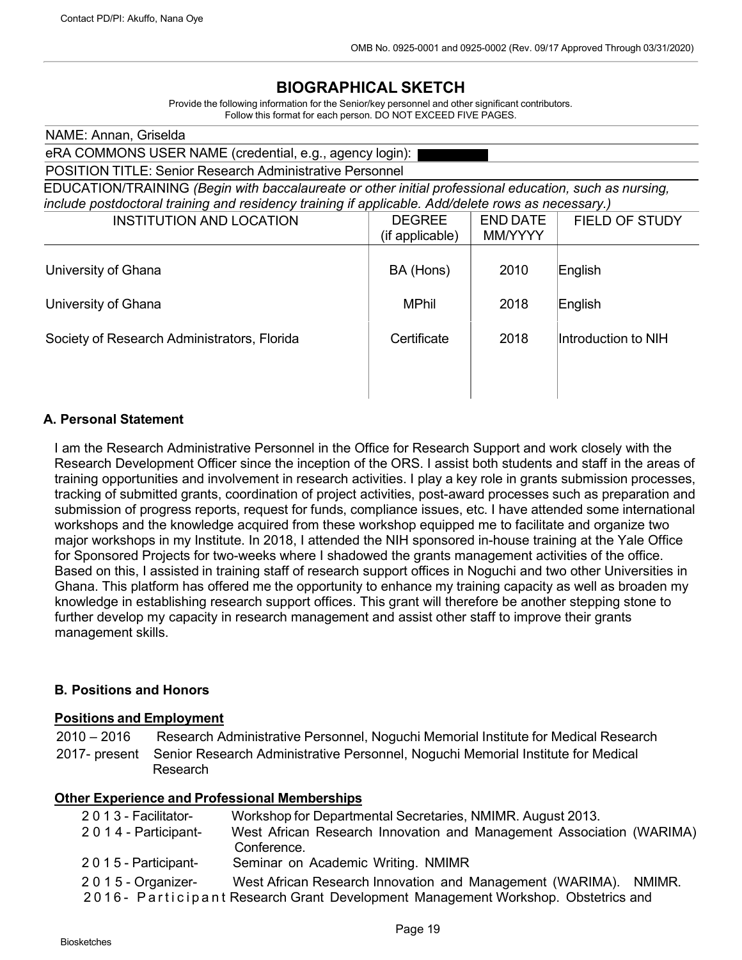# **BIOGRAPHICAL SKETCH**

Provide the following information for the Senior/key personnel and other significant contributors. Follow this format for each person. DO NOT EXCEED FIVE PAGES.

| NAME: Annan, Griselda                                                                                  |                                                                 |                 |                       |  |  |  |
|--------------------------------------------------------------------------------------------------------|-----------------------------------------------------------------|-----------------|-----------------------|--|--|--|
|                                                                                                        | eRA COMMONS USER NAME (credential, e.g., agency login):         |                 |                       |  |  |  |
|                                                                                                        | <b>POSITION TITLE: Senior Research Administrative Personnel</b> |                 |                       |  |  |  |
| EDUCATION/TRAINING (Begin with baccalaureate or other initial professional education, such as nursing, |                                                                 |                 |                       |  |  |  |
| include postdoctoral training and residency training if applicable. Add/delete rows as necessary.)     |                                                                 |                 |                       |  |  |  |
| <b>INSTITUTION AND LOCATION</b>                                                                        | <b>DEGREE</b>                                                   | <b>END DATE</b> | <b>FIELD OF STUDY</b> |  |  |  |
|                                                                                                        | (if applicable)                                                 | MM/YYYY         |                       |  |  |  |
|                                                                                                        |                                                                 |                 |                       |  |  |  |
| University of Ghana                                                                                    | BA (Hons)                                                       | 2010            | English               |  |  |  |
|                                                                                                        |                                                                 |                 |                       |  |  |  |
| University of Ghana                                                                                    | <b>MPhil</b>                                                    | 2018            | English               |  |  |  |
|                                                                                                        |                                                                 |                 |                       |  |  |  |
| Society of Research Administrators, Florida                                                            | Certificate                                                     | 2018            | Introduction to NIH   |  |  |  |
|                                                                                                        |                                                                 |                 |                       |  |  |  |
|                                                                                                        |                                                                 |                 |                       |  |  |  |
|                                                                                                        |                                                                 |                 |                       |  |  |  |
|                                                                                                        |                                                                 |                 |                       |  |  |  |

## **A. Personal Statement**

I am the Research Administrative Personnel in the Office for Research Support and work closely with the Research Development Officer since the inception of the ORS. I assist both students and staff in the areas of training opportunities and involvement in research activities. I play a key role in grants submission processes, tracking of submitted grants, coordination of project activities, post-award processes such as preparation and submission of progress reports, request for funds, compliance issues, etc. I have attended some international workshops and the knowledge acquired from these workshop equipped me to facilitate and organize two major workshops in my Institute. In 2018, I attended the NIH sponsored in-house training at the Yale Office for Sponsored Projects for two-weeks where I shadowed the grants management activities of the office. Based on this, I assisted in training staff of research support offices in Noguchi and two other Universities in Ghana. This platform has offered me the opportunity to enhance my training capacity as well as broaden my knowledge in establishing research support offices. This grant will therefore be another stepping stone to further develop my capacity in research management and assist other staff to improve their grants management skills.

#### **B. Positions and Honors**

#### **Positions and Employment**

2010 – 2016 Research Administrative Personnel, Noguchi Memorial Institute for Medical Research 2017- present Senior Research Administrative Personnel, Noguchi Memorial Institute for Medical Research

#### **Other Experience and Professional Memberships**

| 2013 - Facilitator-    | Workshop for Departmental Secretaries, NMIMR. August 2013.                        |
|------------------------|-----------------------------------------------------------------------------------|
| 2014 - Participant-    | West African Research Innovation and Management Association (WARIMA)              |
|                        | Conference.                                                                       |
| 2 0 1 5 - Participant- | Seminar on Academic Writing. NMIMR                                                |
| 2015 - Organizer-      | West African Research Innovation and Management (WARIMA). NMIMR.                  |
|                        | 2016 - Participant Research Grant Development Management Workshop. Obstetrics and |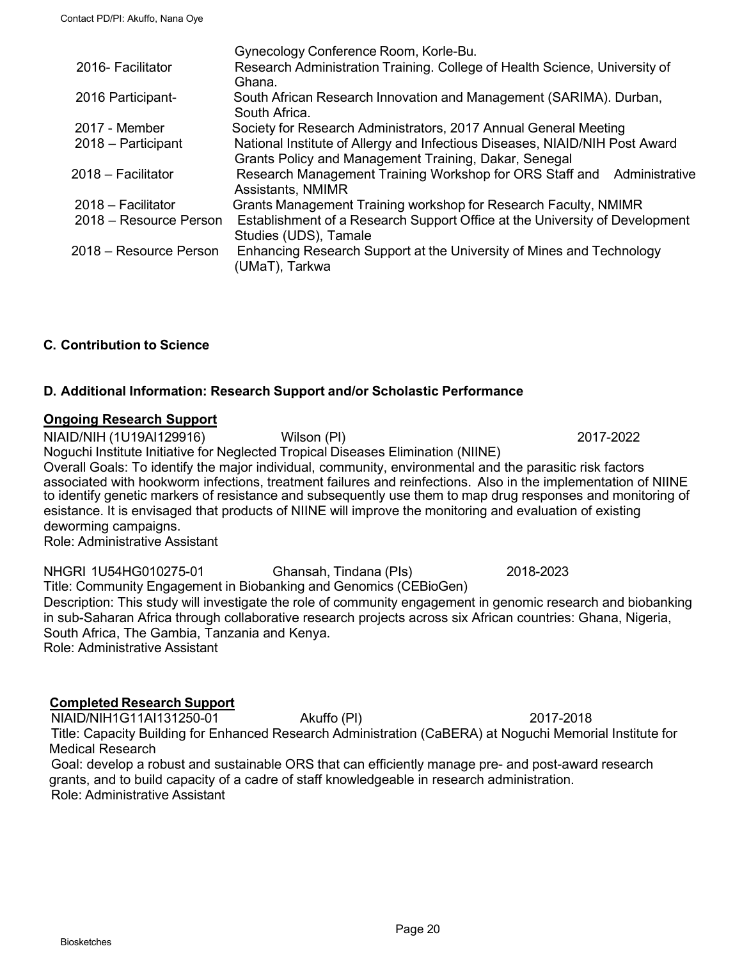|                        | Gynecology Conference Room, Korle-Bu.                                       |
|------------------------|-----------------------------------------------------------------------------|
| 2016- Facilitator      | Research Administration Training. College of Health Science, University of  |
|                        | Ghana.                                                                      |
| 2016 Participant-      | South African Research Innovation and Management (SARIMA). Durban,          |
|                        | South Africa.                                                               |
| 2017 - Member          | Society for Research Administrators, 2017 Annual General Meeting            |
| 2018 - Participant     | National Institute of Allergy and Infectious Diseases, NIAID/NIH Post Award |
|                        | Grants Policy and Management Training, Dakar, Senegal                       |
| 2018 - Facilitator     | Research Management Training Workshop for ORS Staff and<br>Administrative   |
|                        | Assistants, NMIMR                                                           |
| 2018 - Facilitator     | Grants Management Training workshop for Research Faculty, NMIMR             |
| 2018 – Resource Person | Establishment of a Research Support Office at the University of Development |
|                        | Studies (UDS), Tamale                                                       |
| 2018 – Resource Person | Enhancing Research Support at the University of Mines and Technology        |
|                        | (UMaT), Tarkwa                                                              |
|                        |                                                                             |

#### **C. Contribution to Science**

#### **D. Additional Information: Research Support and/or Scholastic Performance**

#### **Ongoing Research Support**

NIAID/NIH (1U19AI129916) Wilson (PI) 2017-2022

Noguchi Institute Initiative for Neglected Tropical Diseases Elimination (NIINE)

Overall Goals: To identify the major individual, community, environmental and the parasitic risk factors associated with hookworm infections, treatment failures and reinfections. Also in the implementation of NIINE to identify genetic markers of resistance and subsequently use them to map drug responses and monitoring of esistance. It is envisaged that products of NIINE will improve the monitoring and evaluation of existing deworming campaigns.

Role: Administrative Assistant

NHGRI 1U54HG010275-01 Ghansah, Tindana (PIs) 2018-2023 Title: Community Engagement in Biobanking and Genomics (CEBioGen) Description: This study will investigate the role of community engagement in genomic research and biobanking in sub-Saharan Africa through collaborative research projects across six African countries: Ghana, Nigeria, South Africa, The Gambia, Tanzania and Kenya. Role: Administrative Assistant

#### **Completed Research Support**

NIAID/NIH1G11AI131250-01 Akuffo (PI) 2017-2018 Title: Capacity Building for Enhanced Research Administration (CaBERA) at Noguchi Memorial Institute for Medical Research Goal: develop a robust and sustainable ORS that can efficiently manage pre- and post-award research

grants, and to build capacity of a cadre of staff knowledgeable in research administration. Role: Administrative Assistant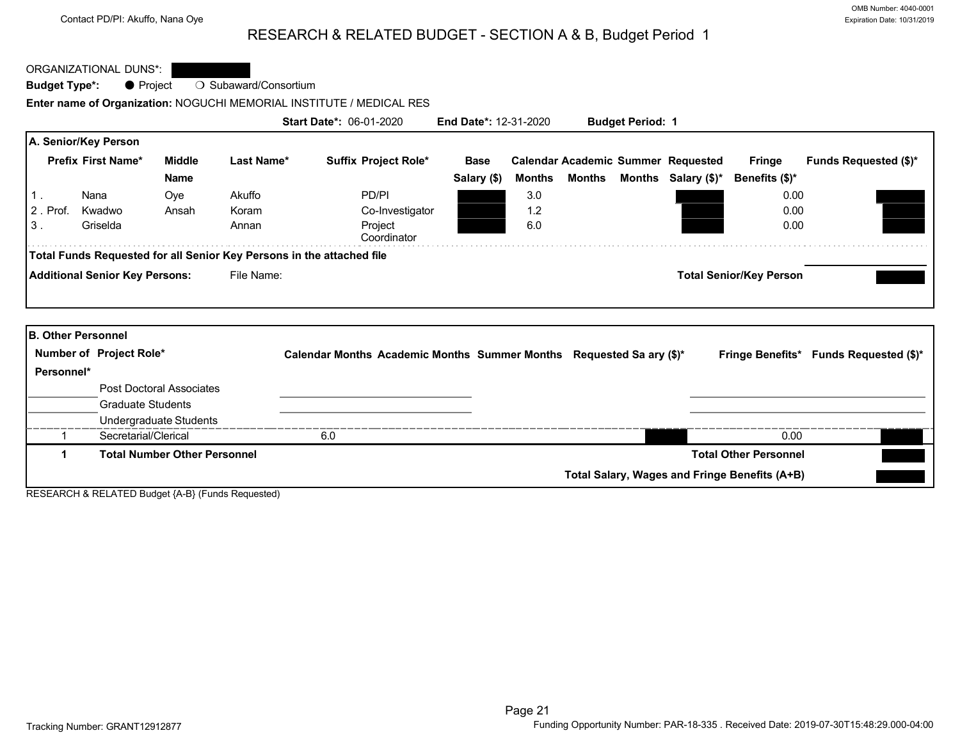## RESEARCH & RELATED BUDGET - SECTION A & B, Budget Period 1

ORGANIZATIONAL DUNS\*:

**Budget Type\*: ● Project ○ Subaward/Consortium** 

**Enter name of Organization:** NOGUCHI MEMORIAL INSTITUTE / MEDICAL RES

<span id="page-21-0"></span>

|            |                                       |                                 |            | <b>Start Date*: 06-01-2020</b>                                        |             | <b>End Date*: 12-31-2020</b> |        | <b>Budget Period: 1</b> |                                           |                                |                                        |
|------------|---------------------------------------|---------------------------------|------------|-----------------------------------------------------------------------|-------------|------------------------------|--------|-------------------------|-------------------------------------------|--------------------------------|----------------------------------------|
|            | A. Senior/Key Person                  |                                 |            |                                                                       |             |                              |        |                         |                                           |                                |                                        |
|            | <b>Prefix First Name*</b>             | Middle                          | Last Name* | Suffix Project Role*                                                  | <b>Base</b> |                              |        |                         | <b>Calendar Academic Summer Requested</b> | Fringe                         | <b>Funds Requested (\$)*</b>           |
|            |                                       | <b>Name</b>                     |            |                                                                       | Salary (\$) | Months                       | Months |                         | Months Salary $(\$)^*$                    | Benefits (\$)*                 |                                        |
|            | Nana                                  | Oye                             | Akuffo     | PD/PI                                                                 |             | 3.0                          |        |                         |                                           | 0.00                           |                                        |
| 2. Prof.   | Kwadwo                                | Ansah                           | Koram      | Co-Investigator                                                       |             | 1.2                          |        |                         |                                           | 0.00                           |                                        |
| 3.         | Griselda                              |                                 | Annan      | Project<br>Coordinator                                                |             | 6.0                          |        |                         |                                           | 0.00                           |                                        |
|            |                                       |                                 |            | Total Funds Requested for all Senior Key Persons in the attached file |             |                              |        |                         |                                           |                                |                                        |
|            | <b>Additional Senior Key Persons:</b> |                                 | File Name: |                                                                       |             |                              |        |                         |                                           | <b>Total Senior/Key Person</b> |                                        |
|            |                                       |                                 |            |                                                                       |             |                              |        |                         |                                           |                                |                                        |
|            | <b>B. Other Personnel</b>             |                                 |            |                                                                       |             |                              |        |                         |                                           |                                |                                        |
|            |                                       |                                 |            |                                                                       |             |                              |        |                         |                                           |                                |                                        |
|            | Number of Project Role*               |                                 |            | Calendar Months Academic Months Summer Months Requested Sa ary (\$)*  |             |                              |        |                         |                                           |                                | Fringe Benefits* Funds Requested (\$)* |
| Personnel* |                                       |                                 |            |                                                                       |             |                              |        |                         |                                           |                                |                                        |
|            |                                       | <b>Post Doctoral Associates</b> |            |                                                                       |             |                              |        |                         |                                           |                                |                                        |
|            | <b>Graduate Students</b>              |                                 |            |                                                                       |             |                              |        |                         |                                           |                                |                                        |
|            |                                       | Undergraduate Students          |            |                                                                       |             |                              |        |                         |                                           |                                |                                        |
|            | Secretarial/Clerical                  |                                 |            | 6.0                                                                   |             |                              |        |                         |                                           | 0.00                           |                                        |

**1 Total Number Other Personnel Total Other Personnel**

**Total Salary, Wages and Fringe Benefits (A+B)**

RESEARCH & RELATED Budget {A-B} (Funds Requested)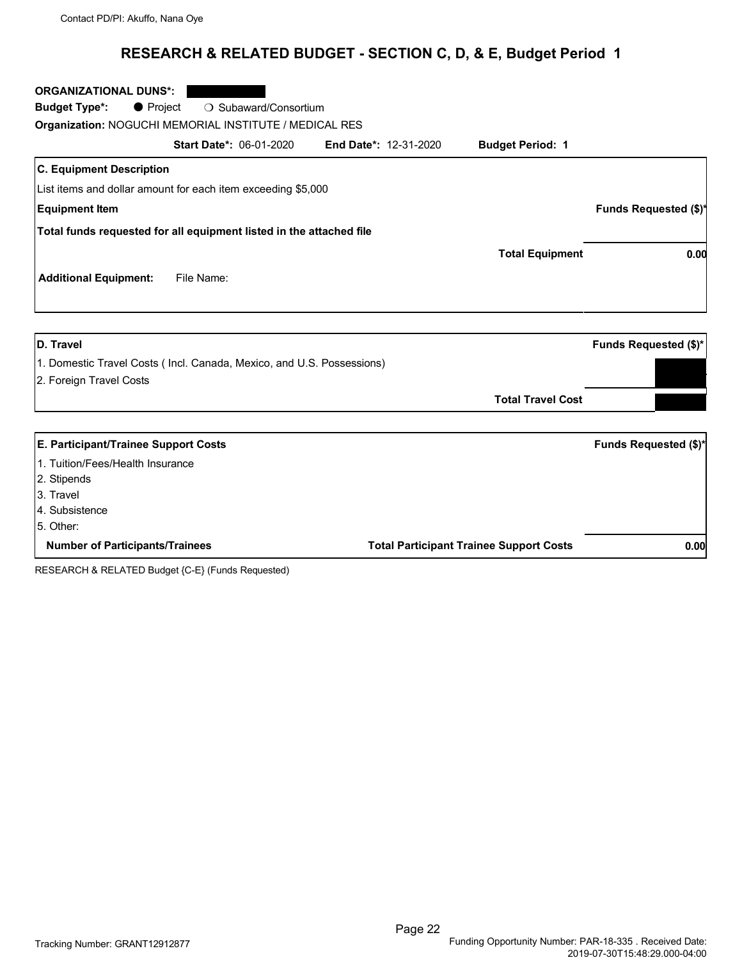## **RESEARCH & RELATED BUDGET - SECTION C, D, & E, Budget Period 1**

| <b>ORGANIZATIONAL DUNS*:</b>                                          |                              |                          |                              |
|-----------------------------------------------------------------------|------------------------------|--------------------------|------------------------------|
| ○ Subaward/Consortium<br><b>Budget Type*:</b><br>$\bullet$ Project    |                              |                          |                              |
| Organization: NOGUCHI MEMORIAL INSTITUTE / MEDICAL RES                |                              |                          |                              |
| <b>Start Date*: 06-01-2020</b>                                        | <b>End Date*: 12-31-2020</b> | <b>Budget Period: 1</b>  |                              |
| <b>C. Equipment Description</b>                                       |                              |                          |                              |
| List items and dollar amount for each item exceeding \$5,000          |                              |                          |                              |
| <b>Equipment Item</b>                                                 |                              |                          | <b>Funds Requested (\$)*</b> |
| Total funds requested for all equipment listed in the attached file   |                              |                          |                              |
|                                                                       |                              | <b>Total Equipment</b>   | 0.00                         |
| <b>Additional Equipment:</b><br>File Name:                            |                              |                          |                              |
|                                                                       |                              |                          |                              |
| <b>D.</b> Travel                                                      |                              |                          | Funds Requested (\$)*        |
| 1. Domestic Travel Costs (Incl. Canada, Mexico, and U.S. Possessions) |                              |                          |                              |
| 2. Foreign Travel Costs                                               |                              |                          |                              |
|                                                                       |                              | <b>Total Travel Cost</b> |                              |
| E. Participant/Trainee Support Costs                                  |                              |                          | <b>Funds Requested (\$)*</b> |
|                                                                       |                              |                          |                              |
| 1. Tuition/Fees/Health Insurance                                      |                              |                          |                              |
| 2. Stipends                                                           |                              |                          |                              |
| 3. Travel                                                             |                              |                          |                              |
| 4. Subsistence<br>$5$ Other                                           |                              |                          |                              |

5. Other:

**Number of Participants/Trainees Total Participant Trainee Support Costs 0.00**

RESEARCH & RELATED Budget {C-E} (Funds Requested)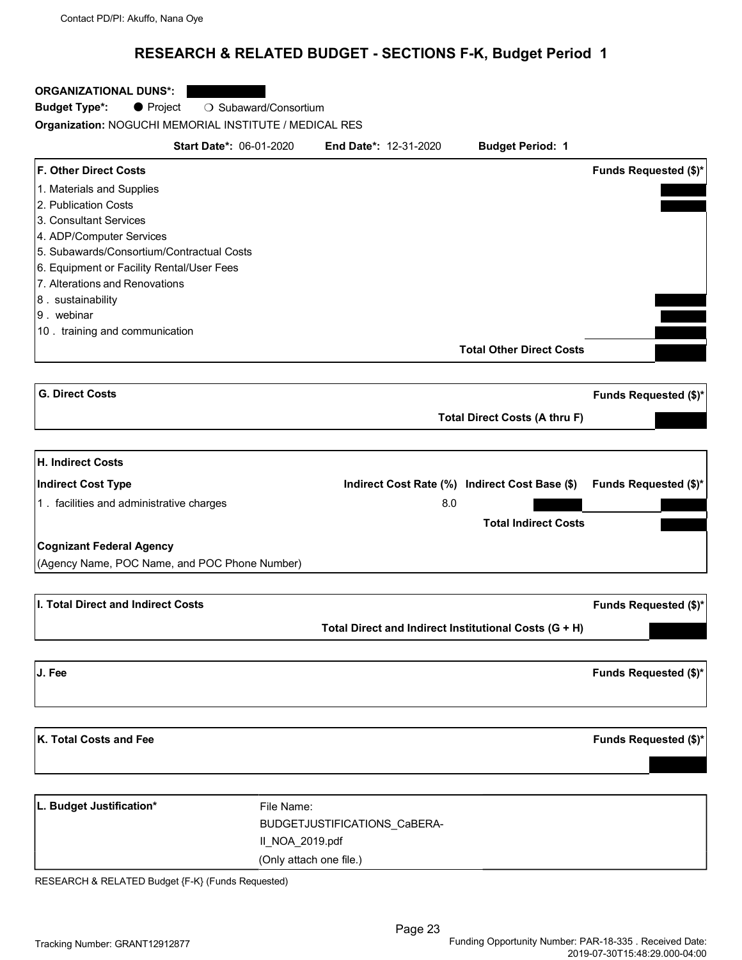## **RESEARCH & RELATED BUDGET - SECTIONS F-K, Budget Period 1**

#### **ORGANIZATIONAL DUNS\*:**

| Budget Type*: | $\bullet$ Project | ○ Subaward/Consortium |
|---------------|-------------------|-----------------------|
|               |                   |                       |

**Organization:** NOGUCHI MEMORIAL INSTITUTE / MEDICAL RES

| <b>Start Date*: 06-01-2020</b>                |                         | <b>End Date*: 12-31-2020</b>                          | <b>Budget Period: 1</b>                        |                              |
|-----------------------------------------------|-------------------------|-------------------------------------------------------|------------------------------------------------|------------------------------|
| <b>F. Other Direct Costs</b>                  |                         |                                                       |                                                | <b>Funds Requested (\$)*</b> |
| 1. Materials and Supplies                     |                         |                                                       |                                                |                              |
| 2. Publication Costs                          |                         |                                                       |                                                |                              |
| 3. Consultant Services                        |                         |                                                       |                                                |                              |
| 4. ADP/Computer Services                      |                         |                                                       |                                                |                              |
| 5. Subawards/Consortium/Contractual Costs     |                         |                                                       |                                                |                              |
| 6. Equipment or Facility Rental/User Fees     |                         |                                                       |                                                |                              |
| 7. Alterations and Renovations                |                         |                                                       |                                                |                              |
| 8. sustainability                             |                         |                                                       |                                                |                              |
| 9. webinar                                    |                         |                                                       |                                                |                              |
| 10. training and communication                |                         |                                                       |                                                |                              |
|                                               |                         |                                                       |                                                |                              |
|                                               |                         |                                                       | <b>Total Other Direct Costs</b>                |                              |
| <b>G. Direct Costs</b>                        |                         |                                                       |                                                | <b>Funds Requested (\$)*</b> |
|                                               |                         |                                                       |                                                |                              |
|                                               |                         |                                                       | <b>Total Direct Costs (A thru F)</b>           |                              |
|                                               |                         |                                                       |                                                |                              |
| H. Indirect Costs                             |                         |                                                       |                                                |                              |
| Indirect Cost Type                            |                         |                                                       | Indirect Cost Rate (%) Indirect Cost Base (\$) | <b>Funds Requested (\$)*</b> |
| 1. facilities and administrative charges      |                         | 8.0                                                   |                                                |                              |
|                                               |                         |                                                       | <b>Total Indirect Costs</b>                    |                              |
| <b>Cognizant Federal Agency</b>               |                         |                                                       |                                                |                              |
| (Agency Name, POC Name, and POC Phone Number) |                         |                                                       |                                                |                              |
|                                               |                         |                                                       |                                                |                              |
| I. Total Direct and Indirect Costs            |                         |                                                       |                                                | <b>Funds Requested (\$)*</b> |
|                                               |                         | Total Direct and Indirect Institutional Costs (G + H) |                                                |                              |
|                                               |                         |                                                       |                                                |                              |
| J. Fee                                        |                         |                                                       |                                                | Funds Requested (\$)*        |
|                                               |                         |                                                       |                                                |                              |
| K. Total Costs and Fee                        |                         |                                                       |                                                | <b>Funds Requested (\$)*</b> |
|                                               |                         |                                                       |                                                |                              |
| L. Budget Justification*                      | File Name:              |                                                       |                                                |                              |
|                                               |                         | BUDGETJUSTIFICATIONS_CaBERA-                          |                                                |                              |
|                                               |                         |                                                       |                                                |                              |
|                                               | II_NOA_2019.pdf         |                                                       |                                                |                              |
|                                               | (Only attach one file.) |                                                       |                                                |                              |

RESEARCH & RELATED Budget {F-K} (Funds Requested)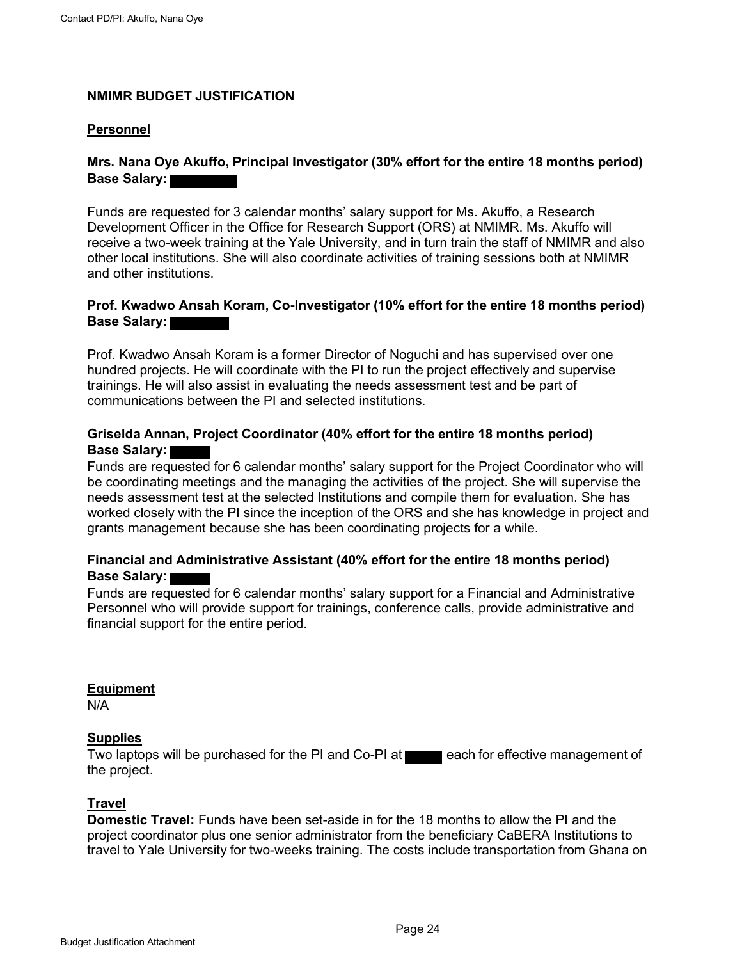## <span id="page-24-0"></span>**NMIMR BUDGET JUSTIFICATION**

#### **Personnel**

#### **Mrs. Nana Oye Akuffo, Principal Investigator (30% effort for the entire 18 months period) Base Salary:**

Funds are requested for 3 calendar months' salary support for Ms. Akuffo, a Research Development Officer in the Office for Research Support (ORS) at NMIMR. Ms. Akuffo will receive a two-week training at the Yale University, and in turn train the staff of NMIMR and also other local institutions. She will also coordinate activities of training sessions both at NMIMR and other institutions.

#### **Prof. Kwadwo Ansah Koram, Co-Investigator (10% effort for the entire 18 months period) Base Salary:**

Prof. Kwadwo Ansah Koram is a former Director of Noguchi and has supervised over one hundred projects. He will coordinate with the PI to run the project effectively and supervise trainings. He will also assist in evaluating the needs assessment test and be part of communications between the PI and selected institutions.

#### **Griselda Annan, Project Coordinator (40% effort for the entire 18 months period) Base Salary:**

Funds are requested for 6 calendar months' salary support for the Project Coordinator who will be coordinating meetings and the managing the activities of the project. She will supervise the needs assessment test at the selected Institutions and compile them for evaluation. She has worked closely with the PI since the inception of the ORS and she has knowledge in project and grants management because she has been coordinating projects for a while.

#### **Financial and Administrative Assistant (40% effort for the entire 18 months period) Base Salary:**

Funds are requested for 6 calendar months' salary support for a Financial and Administrative Personnel who will provide support for trainings, conference calls, provide administrative and financial support for the entire period.

#### **Equipment**

N/A

#### **Supplies**

Two laptops will be purchased for the PI and Co-PI at each for effective management of the project.

#### **Travel**

**Domestic Travel:** Funds have been set-aside in for the 18 months to allow the PI and the project coordinator plus one senior administrator from the beneficiary CaBERA Institutions to travel to Yale University for two-weeks training. The costs include transportation from Ghana on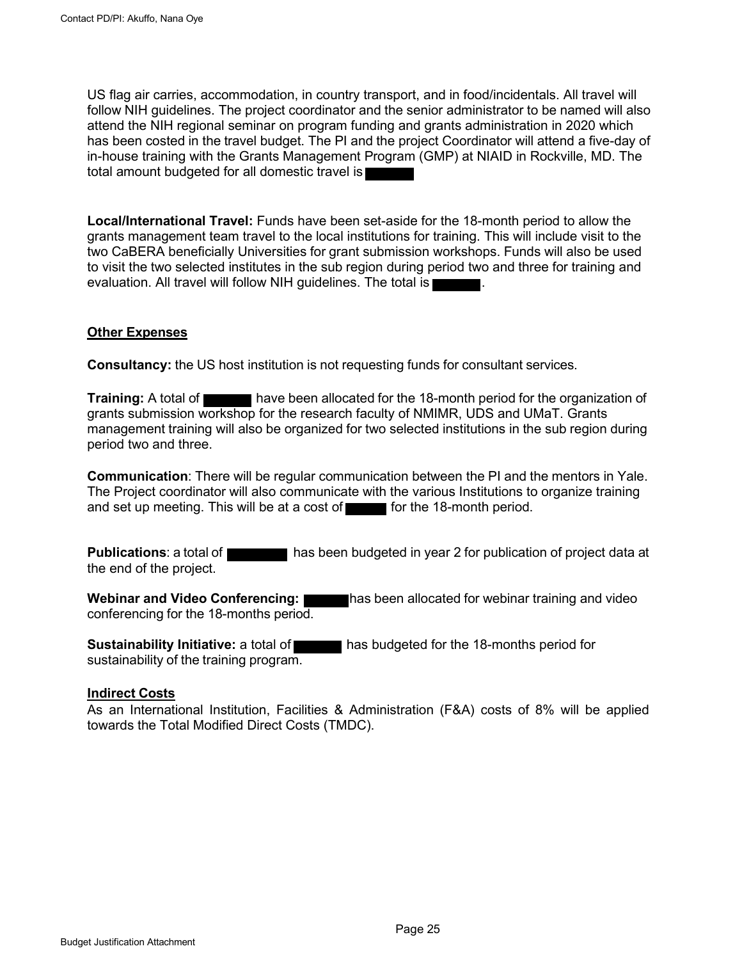US flag air carries, accommodation, in country transport, and in food/incidentals. All travel will follow NIH guidelines. The project coordinator and the senior administrator to be named will also attend the NIH regional seminar on program funding and grants administration in 2020 which has been costed in the travel budget. The PI and the project Coordinator will attend a five-day of in-house training with the Grants Management Program (GMP) at NIAID in Rockville, MD. The total amount budgeted for all domestic travel is

**Local/International Travel:** Funds have been set-aside for the 18-month period to allow the grants management team travel to the local institutions for training. This will include visit to the two CaBERA beneficially Universities for grant submission workshops. Funds will also be used to visit the two selected institutes in the sub region during period two and three for training and evaluation. All travel will follow NIH guidelines. The total is

#### **Other Expenses**

**Consultancy:** the US host institution is not requesting funds for consultant services.

**Training:** A total of have been allocated for the 18-month period for the organization of grants submission workshop for the research faculty of NMIMR, UDS and UMaT. Grants management training will also be organized for two selected institutions in the sub region during period two and three.

**Communication**: There will be regular communication between the PI and the mentors in Yale. The Project coordinator will also communicate with the various Institutions to organize training and set up meeting. This will be at a cost of **for the 18-month period.** 

**Publications**: a total of **has been budgeted in year 2 for publication of project data at** the end of the project.

**Webinar and Video Conferencing:** has been allocated for webinar training and video conferencing for the 18-months period.

**Sustainability Initiative:** a total of **has budgeted for the 18-months period for** sustainability of the training program.

#### **Indirect Costs**

As an International Institution, Facilities & Administration (F&A) costs of 8% will be applied towards the Total Modified Direct Costs (TMDC).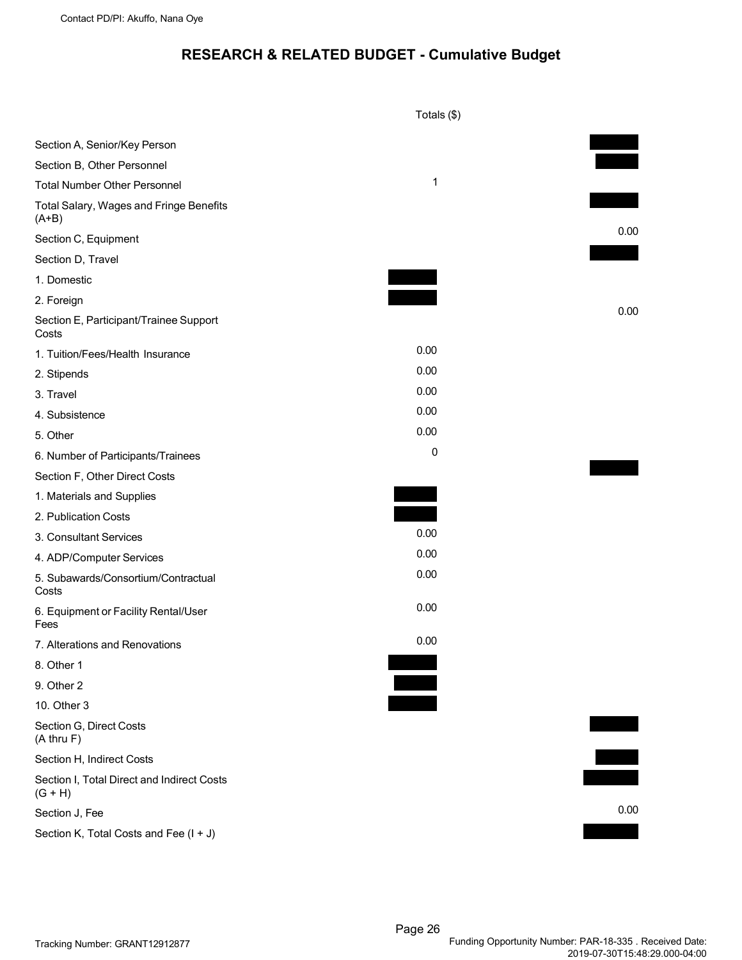## **RESEARCH & RELATED BUDGET - Cumulative Budget**

<span id="page-26-0"></span>

|                                                         | Totals (\$) |      |
|---------------------------------------------------------|-------------|------|
| Section A, Senior/Key Person                            |             |      |
| Section B, Other Personnel                              |             |      |
| <b>Total Number Other Personnel</b>                     | $\mathbf 1$ |      |
| Total Salary, Wages and Fringe Benefits<br>$(A+B)$      |             |      |
| Section C, Equipment                                    |             | 0.00 |
| Section D, Travel                                       |             |      |
| 1. Domestic                                             |             |      |
| 2. Foreign                                              |             |      |
| Section E, Participant/Trainee Support<br>Costs         |             | 0.00 |
| 1. Tuition/Fees/Health Insurance                        | 0.00        |      |
| 2. Stipends                                             | 0.00        |      |
| 3. Travel                                               | 0.00        |      |
| 4. Subsistence                                          | 0.00        |      |
| 5. Other                                                | 0.00        |      |
| 6. Number of Participants/Trainees                      | 0           |      |
| Section F, Other Direct Costs                           |             |      |
| 1. Materials and Supplies                               |             |      |
| 2. Publication Costs                                    |             |      |
| 3. Consultant Services                                  | 0.00        |      |
| 4. ADP/Computer Services                                | 0.00        |      |
| 5. Subawards/Consortium/Contractual<br>Costs            | 0.00        |      |
| 6. Equipment or Facility Rental/User<br>Fees            | 0.00        |      |
| 7. Alterations and Renovations                          | 0.00        |      |
| 8. Other 1                                              |             |      |
| 9. Other 2                                              |             |      |
| 10. Other 3                                             |             |      |
| Section G, Direct Costs<br>$(A$ thru $F)$               |             |      |
| Section H, Indirect Costs                               |             |      |
| Section I, Total Direct and Indirect Costs<br>$(G + H)$ |             |      |
| Section J, Fee                                          |             | 0.00 |
| Section K, Total Costs and Fee (I + J)                  |             |      |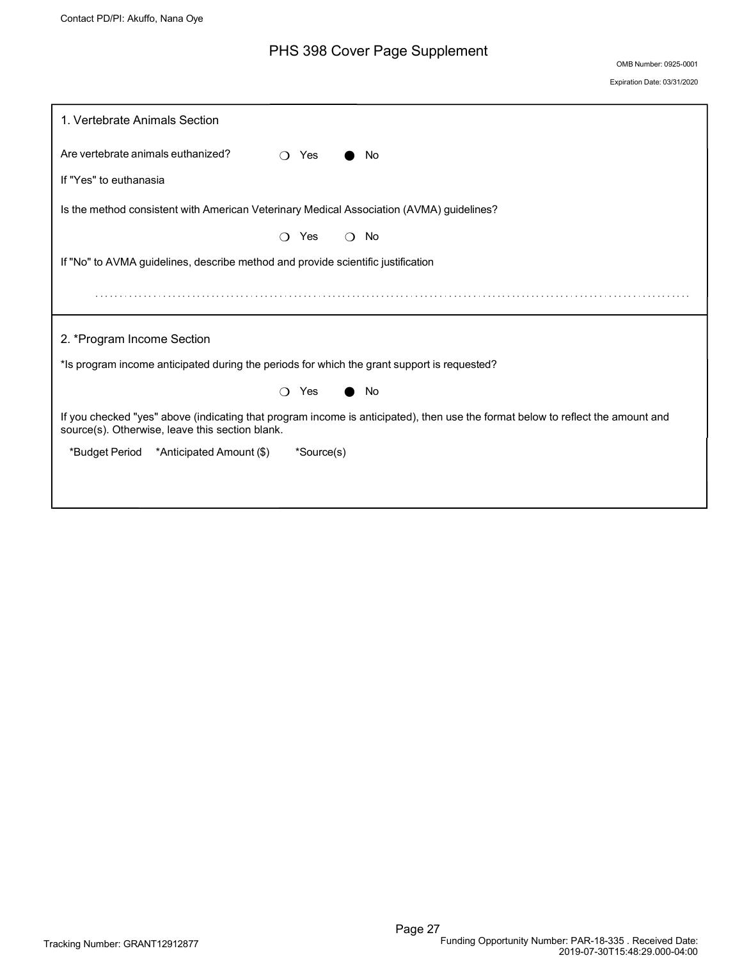## PHS 398 Cover Page Supplement

OMB Number: 0925-0001

Expiration Date: 03/31/2020

<span id="page-27-0"></span>

| 1. Vertebrate Animals Section                                                                                                                                                      |                                                                                  |   |            |          |                                                                                             |
|------------------------------------------------------------------------------------------------------------------------------------------------------------------------------------|----------------------------------------------------------------------------------|---|------------|----------|---------------------------------------------------------------------------------------------|
| Are vertebrate animals euthanized?                                                                                                                                                 |                                                                                  |   | Yes        |          | No                                                                                          |
| If "Yes" to euthanasia                                                                                                                                                             |                                                                                  |   |            |          |                                                                                             |
|                                                                                                                                                                                    |                                                                                  |   |            |          | Is the method consistent with American Veterinary Medical Association (AVMA) guidelines?    |
|                                                                                                                                                                                    |                                                                                  | ∩ | Yes        | $\Omega$ | No                                                                                          |
|                                                                                                                                                                                    | If "No" to AVMA guidelines, describe method and provide scientific justification |   |            |          |                                                                                             |
|                                                                                                                                                                                    |                                                                                  |   |            |          |                                                                                             |
| 2. *Program Income Section                                                                                                                                                         |                                                                                  |   |            |          |                                                                                             |
|                                                                                                                                                                                    |                                                                                  |   |            |          | *Is program income anticipated during the periods for which the grant support is requested? |
|                                                                                                                                                                                    |                                                                                  | ∩ | Yes        |          | No                                                                                          |
| If you checked "yes" above (indicating that program income is anticipated), then use the format below to reflect the amount and<br>source(s). Otherwise, leave this section blank. |                                                                                  |   |            |          |                                                                                             |
| *Budget Period                                                                                                                                                                     | *Anticipated Amount (\$)                                                         |   | *Source(s) |          |                                                                                             |
|                                                                                                                                                                                    |                                                                                  |   |            |          |                                                                                             |
|                                                                                                                                                                                    |                                                                                  |   |            |          |                                                                                             |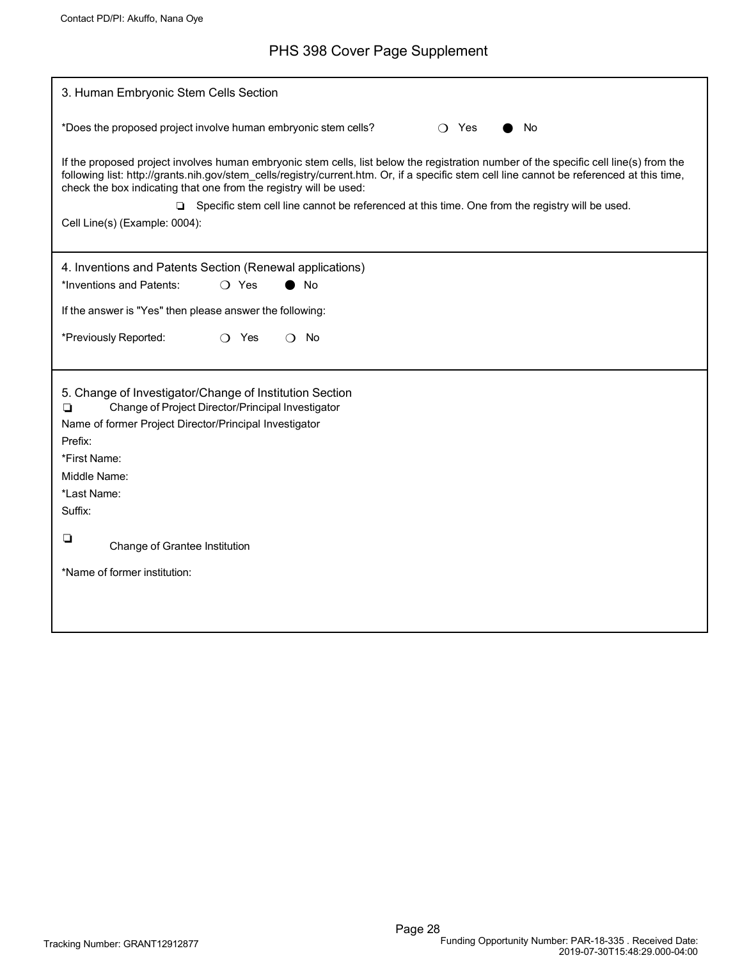# PHS 398 Cover Page Supplement

| 3. Human Embryonic Stem Cells Section                                                                                                                                                                                                                                                                                                                                                                                                                                                         |  |  |  |  |
|-----------------------------------------------------------------------------------------------------------------------------------------------------------------------------------------------------------------------------------------------------------------------------------------------------------------------------------------------------------------------------------------------------------------------------------------------------------------------------------------------|--|--|--|--|
| *Does the proposed project involve human embryonic stem cells?<br>No<br>Yes<br>$\bigcap$                                                                                                                                                                                                                                                                                                                                                                                                      |  |  |  |  |
| If the proposed project involves human embryonic stem cells, list below the registration number of the specific cell line(s) from the<br>following list: http://grants.nih.gov/stem_cells/registry/current.htm. Or, if a specific stem cell line cannot be referenced at this time,<br>check the box indicating that one from the registry will be used:<br>□ Specific stem cell line cannot be referenced at this time. One from the registry will be used.<br>Cell Line(s) (Example: 0004): |  |  |  |  |
| 4. Inventions and Patents Section (Renewal applications)                                                                                                                                                                                                                                                                                                                                                                                                                                      |  |  |  |  |
| *Inventions and Patents:<br>◯ Yes<br>No                                                                                                                                                                                                                                                                                                                                                                                                                                                       |  |  |  |  |
| If the answer is "Yes" then please answer the following:                                                                                                                                                                                                                                                                                                                                                                                                                                      |  |  |  |  |
| *Previously Reported:<br>$\bigcirc$ Yes<br>No<br>$\Omega$                                                                                                                                                                                                                                                                                                                                                                                                                                     |  |  |  |  |
| 5. Change of Investigator/Change of Institution Section<br>Change of Project Director/Principal Investigator<br>❏<br>Name of former Project Director/Principal Investigator<br>Prefix:<br>*First Name:<br>Middle Name:<br>*Last Name:<br>Suffix:                                                                                                                                                                                                                                              |  |  |  |  |
| $\Box$<br>Change of Grantee Institution                                                                                                                                                                                                                                                                                                                                                                                                                                                       |  |  |  |  |
| *Name of former institution:                                                                                                                                                                                                                                                                                                                                                                                                                                                                  |  |  |  |  |
|                                                                                                                                                                                                                                                                                                                                                                                                                                                                                               |  |  |  |  |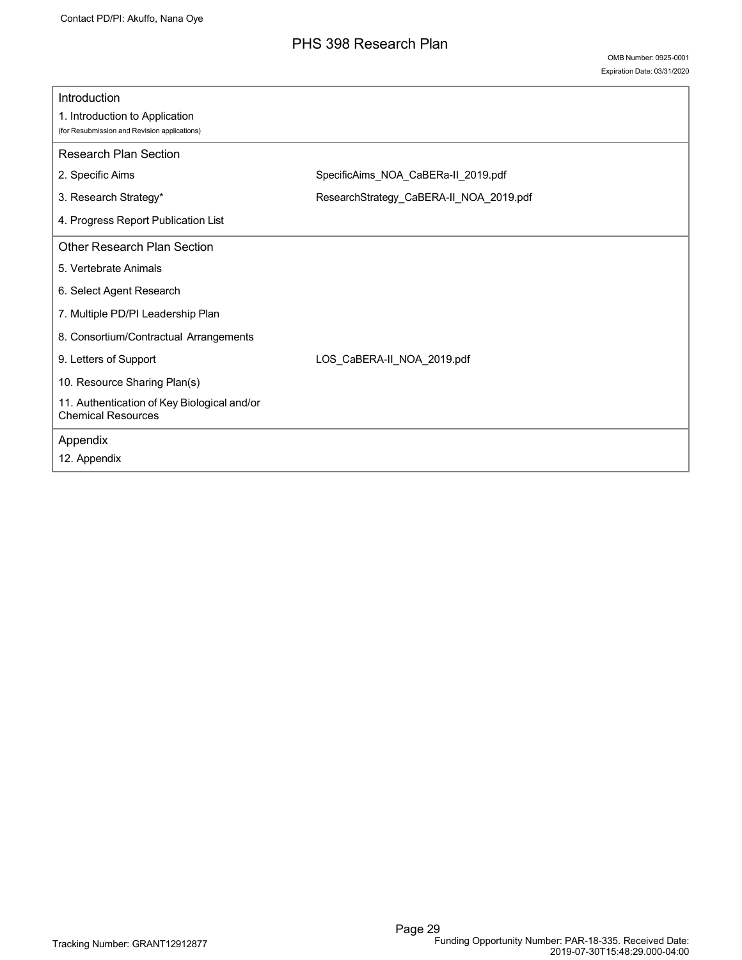## PHS 398 Research Plan

<span id="page-29-0"></span>

| Introduction                                                                   |                                         |
|--------------------------------------------------------------------------------|-----------------------------------------|
| 1. Introduction to Application<br>(for Resubmission and Revision applications) |                                         |
| <b>Research Plan Section</b>                                                   |                                         |
| 2. Specific Aims                                                               | SpecificAims_NOA_CaBERa-II_2019.pdf     |
| 3. Research Strategy*                                                          | ResearchStrategy_CaBERA-II_NOA_2019.pdf |
| 4. Progress Report Publication List                                            |                                         |
| Other Research Plan Section                                                    |                                         |
| 5. Vertebrate Animals                                                          |                                         |
| 6. Select Agent Research                                                       |                                         |
| 7. Multiple PD/PI Leadership Plan                                              |                                         |
| 8. Consortium/Contractual Arrangements                                         |                                         |
| 9. Letters of Support                                                          | LOS_CaBERA-II_NOA_2019.pdf              |
| 10. Resource Sharing Plan(s)                                                   |                                         |
| 11. Authentication of Key Biological and/or<br><b>Chemical Resources</b>       |                                         |
| Appendix                                                                       |                                         |
| 12. Appendix                                                                   |                                         |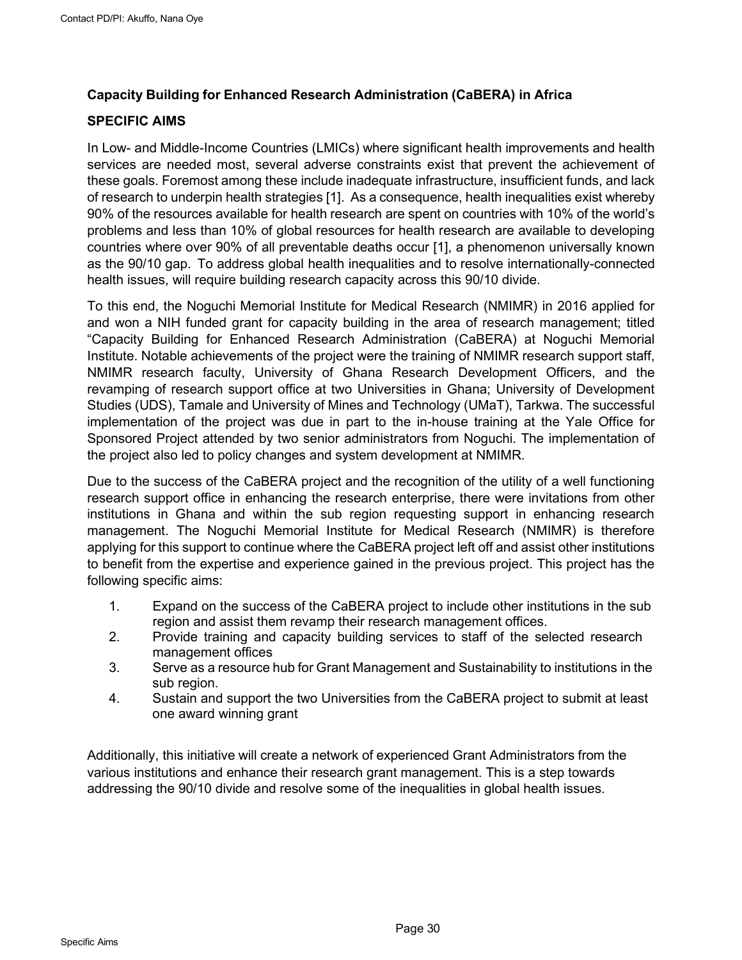## <span id="page-30-0"></span>**Capacity Building for Enhanced Research Administration (CaBERA) in Africa**

#### **SPECIFIC AIMS**

In Low- and Middle-Income Countries (LMICs) where significant health improvements and health services are needed most, several adverse constraints exist that prevent the achievement of these goals. Foremost among these include inadequate infrastructure, insufficient funds, and lack of research to underpin health strategies [1]. As a consequence, health inequalities exist whereby 90% of the resources available for health research are spent on countries with 10% of the world's problems and less than 10% of global resources for health research are available to developing countries where over 90% of all preventable deaths occur [1], a phenomenon universally known as the 90/10 gap. To address global health inequalities and to resolve internationally-connected health issues, will require building research capacity across this 90/10 divide.

To this end, the Noguchi Memorial Institute for Medical Research (NMIMR) in 2016 applied for and won a NIH funded grant for capacity building in the area of research management; titled "Capacity Building for Enhanced Research Administration (CaBERA) at Noguchi Memorial Institute. Notable achievements of the project were the training of NMIMR research support staff, NMIMR research faculty, University of Ghana Research Development Officers, and the revamping of research support office at two Universities in Ghana; University of Development Studies (UDS), Tamale and University of Mines and Technology (UMaT), Tarkwa. The successful implementation of the project was due in part to the in-house training at the Yale Office for Sponsored Project attended by two senior administrators from Noguchi. The implementation of the project also led to policy changes and system development at NMIMR.

Due to the success of the CaBERA project and the recognition of the utility of a well functioning research support office in enhancing the research enterprise, there were invitations from other institutions in Ghana and within the sub region requesting support in enhancing research management. The Noguchi Memorial Institute for Medical Research (NMIMR) is therefore applying for this support to continue where the CaBERA project left off and assist other institutions to benefit from the expertise and experience gained in the previous project. This project has the following specific aims:

- 1. Expand on the success of the CaBERA project to include other institutions in the sub region and assist them revamp their research management offices.
- 2. Provide training and capacity building services to staff of the selected research management offices
- 3. Serve as a resource hub for Grant Management and Sustainability to institutions in the sub region.
- 4. Sustain and support the two Universities from the CaBERA project to submit at least one award winning grant

Additionally, this initiative will create a network of experienced Grant Administrators from the various institutions and enhance their research grant management. This is a step towards addressing the 90/10 divide and resolve some of the inequalities in global health issues.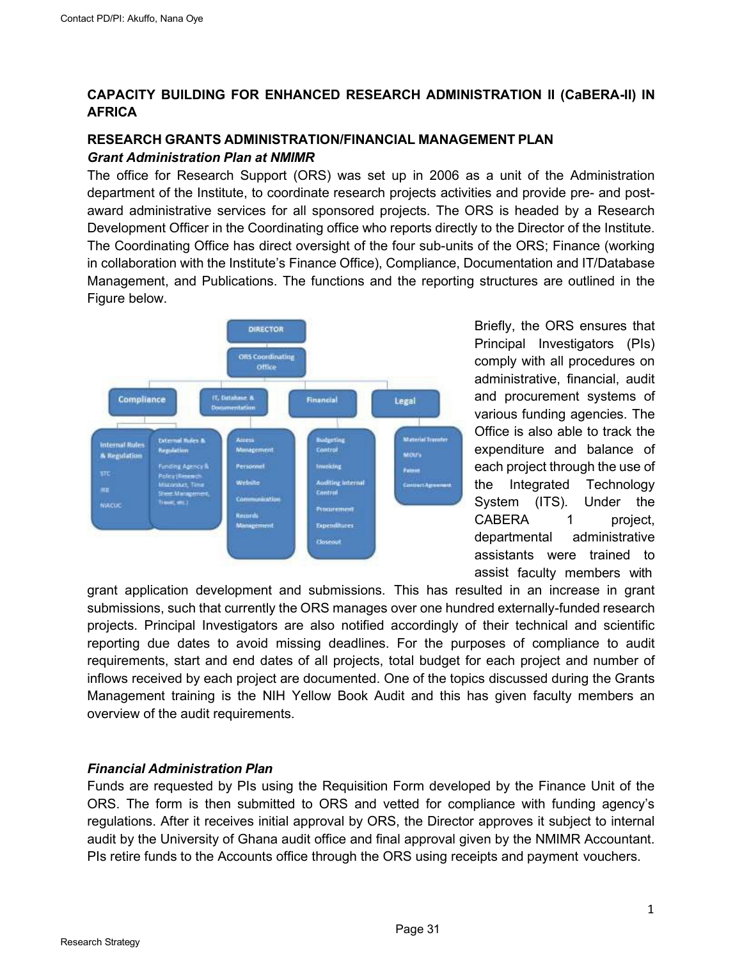## <span id="page-31-0"></span>**CAPACITY BUILDING FOR ENHANCED RESEARCH ADMINISTRATION II (CaBERA-II) IN AFRICA**

## **RESEARCH GRANTS ADMINISTRATION/FINANCIAL MANAGEMENT PLAN** *Grant Administration Plan at NMIMR*

The office for Research Support (ORS) was set up in 2006 as a unit of the Administration department of the Institute, to coordinate research projects activities and provide pre- and postaward administrative services for all sponsored projects. The ORS is headed by a Research Development Officer in the Coordinating office who reports directly to the Director of the Institute. The Coordinating Office has direct oversight of the four sub-units of the ORS; Finance (working in collaboration with the Institute's Finance Office), Compliance, Documentation and IT/Database Management, and Publications. The functions and the reporting structures are outlined in the Figure below.



Briefly, the ORS ensures that Principal Investigators (PIs) comply with all procedures on administrative, financial, audit and procurement systems of various funding agencies. The Office is also able to track the expenditure and balance of each project through the use of the Integrated Technology System (ITS). Under the CABERA 1 project, departmental administrative assistants were trained to assist faculty members with

grant application development and submissions. This has resulted in an increase in grant submissions, such that currently the ORS manages over one hundred externally-funded research projects. Principal Investigators are also notified accordingly of their technical and scientific reporting due dates to avoid missing deadlines. For the purposes of compliance to audit requirements, start and end dates of all projects, total budget for each project and number of inflows received by each project are documented. One of the topics discussed during the Grants Management training is the NIH Yellow Book Audit and this has given faculty members an overview of the audit requirements.

## *Financial Administration Plan*

Funds are requested by PIs using the Requisition Form developed by the Finance Unit of the ORS. The form is then submitted to ORS and vetted for compliance with funding agency's regulations. After it receives initial approval by ORS, the Director approves it subject to internal audit by the University of Ghana audit office and final approval given by the NMIMR Accountant. PIs retire funds to the Accounts office through the ORS using receipts and payment vouchers.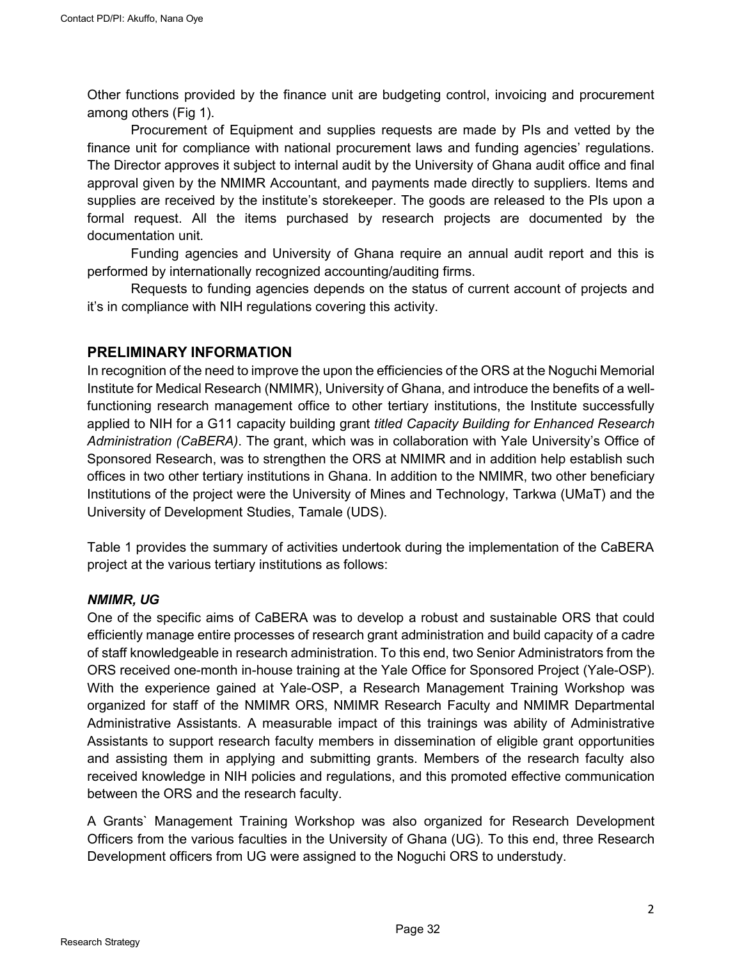Other functions provided by the finance unit are budgeting control, invoicing and procurement among others (Fig 1).

Procurement of Equipment and supplies requests are made by PIs and vetted by the finance unit for compliance with national procurement laws and funding agencies' regulations. The Director approves it subject to internal audit by the University of Ghana audit office and final approval given by the NMIMR Accountant, and payments made directly to suppliers. Items and supplies are received by the institute's storekeeper. The goods are released to the PIs upon a formal request. All the items purchased by research projects are documented by the documentation unit.

Funding agencies and University of Ghana require an annual audit report and this is performed by internationally recognized accounting/auditing firms.

Requests to funding agencies depends on the status of current account of projects and it's in compliance with NIH regulations covering this activity.

## **PRELIMINARY INFORMATION**

In recognition of the need to improve the upon the efficiencies of the ORS at the Noguchi Memorial Institute for Medical Research (NMIMR), University of Ghana, and introduce the benefits of a wellfunctioning research management office to other tertiary institutions, the Institute successfully applied to NIH for a G11 capacity building grant *titled Capacity Building for Enhanced Research Administration (CaBERA)*. The grant, which was in collaboration with Yale University's Office of Sponsored Research, was to strengthen the ORS at NMIMR and in addition help establish such offices in two other tertiary institutions in Ghana. In addition to the NMIMR, two other beneficiary Institutions of the project were the University of Mines and Technology, Tarkwa (UMaT) and the University of Development Studies, Tamale (UDS).

Table 1 provides the summary of activities undertook during the implementation of the CaBERA project at the various tertiary institutions as follows:

#### *NMIMR, UG*

One of the specific aims of CaBERA was to develop a robust and sustainable ORS that could efficiently manage entire processes of research grant administration and build capacity of a cadre of staff knowledgeable in research administration. To this end, two Senior Administrators from the ORS received one-month in-house training at the Yale Office for Sponsored Project (Yale-OSP). With the experience gained at Yale-OSP, a Research Management Training Workshop was organized for staff of the NMIMR ORS, NMIMR Research Faculty and NMIMR Departmental Administrative Assistants. A measurable impact of this trainings was ability of Administrative Assistants to support research faculty members in dissemination of eligible grant opportunities and assisting them in applying and submitting grants. Members of the research faculty also received knowledge in NIH policies and regulations, and this promoted effective communication between the ORS and the research faculty.

A Grants` Management Training Workshop was also organized for Research Development Officers from the various faculties in the University of Ghana (UG). To this end, three Research Development officers from UG were assigned to the Noguchi ORS to understudy.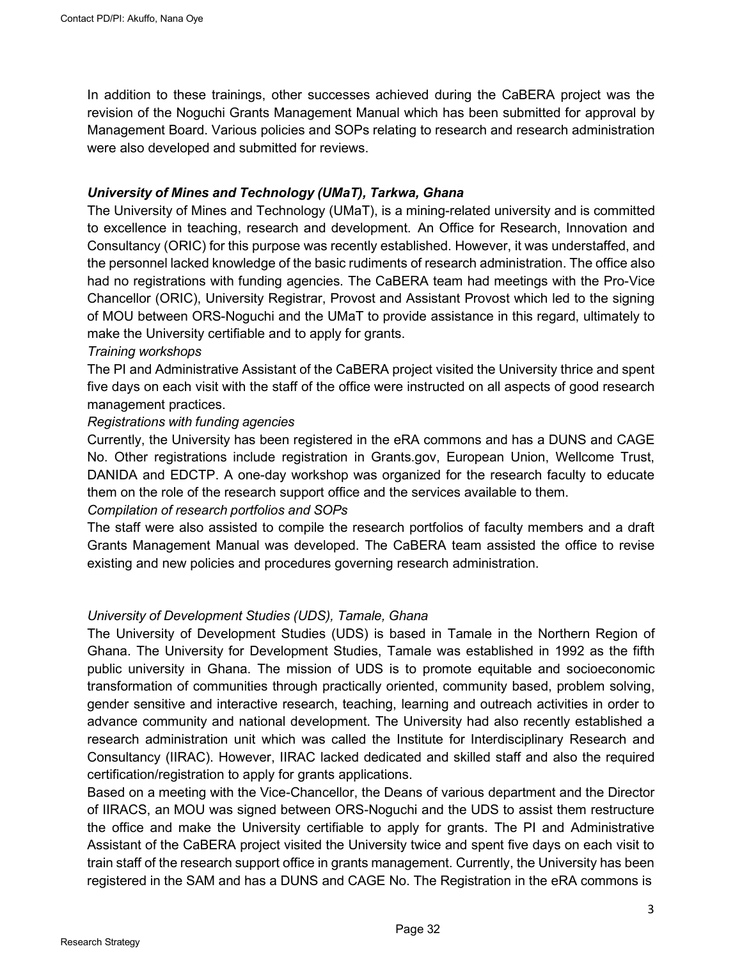In addition to these trainings, other successes achieved during the CaBERA project was the revision of the Noguchi Grants Management Manual which has been submitted for approval by Management Board. Various policies and SOPs relating to research and research administration were also developed and submitted for reviews.

## *University of Mines and Technology (UMaT), Tarkwa, Ghana*

The University of Mines and Technology (UMaT), is a mining-related university and is committed to excellence in teaching, research and development. An Office for Research, Innovation and Consultancy (ORIC) for this purpose was recently established. However, it was understaffed, and the personnel lacked knowledge of the basic rudiments of research administration. The office also had no registrations with funding agencies. The CaBERA team had meetings with the Pro-Vice Chancellor (ORIC), University Registrar, Provost and Assistant Provost which led to the signing of MOU between ORS-Noguchi and the UMaT to provide assistance in this regard, ultimately to make the University certifiable and to apply for grants.

#### *Training workshops*

The PI and Administrative Assistant of the CaBERA project visited the University thrice and spent five days on each visit with the staff of the office were instructed on all aspects of good research management practices.

#### *Registrations with funding agencies*

Currently, the University has been registered in the eRA commons and has a DUNS and CAGE No. Other registrations include registration in Grants.gov, European Union, Wellcome Trust, DANIDA and EDCTP. A one-day workshop was organized for the research faculty to educate them on the role of the research support office and the services available to them.

#### *Compilation of research portfolios and SOPs*

The staff were also assisted to compile the research portfolios of faculty members and a draft Grants Management Manual was developed. The CaBERA team assisted the office to revise existing and new policies and procedures governing research administration.

#### *University of Development Studies (UDS), Tamale, Ghana*

The University of Development Studies (UDS) is based in Tamale in the Northern Region of Ghana. The University for Development Studies, Tamale was established in 1992 as the fifth public university in Ghana. The mission of UDS is to promote equitable and socioeconomic transformation of communities through practically oriented, community based, problem solving, gender sensitive and interactive research, teaching, learning and outreach activities in order to advance community and national development. The University had also recently established a research administration unit which was called the Institute for Interdisciplinary Research and Consultancy (IIRAC). However, IIRAC lacked dedicated and skilled staff and also the required certification/registration to apply for grants applications.

Based on a meeting with the Vice-Chancellor, the Deans of various department and the Director of IIRACS, an MOU was signed between ORS-Noguchi and the UDS to assist them restructure the office and make the University certifiable to apply for grants. The PI and Administrative Assistant of the CaBERA project visited the University twice and spent five days on each visit to train staff of the research support office in grants management. Currently, the University has been registered in the SAM and has a DUNS and CAGE No. The Registration in the eRA commons is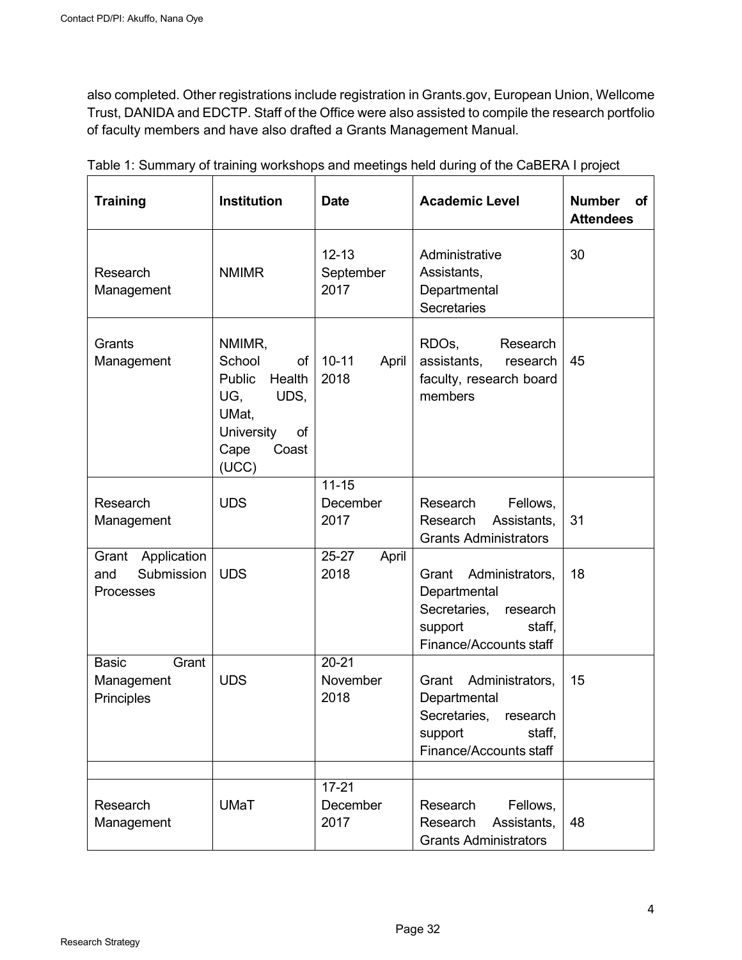also completed. Other registrations include registration in Grants.gov, European Union, Wellcome Trust, DANIDA and EDCTP. Staff of the Office were also assisted to compile the research portfolio of faculty members and have also drafted a Grants Management Manual.

| <b>Training</b>                                     | Institution                                                                                                             | <b>Date</b>                    | <b>Academic Level</b>                                                                                               | <b>Number</b><br>οf<br><b>Attendees</b> |
|-----------------------------------------------------|-------------------------------------------------------------------------------------------------------------------------|--------------------------------|---------------------------------------------------------------------------------------------------------------------|-----------------------------------------|
| Research<br>Management                              | <b>NMIMR</b>                                                                                                            | $12 - 13$<br>September<br>2017 | Administrative<br>Assistants,<br>Departmental<br><b>Secretaries</b>                                                 | 30                                      |
| Grants<br>Management                                | NMIMR,<br>School<br>of<br>Public<br>Health<br>UG,<br>UDS,<br>UMat,<br><b>University</b><br>of<br>Cape<br>Coast<br>(UCC) | $10 - 11$<br>April<br>2018     | RDO <sub>s</sub> ,<br>Research<br>assistants,<br>research<br>faculty, research board<br>members                     | 45                                      |
| Research<br>Management                              | <b>UDS</b>                                                                                                              | $11 - 15$<br>December<br>2017  | Research<br>Fellows,<br>Assistants,<br>Research<br><b>Grants Administrators</b>                                     | 31                                      |
| Grant Application<br>Submission<br>and<br>Processes | <b>UDS</b>                                                                                                              | 25-27<br>April<br>2018         | Grant<br>Administrators,<br>Departmental<br>Secretaries,<br>research<br>support<br>staff,<br>Finance/Accounts staff | 18                                      |
| <b>Basic</b><br>Grant<br>Management<br>Principles   | <b>UDS</b>                                                                                                              | $20 - 21$<br>November<br>2018  | Grant<br>Administrators,<br>Departmental<br>Secretaries,<br>research<br>staff,<br>support<br>Finance/Accounts staff | 15                                      |
|                                                     |                                                                                                                         |                                |                                                                                                                     |                                         |
| Research<br>Management                              | <b>UMaT</b>                                                                                                             | $17 - 21$<br>December<br>2017  | Research<br>Fellows,<br>Research<br>Assistants,<br><b>Grants Administrators</b>                                     | 48                                      |

| Table 1: Summary of training workshops and meetings held during of the CaBERA I project |  |  |  |
|-----------------------------------------------------------------------------------------|--|--|--|
|                                                                                         |  |  |  |
|                                                                                         |  |  |  |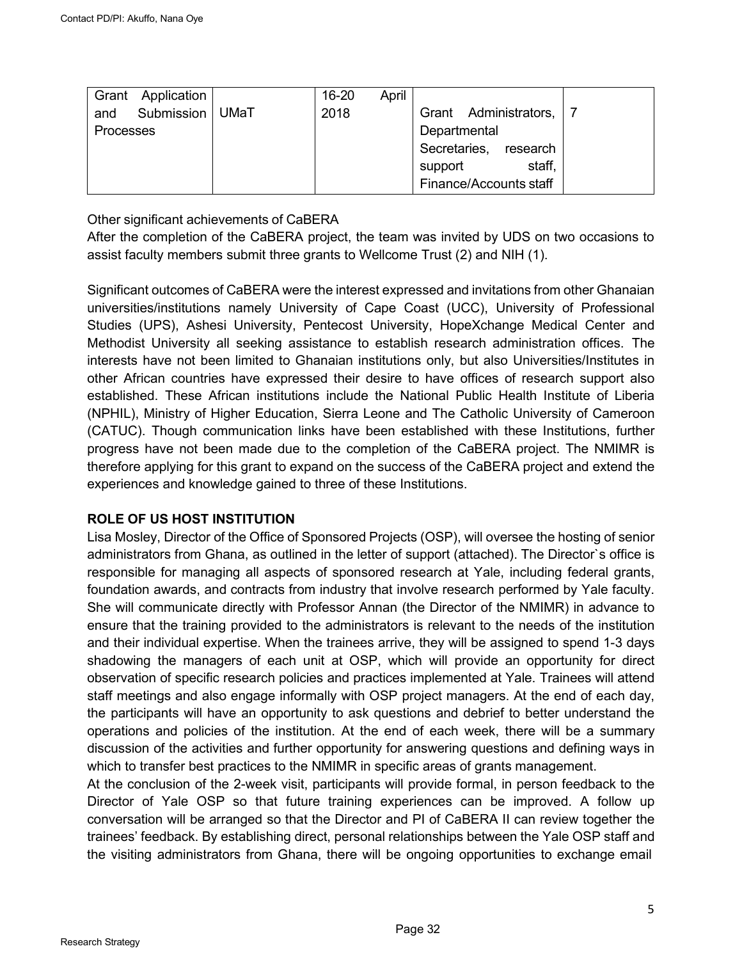| Application<br>Grant |      | $16 - 20$ | April |                        |                       |  |
|----------------------|------|-----------|-------|------------------------|-----------------------|--|
| Submission<br>and    | UMaT | 2018      |       |                        | Grant Administrators, |  |
| <b>Processes</b>     |      |           |       | Departmental           |                       |  |
|                      |      |           |       | Secretaries,           | research              |  |
|                      |      |           |       | support                | staff,                |  |
|                      |      |           |       | Finance/Accounts staff |                       |  |

Other significant achievements of CaBERA

After the completion of the CaBERA project, the team was invited by UDS on two occasions to assist faculty members submit three grants to Wellcome Trust (2) and NIH (1).

Significant outcomes of CaBERA were the interest expressed and invitations from other Ghanaian universities/institutions namely University of Cape Coast (UCC), University of Professional Studies (UPS), Ashesi University, Pentecost University, HopeXchange Medical Center and Methodist University all seeking assistance to establish research administration offices. The interests have not been limited to Ghanaian institutions only, but also Universities/Institutes in other African countries have expressed their desire to have offices of research support also established. These African institutions include the National Public Health Institute of Liberia (NPHIL), Ministry of Higher Education, Sierra Leone and The Catholic University of Cameroon (CATUC). Though communication links have been established with these Institutions, further progress have not been made due to the completion of the CaBERA project. The NMIMR is therefore applying for this grant to expand on the success of the CaBERA project and extend the experiences and knowledge gained to three of these Institutions.

## **ROLE OF US HOST INSTITUTION**

Lisa Mosley, Director of the Office of Sponsored Projects (OSP), will oversee the hosting of senior administrators from Ghana, as outlined in the letter of support (attached). The Director`s office is responsible for managing all aspects of sponsored research at Yale, including federal grants, foundation awards, and contracts from industry that involve research performed by Yale faculty. She will communicate directly with Professor Annan (the Director of the NMIMR) in advance to ensure that the training provided to the administrators is relevant to the needs of the institution and their individual expertise. When the trainees arrive, they will be assigned to spend 1-3 days shadowing the managers of each unit at OSP, which will provide an opportunity for direct observation of specific research policies and practices implemented at Yale. Trainees will attend staff meetings and also engage informally with OSP project managers. At the end of each day, the participants will have an opportunity to ask questions and debrief to better understand the operations and policies of the institution. At the end of each week, there will be a summary discussion of the activities and further opportunity for answering questions and defining ways in which to transfer best practices to the NMIMR in specific areas of grants management.

At the conclusion of the 2-week visit, participants will provide formal, in person feedback to the Director of Yale OSP so that future training experiences can be improved. A follow up conversation will be arranged so that the Director and PI of CaBERA II can review together the trainees' feedback. By establishing direct, personal relationships between the Yale OSP staff and the visiting administrators from Ghana, there will be ongoing opportunities to exchange email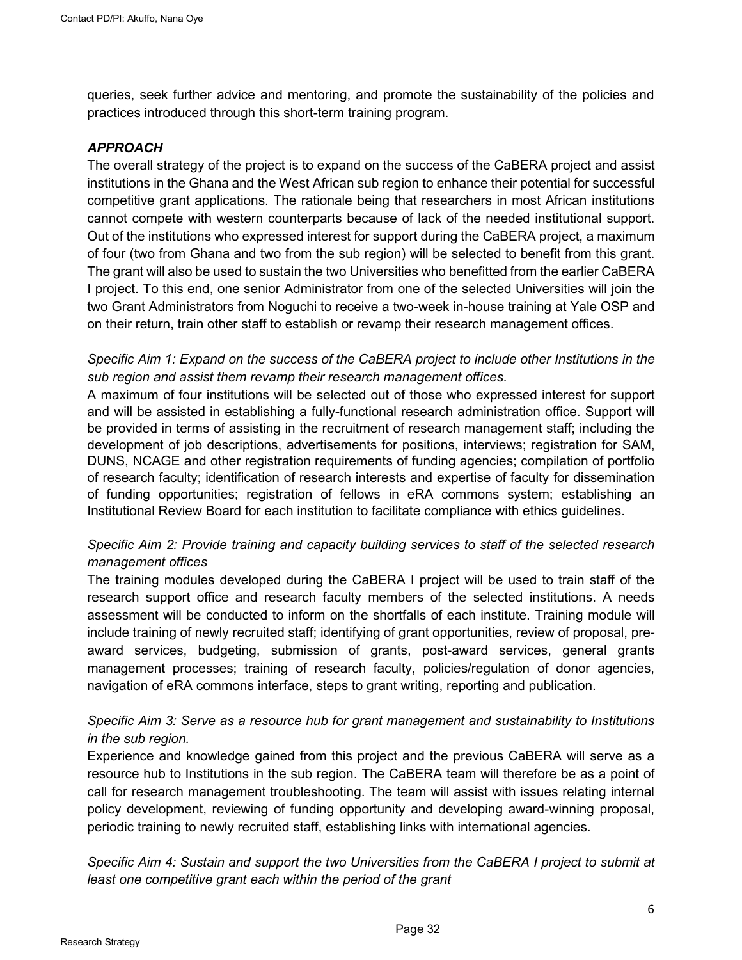queries, seek further advice and mentoring, and promote the sustainability of the policies and practices introduced through this short-term training program.

#### *APPROACH*

The overall strategy of the project is to expand on the success of the CaBERA project and assist institutions in the Ghana and the West African sub region to enhance their potential for successful competitive grant applications. The rationale being that researchers in most African institutions cannot compete with western counterparts because of lack of the needed institutional support. Out of the institutions who expressed interest for support during the CaBERA project, a maximum of four (two from Ghana and two from the sub region) will be selected to benefit from this grant. The grant will also be used to sustain the two Universities who benefitted from the earlier CaBERA I project. To this end, one senior Administrator from one of the selected Universities will join the two Grant Administrators from Noguchi to receive a two-week in-house training at Yale OSP and on their return, train other staff to establish or revamp their research management offices.

## *Specific Aim 1: Expand on the success of the CaBERA project to include other Institutions in the sub region and assist them revamp their research management offices.*

A maximum of four institutions will be selected out of those who expressed interest for support and will be assisted in establishing a fully-functional research administration office. Support will be provided in terms of assisting in the recruitment of research management staff; including the development of job descriptions, advertisements for positions, interviews; registration for SAM, DUNS, NCAGE and other registration requirements of funding agencies; compilation of portfolio of research faculty; identification of research interests and expertise of faculty for dissemination of funding opportunities; registration of fellows in eRA commons system; establishing an Institutional Review Board for each institution to facilitate compliance with ethics guidelines.

## *Specific Aim 2: Provide training and capacity building services to staff of the selected research management offices*

The training modules developed during the CaBERA I project will be used to train staff of the research support office and research faculty members of the selected institutions. A needs assessment will be conducted to inform on the shortfalls of each institute. Training module will include training of newly recruited staff; identifying of grant opportunities, review of proposal, preaward services, budgeting, submission of grants, post-award services, general grants management processes; training of research faculty, policies/regulation of donor agencies, navigation of eRA commons interface, steps to grant writing, reporting and publication.

## *Specific Aim 3: Serve as a resource hub for grant management and sustainability to Institutions in the sub region.*

Experience and knowledge gained from this project and the previous CaBERA will serve as a resource hub to Institutions in the sub region. The CaBERA team will therefore be as a point of call for research management troubleshooting. The team will assist with issues relating internal policy development, reviewing of funding opportunity and developing award-winning proposal, periodic training to newly recruited staff, establishing links with international agencies.

*Specific Aim 4: Sustain and support the two Universities from the CaBERA I project to submit at least one competitive grant each within the period of the grant*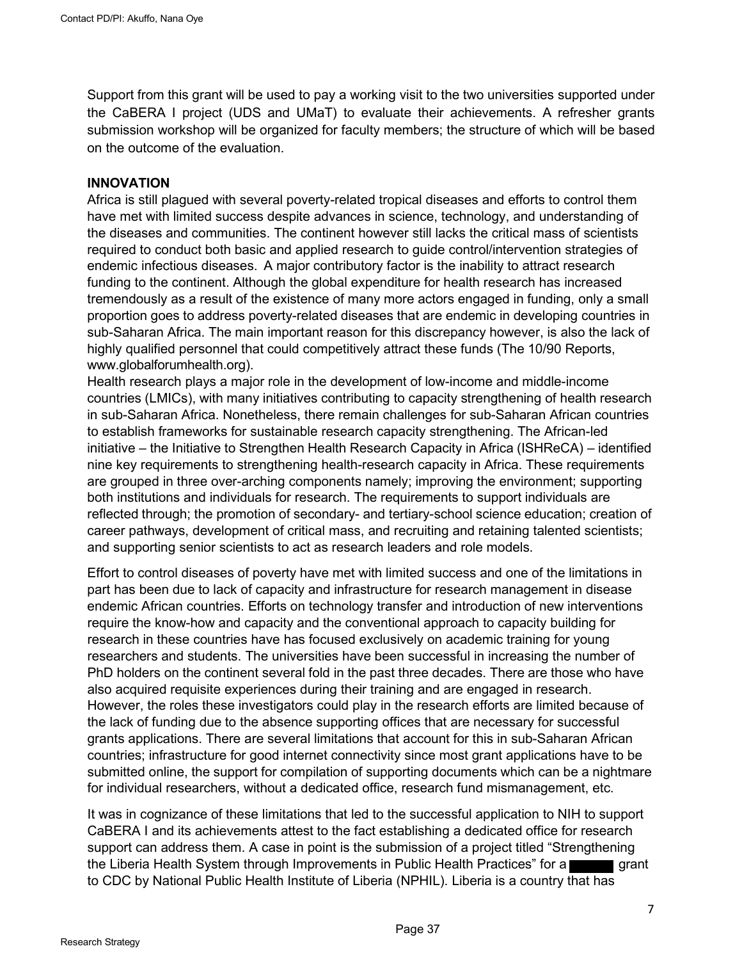Support from this grant will be used to pay a working visit to the two universities supported under the CaBERA I project (UDS and UMaT) to evaluate their achievements. A refresher grants submission workshop will be organized for faculty members; the structure of which will be based on the outcome of the evaluation.

#### **INNOVATION**

Africa is still plagued with several poverty-related tropical diseases and efforts to control them have met with limited success despite advances in science, technology, and understanding of the diseases and communities. The continent however still lacks the critical mass of scientists required to conduct both basic and applied research to guide control/intervention strategies of endemic infectious diseases. A major contributory factor is the inability to attract research funding to the continent. Although the global expenditure for health research has increased tremendously as a result of the existence of many more actors engaged in funding, only a small proportion goes to address poverty-related diseases that are endemic in developing countries in sub-Saharan Africa. The main important reason for this discrepancy however, is also the lack of highly qualified personnel that could competitively attract these funds (The 10/90 Reports, www.globalforumhealth.org).

Health research plays a major role in the development of low-income and middle-income countries (LMICs), with many initiatives contributing to capacity strengthening of health research in sub-Saharan Africa. Nonetheless, there remain challenges for sub-Saharan African countries to establish frameworks for sustainable research capacity strengthening. The African-led initiative – the Initiative to Strengthen Health Research Capacity in Africa (ISHReCA) – identified nine key requirements to strengthening health-research capacity in Africa. These requirements are grouped in three over-arching components namely; improving the environment; supporting both institutions and individuals for research. The requirements to support individuals are reflected through; the promotion of secondary- and tertiary-school science education; creation of career pathways, development of critical mass, and recruiting and retaining talented scientists; and supporting senior scientists to act as research leaders and role models.

Effort to control diseases of poverty have met with limited success and one of the limitations in part has been due to lack of capacity and infrastructure for research management in disease endemic African countries. Efforts on technology transfer and introduction of new interventions require the know-how and capacity and the conventional approach to capacity building for research in these countries have has focused exclusively on academic training for young researchers and students. The universities have been successful in increasing the number of PhD holders on the continent several fold in the past three decades. There are those who have also acquired requisite experiences during their training and are engaged in research. However, the roles these investigators could play in the research efforts are limited because of the lack of funding due to the absence supporting offices that are necessary for successful grants applications. There are several limitations that account for this in sub-Saharan African countries; infrastructure for good internet connectivity since most grant applications have to be submitted online, the support for compilation of supporting documents which can be a nightmare for individual researchers, without a dedicated office, research fund mismanagement, etc.

It was in cognizance of these limitations that led to the successful application to NIH to support CaBERA I and its achievements attest to the fact establishing a dedicated office for research support can address them. A case in point is the submission of a project titled "Strengthening the Liberia Health System through Improvements in Public Health Practices" for a grant to CDC by National Public Health Institute of Liberia (NPHIL). Liberia is a country that has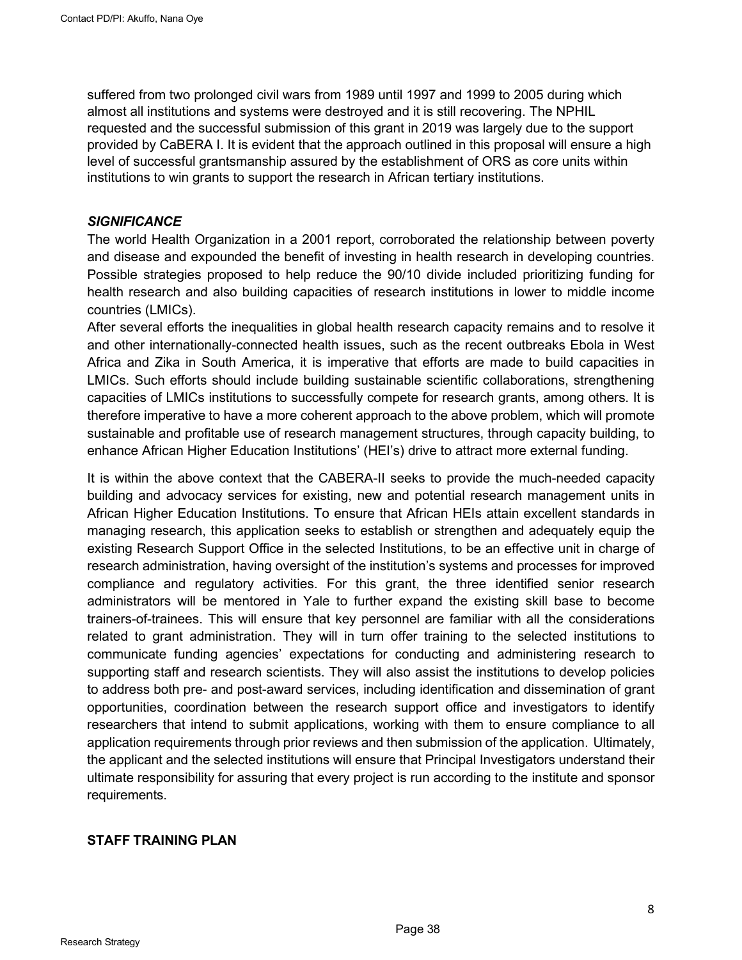suffered from two prolonged civil wars from 1989 until 1997 and 1999 to 2005 during which almost all institutions and systems were destroyed and it is still recovering. The NPHIL requested and the successful submission of this grant in 2019 was largely due to the support provided by CaBERA I. It is evident that the approach outlined in this proposal will ensure a high level of successful grantsmanship assured by the establishment of ORS as core units within institutions to win grants to support the research in African tertiary institutions.

#### *SIGNIFICANCE*

The world Health Organization in a 2001 report, corroborated the relationship between poverty and disease and expounded the benefit of investing in health research in developing countries. Possible strategies proposed to help reduce the 90/10 divide included prioritizing funding for health research and also building capacities of research institutions in lower to middle income countries (LMICs).

After several efforts the inequalities in global health research capacity remains and to resolve it and other internationally-connected health issues, such as the recent outbreaks Ebola in West Africa and Zika in South America, it is imperative that efforts are made to build capacities in LMICs. Such efforts should include building sustainable scientific collaborations, strengthening capacities of LMICs institutions to successfully compete for research grants, among others. It is therefore imperative to have a more coherent approach to the above problem, which will promote sustainable and profitable use of research management structures, through capacity building, to enhance African Higher Education Institutions' (HEI's) drive to attract more external funding.

It is within the above context that the CABERA-II seeks to provide the much-needed capacity building and advocacy services for existing, new and potential research management units in African Higher Education Institutions. To ensure that African HEIs attain excellent standards in managing research, this application seeks to establish or strengthen and adequately equip the existing Research Support Office in the selected Institutions, to be an effective unit in charge of research administration, having oversight of the institution's systems and processes for improved compliance and regulatory activities. For this grant, the three identified senior research administrators will be mentored in Yale to further expand the existing skill base to become trainers-of-trainees. This will ensure that key personnel are familiar with all the considerations related to grant administration. They will in turn offer training to the selected institutions to communicate funding agencies' expectations for conducting and administering research to supporting staff and research scientists. They will also assist the institutions to develop policies to address both pre- and post-award services, including identification and dissemination of grant opportunities, coordination between the research support office and investigators to identify researchers that intend to submit applications, working with them to ensure compliance to all application requirements through prior reviews and then submission of the application. Ultimately, the applicant and the selected institutions will ensure that Principal Investigators understand their ultimate responsibility for assuring that every project is run according to the institute and sponsor requirements.

#### **STAFF TRAINING PLAN**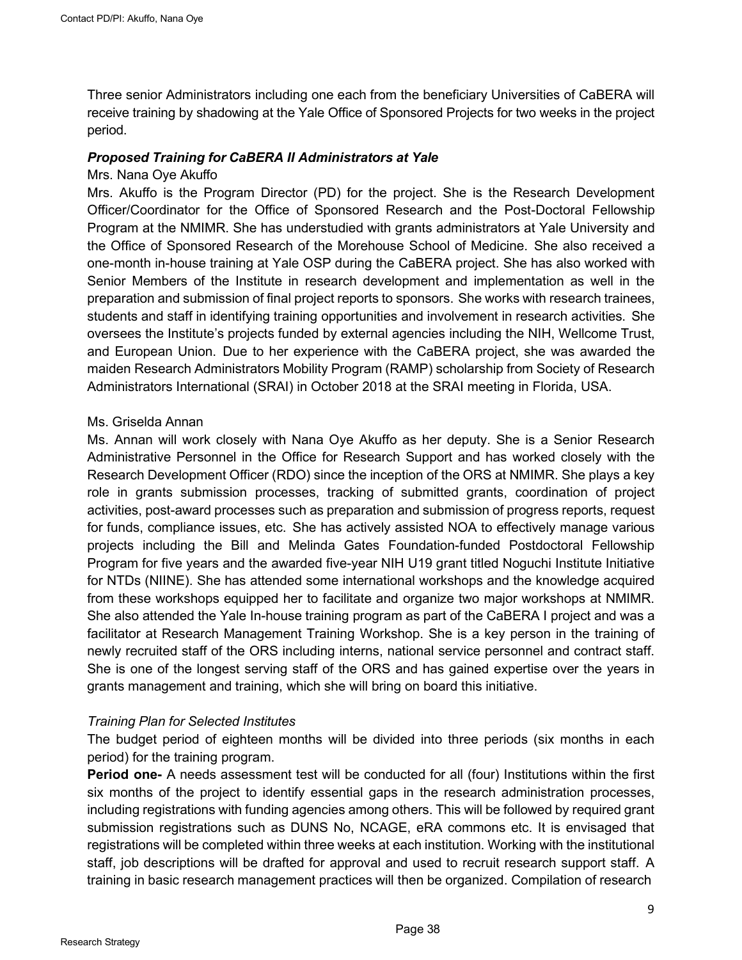Three senior Administrators including one each from the beneficiary Universities of CaBERA will receive training by shadowing at the Yale Office of Sponsored Projects for two weeks in the project period.

#### *Proposed Training for CaBERA II Administrators at Yale*

#### Mrs. Nana Oye Akuffo

Mrs. Akuffo is the Program Director (PD) for the project. She is the Research Development Officer/Coordinator for the Office of Sponsored Research and the Post-Doctoral Fellowship Program at the NMIMR. She has understudied with grants administrators at Yale University and the Office of Sponsored Research of the Morehouse School of Medicine. She also received a one-month in-house training at Yale OSP during the CaBERA project. She has also worked with Senior Members of the Institute in research development and implementation as well in the preparation and submission of final project reports to sponsors. She works with research trainees, students and staff in identifying training opportunities and involvement in research activities. She oversees the Institute's projects funded by external agencies including the NIH, Wellcome Trust, and European Union. Due to her experience with the CaBERA project, she was awarded the maiden Research Administrators Mobility Program (RAMP) scholarship from Society of Research Administrators International (SRAI) in October 2018 at the SRAI meeting in Florida, USA.

#### Ms. Griselda Annan

Ms. Annan will work closely with Nana Oye Akuffo as her deputy. She is a Senior Research Administrative Personnel in the Office for Research Support and has worked closely with the Research Development Officer (RDO) since the inception of the ORS at NMIMR. She plays a key role in grants submission processes, tracking of submitted grants, coordination of project activities, post-award processes such as preparation and submission of progress reports, request for funds, compliance issues, etc. She has actively assisted NOA to effectively manage various projects including the Bill and Melinda Gates Foundation-funded Postdoctoral Fellowship Program for five years and the awarded five-year NIH U19 grant titled Noguchi Institute Initiative for NTDs (NIINE). She has attended some international workshops and the knowledge acquired from these workshops equipped her to facilitate and organize two major workshops at NMIMR. She also attended the Yale In-house training program as part of the CaBERA I project and was a facilitator at Research Management Training Workshop. She is a key person in the training of newly recruited staff of the ORS including interns, national service personnel and contract staff. She is one of the longest serving staff of the ORS and has gained expertise over the years in grants management and training, which she will bring on board this initiative.

#### *Training Plan for Selected Institutes*

The budget period of eighteen months will be divided into three periods (six months in each period) for the training program.

**Period one-** A needs assessment test will be conducted for all (four) Institutions within the first six months of the project to identify essential gaps in the research administration processes, including registrations with funding agencies among others. This will be followed by required grant submission registrations such as DUNS No, NCAGE, eRA commons etc. It is envisaged that registrations will be completed within three weeks at each institution. Working with the institutional staff, job descriptions will be drafted for approval and used to recruit research support staff. A training in basic research management practices will then be organized. Compilation of research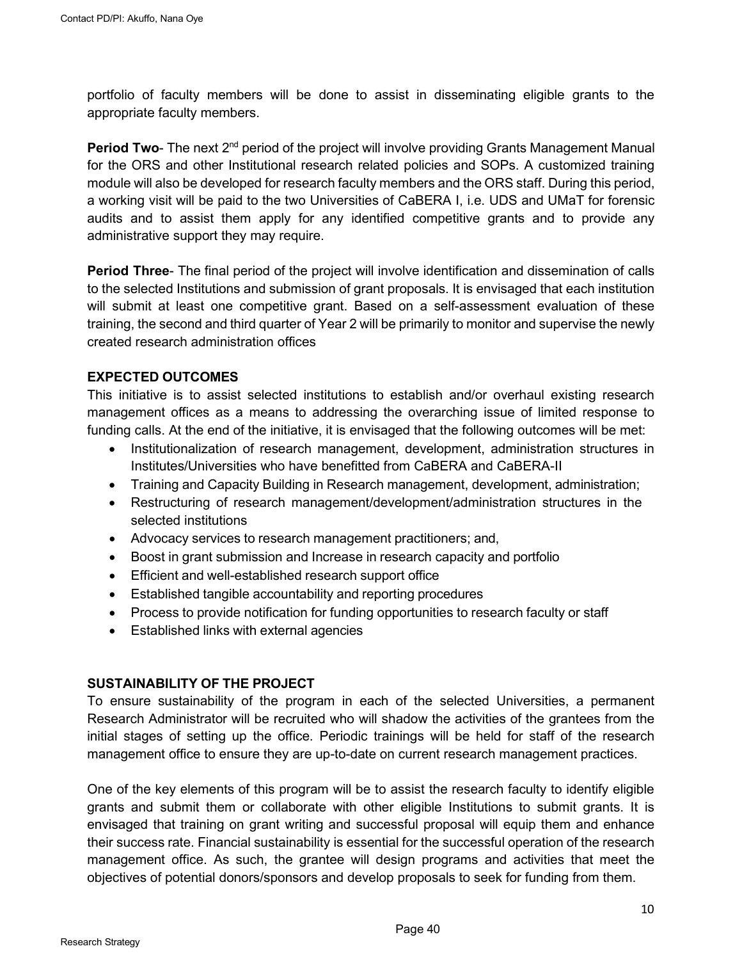portfolio of faculty members will be done to assist in disseminating eligible grants to the appropriate faculty members.

**Period Two-** The next 2<sup>nd</sup> period of the project will involve providing Grants Management Manual for the ORS and other Institutional research related policies and SOPs. A customized training module will also be developed for research faculty members and the ORS staff. During this period, a working visit will be paid to the two Universities of CaBERA I, i.e. UDS and UMaT for forensic audits and to assist them apply for any identified competitive grants and to provide any administrative support they may require.

**Period Three**- The final period of the project will involve identification and dissemination of calls to the selected Institutions and submission of grant proposals. It is envisaged that each institution will submit at least one competitive grant. Based on a self-assessment evaluation of these training, the second and third quarter of Year 2 will be primarily to monitor and supervise the newly created research administration offices

## **EXPECTED OUTCOMES**

This initiative is to assist selected institutions to establish and/or overhaul existing research management offices as a means to addressing the overarching issue of limited response to funding calls. At the end of the initiative, it is envisaged that the following outcomes will be met:

- Institutionalization of research management, development, administration structures in Institutes/Universities who have benefitted from CaBERA and CaBERA-II
- Training and Capacity Building in Research management, development, administration;
- Restructuring of research management/development/administration structures in the selected institutions
- Advocacy services to research management practitioners; and,
- Boost in grant submission and Increase in research capacity and portfolio
- Efficient and well-established research support office
- Established tangible accountability and reporting procedures
- Process to provide notification for funding opportunities to research faculty or staff
- Established links with external agencies

#### **SUSTAINABILITY OF THE PROJECT**

To ensure sustainability of the program in each of the selected Universities, a permanent Research Administrator will be recruited who will shadow the activities of the grantees from the initial stages of setting up the office. Periodic trainings will be held for staff of the research management office to ensure they are up-to-date on current research management practices.

One of the key elements of this program will be to assist the research faculty to identify eligible grants and submit them or collaborate with other eligible Institutions to submit grants. It is envisaged that training on grant writing and successful proposal will equip them and enhance their success rate. Financial sustainability is essential for the successful operation of the research management office. As such, the grantee will design programs and activities that meet the objectives of potential donors/sponsors and develop proposals to seek for funding from them.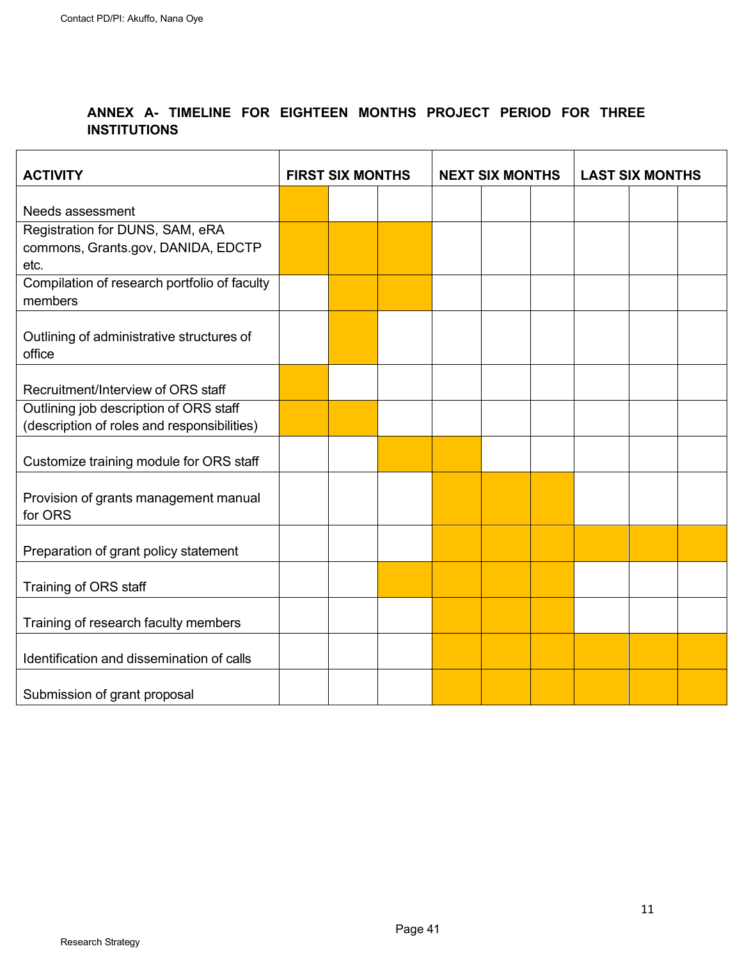## **ANNEX A- TIMELINE FOR EIGHTEEN MONTHS PROJECT PERIOD FOR THREE INSTITUTIONS**

| <b>ACTIVITY</b>                                  | <b>FIRST SIX MONTHS</b> |  | <b>NEXT SIX MONTHS</b> |  | <b>LAST SIX MONTHS</b> |  |  |  |  |
|--------------------------------------------------|-------------------------|--|------------------------|--|------------------------|--|--|--|--|
|                                                  |                         |  |                        |  |                        |  |  |  |  |
| Needs assessment                                 |                         |  |                        |  |                        |  |  |  |  |
| Registration for DUNS, SAM, eRA                  |                         |  |                        |  |                        |  |  |  |  |
| commons, Grants.gov, DANIDA, EDCTP               |                         |  |                        |  |                        |  |  |  |  |
| etc.                                             |                         |  |                        |  |                        |  |  |  |  |
| Compilation of research portfolio of faculty     |                         |  |                        |  |                        |  |  |  |  |
| members                                          |                         |  |                        |  |                        |  |  |  |  |
| Outlining of administrative structures of        |                         |  |                        |  |                        |  |  |  |  |
| office                                           |                         |  |                        |  |                        |  |  |  |  |
|                                                  |                         |  |                        |  |                        |  |  |  |  |
| Recruitment/Interview of ORS staff               |                         |  |                        |  |                        |  |  |  |  |
| Outlining job description of ORS staff           |                         |  |                        |  |                        |  |  |  |  |
| (description of roles and responsibilities)      |                         |  |                        |  |                        |  |  |  |  |
|                                                  |                         |  |                        |  |                        |  |  |  |  |
| Customize training module for ORS staff          |                         |  |                        |  |                        |  |  |  |  |
|                                                  |                         |  |                        |  |                        |  |  |  |  |
| Provision of grants management manual<br>for ORS |                         |  |                        |  |                        |  |  |  |  |
|                                                  |                         |  |                        |  |                        |  |  |  |  |
| Preparation of grant policy statement            |                         |  |                        |  |                        |  |  |  |  |
|                                                  |                         |  |                        |  |                        |  |  |  |  |
| Training of ORS staff                            |                         |  |                        |  |                        |  |  |  |  |
|                                                  |                         |  |                        |  |                        |  |  |  |  |
| Training of research faculty members             |                         |  |                        |  |                        |  |  |  |  |
|                                                  |                         |  |                        |  |                        |  |  |  |  |
| Identification and dissemination of calls        |                         |  |                        |  |                        |  |  |  |  |
| Submission of grant proposal                     |                         |  |                        |  |                        |  |  |  |  |
|                                                  |                         |  |                        |  |                        |  |  |  |  |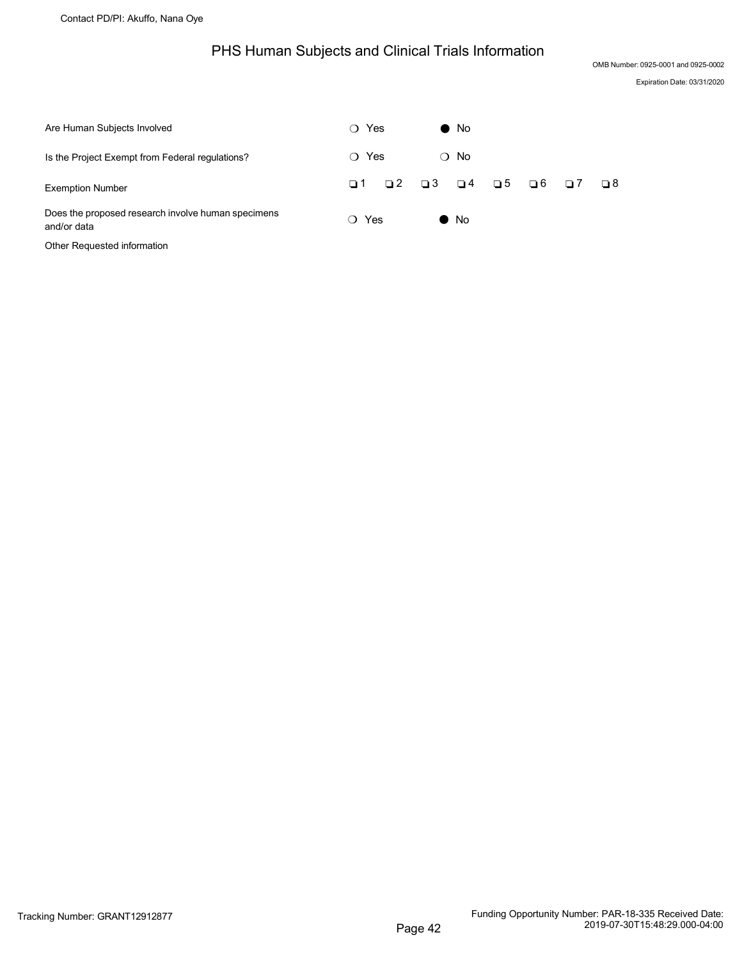## PHS Human Subjects and Clinical Trials Information

OMB Number: 0925-0001 and 0925-0002

Expiration Date: 03/31/2020

<span id="page-42-0"></span>

| Are Human Subjects Involved                                       | ∩ Yes           | $\bullet$ No         |             |             |          |    |
|-------------------------------------------------------------------|-----------------|----------------------|-------------|-------------|----------|----|
| Is the Project Exempt from Federal regulations?                   | Yes<br>∩        | $\bigcirc$ No        |             |             |          |    |
| <b>Exemption Number</b>                                           | $\Box$ 2<br>□ 1 | $\Box$ 3<br>$\Box$ 4 | $\square$ 5 | $\square$ 6 | $\Box$ 7 | □8 |
| Does the proposed research involve human specimens<br>and/or data | Yes<br>$\Omega$ | $\bullet$ No         |             |             |          |    |

Other Requested information